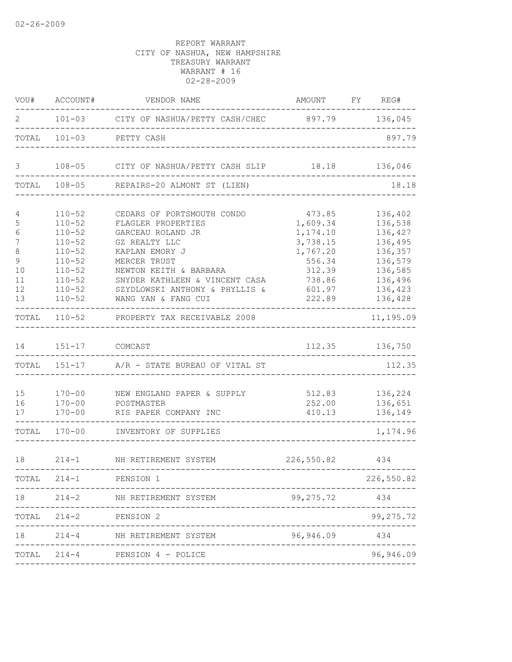| VOU#                           | ACCOUNT#                                                                         | VENDOR NAME                                                                                                                                         | AMOUNT FY REG#                                             |                                                                |
|--------------------------------|----------------------------------------------------------------------------------|-----------------------------------------------------------------------------------------------------------------------------------------------------|------------------------------------------------------------|----------------------------------------------------------------|
| 2                              |                                                                                  | 101-03 CITY OF NASHUA/PETTY CASH/CHEC 897.79 136,045                                                                                                |                                                            |                                                                |
| TOTAL                          | $101 - 03$                                                                       | PETTY CASH                                                                                                                                          |                                                            | 897.79                                                         |
| 3                              |                                                                                  | 108-05 CITY OF NASHUA/PETTY CASH SLIP 18.18 136,046                                                                                                 |                                                            |                                                                |
|                                |                                                                                  | TOTAL 108-05 REPAIRS-20 ALMONT ST (LIEN)                                                                                                            |                                                            | 18.18                                                          |
| 4<br>5<br>6<br>7               | $110 - 52$<br>$110 - 52$<br>$110 - 52$<br>$110 - 52$                             | CEDARS OF PORTSMOUTH CONDO<br>FLAGLER PROPERTIES<br>GARCEAU ROLAND JR<br>GZ REALTY LLC                                                              | 473.85<br>1,609.34<br>1,174.10<br>3,738.15                 | 136,402<br>136,538<br>136,427<br>136,495                       |
| 8<br>9<br>10<br>11<br>12<br>13 | $110 - 52$<br>$110 - 52$<br>$110 - 52$<br>$110 - 52$<br>$110 - 52$<br>$110 - 52$ | KAPLAN EMORY J<br>MERCER TRUST<br>NEWTON KEITH & BARBARA<br>SNYDER KATHLEEN & VINCENT CASA<br>SZYDLOWSKI ANTHONY & PHYLLIS &<br>WANG YAN & FANG CUI | 1,767.20<br>556.34<br>312.39<br>738.86<br>601.97<br>222.89 | 136,357<br>136,579<br>136,585<br>136,496<br>136,423<br>136,428 |
| TOTAL                          | $110 - 52$                                                                       | PROPERTY TAX RECEIVABLE 2008                                                                                                                        |                                                            | 11,195.09                                                      |
| 14                             | 151-17 COMCAST                                                                   |                                                                                                                                                     |                                                            | 112.35 136,750                                                 |
|                                | TOTAL 151-17                                                                     | A/R - STATE BUREAU OF VITAL ST                                                                                                                      |                                                            | 112.35                                                         |
| 15<br>16<br>17                 | $170 - 00$<br>$170 - 00$<br>$170 - 00$                                           | NEW ENGLAND PAPER & SUPPLY<br>POSTMASTER<br>RIS PAPER COMPANY INC                                                                                   | 512.83<br>252.00<br>410.13                                 | 136,224<br>136,651<br>136,149                                  |
|                                |                                                                                  | TOTAL 170-00 INVENTORY OF SUPPLIES                                                                                                                  |                                                            | 1,174.96                                                       |
| 18                             |                                                                                  | 214-1 NH RETIREMENT SYSTEM                                                                                                                          | 226,550.82                                                 | 434                                                            |
|                                | TOTAL 214-1                                                                      | PENSION 1                                                                                                                                           |                                                            | 226,550.82                                                     |
| 18                             |                                                                                  | 214-2 NH RETIREMENT SYSTEM                                                                                                                          | 99, 275. 72                                                | 434                                                            |
|                                | TOTAL 214-2 PENSION 2                                                            |                                                                                                                                                     |                                                            | 99,275.72                                                      |
| 18                             | $214 - 4$                                                                        | NH RETIREMENT SYSTEM                                                                                                                                | 96,946.09                                                  | 434                                                            |
|                                |                                                                                  | TOTAL 214-4 PENSION 4 - POLICE                                                                                                                      | ______________________________                             | 96,946.09                                                      |
|                                |                                                                                  |                                                                                                                                                     |                                                            |                                                                |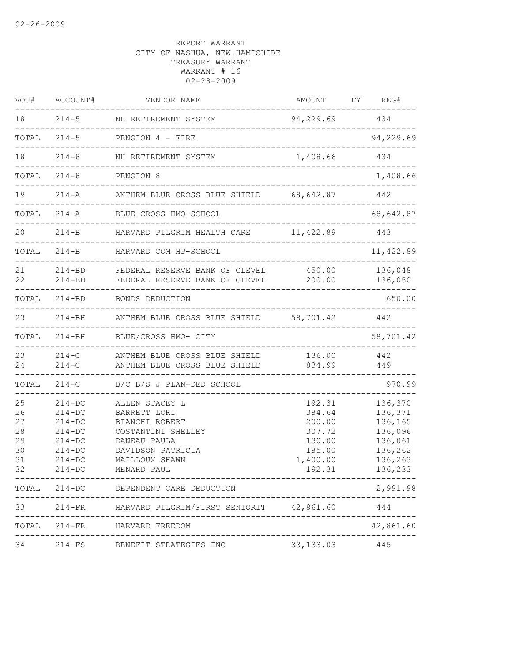| VOU#                                         | ACCOUNT#                                                                                             | VENDOR NAME                                                                                                                                                                      | AMOUNT                                                                         | FY REG#                                                                              |
|----------------------------------------------|------------------------------------------------------------------------------------------------------|----------------------------------------------------------------------------------------------------------------------------------------------------------------------------------|--------------------------------------------------------------------------------|--------------------------------------------------------------------------------------|
| 18                                           |                                                                                                      | 214-5 NH RETIREMENT SYSTEM                                                                                                                                                       | 94,229.69 434                                                                  |                                                                                      |
| TOTAL                                        |                                                                                                      | $214-5$ PENSION 4 - FIRE                                                                                                                                                         |                                                                                | 94,229.69                                                                            |
| 18                                           | $214 - 8$                                                                                            | NH RETIREMENT SYSTEM<br>. _ _ _ _ _ _ _ _ _ _ _ _ _ _ _ _                                                                                                                        | 1,408.66                                                                       | 434                                                                                  |
| TOTAL                                        | $214 - 8$                                                                                            | PENSION 8                                                                                                                                                                        | ______________________________________                                         | 1,408.66                                                                             |
| 19                                           | $214 - A$                                                                                            | ANTHEM BLUE CROSS BLUE SHIELD 68, 642.87                                                                                                                                         |                                                                                | 442                                                                                  |
| TOTAL                                        | $214 - A$                                                                                            | BLUE CROSS HMO-SCHOOL                                                                                                                                                            | ________________                                                               | 68,642.87                                                                            |
| 20                                           | $214-B$                                                                                              | HARVARD PILGRIM HEALTH CARE 11, 422.89 443                                                                                                                                       |                                                                                |                                                                                      |
| TOTAL                                        | $214 - B$                                                                                            | HARVARD COM HP-SCHOOL<br>______________                                                                                                                                          |                                                                                | 11,422.89                                                                            |
| 21<br>22                                     | $214 - BD$<br>$214 - BD$                                                                             | FEDERAL RESERVE BANK OF CLEVEL<br>FEDERAL RESERVE BANK OF CLEVEL                                                                                                                 | 450.00<br>200.00                                                               | 136,048<br>136,050                                                                   |
| TOTAL                                        |                                                                                                      | 214-BD BONDS DEDUCTION                                                                                                                                                           |                                                                                | 650.00                                                                               |
| 23                                           |                                                                                                      | 214-BH ANTHEM BLUE CROSS BLUE SHIELD 58,701.42                                                                                                                                   |                                                                                | 442                                                                                  |
| TOTAL                                        | $214 - BH$                                                                                           | BLUE/CROSS HMO- CITY                                                                                                                                                             |                                                                                | 58,701.42                                                                            |
| 23<br>24                                     | $214-C$<br>$214-C$                                                                                   | ANTHEM BLUE CROSS BLUE SHIELD<br>ANTHEM BLUE CROSS BLUE SHIELD                                                                                                                   | 136.00<br>834.99                                                               | 442<br>449                                                                           |
| TOTAL                                        | $214-C$                                                                                              | B/C B/S J PLAN-DED SCHOOL                                                                                                                                                        |                                                                                | 970.99                                                                               |
| 25<br>26<br>27<br>28<br>29<br>30<br>31<br>32 | $214-DC$<br>$214-DC$<br>$214 - DC$<br>$214-DC$<br>$214 - DC$<br>$214 - DC$<br>$214-DC$<br>$214 - DC$ | ALLEN STACEY L<br>BARRETT LORI<br>BIANCHI ROBERT<br>COSTANTINI SHELLEY<br>DANEAU PAULA<br>DAVIDSON PATRICIA<br>MAILLOUX SHAWN<br>MENARD PAUL<br>-------------------------------- | 192.31<br>384.64<br>200.00<br>307.72<br>130.00<br>185.00<br>1,400.00<br>192.31 | 136,370<br>136,371<br>136,165<br>136,096<br>136,061<br>136,262<br>136,263<br>136,233 |
|                                              |                                                                                                      | TOTAL 214-DC DEPENDENT CARE DEDUCTION                                                                                                                                            |                                                                                | 2,991.98                                                                             |
|                                              |                                                                                                      | 33 214-FR HARVARD PILGRIM/FIRST SENIORIT 42,861.60 444                                                                                                                           |                                                                                |                                                                                      |
|                                              |                                                                                                      | TOTAL 214-FR HARVARD FREEDOM                                                                                                                                                     |                                                                                | 42,861.60                                                                            |
| 34                                           |                                                                                                      | 214-FS BENEFIT STRATEGIES INC 33,133.03 445                                                                                                                                      |                                                                                |                                                                                      |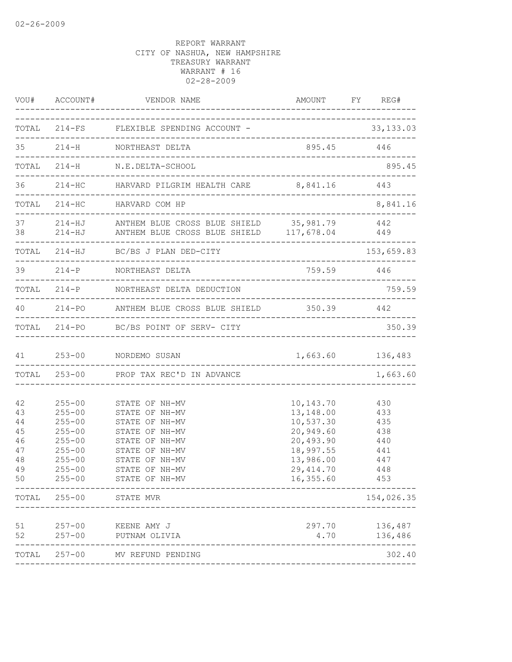|                                                    | VOU# ACCOUNT#                                                                                                                                        | VENDOR NAME                                                                                                                                                                           | _______________________                                                                                                           | AMOUNT FY REG#                                       |
|----------------------------------------------------|------------------------------------------------------------------------------------------------------------------------------------------------------|---------------------------------------------------------------------------------------------------------------------------------------------------------------------------------------|-----------------------------------------------------------------------------------------------------------------------------------|------------------------------------------------------|
|                                                    |                                                                                                                                                      | TOTAL 214-FS FLEXIBLE SPENDING ACCOUNT - 33,133.03                                                                                                                                    |                                                                                                                                   |                                                      |
|                                                    |                                                                                                                                                      | 35 214-H NORTHEAST DELTA                                                                                                                                                              | 895.45 446                                                                                                                        |                                                      |
|                                                    |                                                                                                                                                      | TOTAL 214-H N.E.DELTA-SCHOOL                                                                                                                                                          |                                                                                                                                   | 895.45                                               |
|                                                    |                                                                                                                                                      | 36 214-HC HARVARD PILGRIM HEALTH CARE 8,841.16 443                                                                                                                                    |                                                                                                                                   |                                                      |
|                                                    |                                                                                                                                                      | TOTAL 214-HC HARVARD COM HP                                                                                                                                                           |                                                                                                                                   | 8,841.16                                             |
|                                                    |                                                                                                                                                      | 37 214-HJ ANTHEM BLUE CROSS BLUE SHIELD 35,981.79 442<br>38 214-HJ ANTHEM BLUE CROSS BLUE SHIELD 117,678.04 449<br>------------------------                                           |                                                                                                                                   |                                                      |
|                                                    |                                                                                                                                                      | TOTAL 214-HJ BC/BS J PLAN DED-CITY                                                                                                                                                    |                                                                                                                                   | 153,659.83                                           |
|                                                    |                                                                                                                                                      | 39 214-P NORTHEAST DELTA                                                                                                                                                              |                                                                                                                                   | 759.59 446                                           |
|                                                    |                                                                                                                                                      | TOTAL 214-P NORTHEAST DELTA DEDUCTION                                                                                                                                                 |                                                                                                                                   | 759.59                                               |
|                                                    |                                                                                                                                                      | 40 214-PO ANTHEM BLUE CROSS BLUE SHIELD 350.39 442                                                                                                                                    |                                                                                                                                   |                                                      |
|                                                    |                                                                                                                                                      | TOTAL 214-PO BC/BS POINT OF SERV- CITY                                                                                                                                                |                                                                                                                                   | 350.39                                               |
|                                                    |                                                                                                                                                      | 41 253-00 NORDEMO SUSAN                                                                                                                                                               |                                                                                                                                   | 1,663.60 136,483                                     |
|                                                    |                                                                                                                                                      | TOTAL 253-00 PROP TAX REC'D IN ADVANCE                                                                                                                                                |                                                                                                                                   | 1,663.60                                             |
| 42<br>43<br>44<br>45<br>46<br>47<br>48<br>49<br>50 | $255 - 00$<br>$255 - 00$<br>$255 - 00$<br>$255 - 00$<br>$255 - 00$<br>$255 - 00$<br>$255 - 00$<br>$255 - 00$<br>$255 - 00$<br>TOTAL 255-00 STATE MVR | STATE OF NH-MV<br>STATE OF NH-MV<br>STATE OF NH-MV<br>STATE OF NH-MV<br>STATE OF NH-MV<br>STATE OF NH-MV<br>STATE OF NH-MV<br>STATE OF NH-MV<br>STATE OF NH-MV<br>___________________ | 10, 143. 70 430<br>13, 148.00 433<br>10,537.30 435<br>20,949.60<br>20,493.90<br>18,997.55<br>13,986.00<br>29, 414.70<br>16,355.60 | 438<br>440<br>441<br>447<br>448<br>453<br>154,026.35 |
|                                                    |                                                                                                                                                      |                                                                                                                                                                                       |                                                                                                                                   |                                                      |
| 51<br>52                                           | $257 - 00$                                                                                                                                           | 257-00 KEENE AMY J<br>PUTNAM OLIVIA<br>___________________                                                                                                                            | 297.70<br>4.70                                                                                                                    | 136,487<br>136,486                                   |
|                                                    |                                                                                                                                                      | TOTAL 257-00 MV REFUND PENDING                                                                                                                                                        |                                                                                                                                   | 302.40                                               |
|                                                    |                                                                                                                                                      |                                                                                                                                                                                       |                                                                                                                                   |                                                      |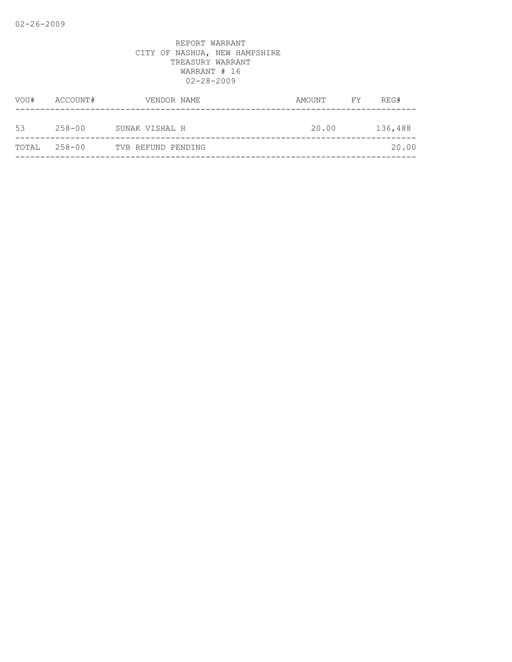| VOU#         | ACCOUNT#   | VENDOR NAME        | AMOUNT | FY | REG#    |
|--------------|------------|--------------------|--------|----|---------|
| 53           | $258 - 00$ | SUNAK VISHAL H     | 20.00  |    | 136,488 |
| TOTAL 258-00 |            | TVB REFUND PENDING |        |    | 20.00   |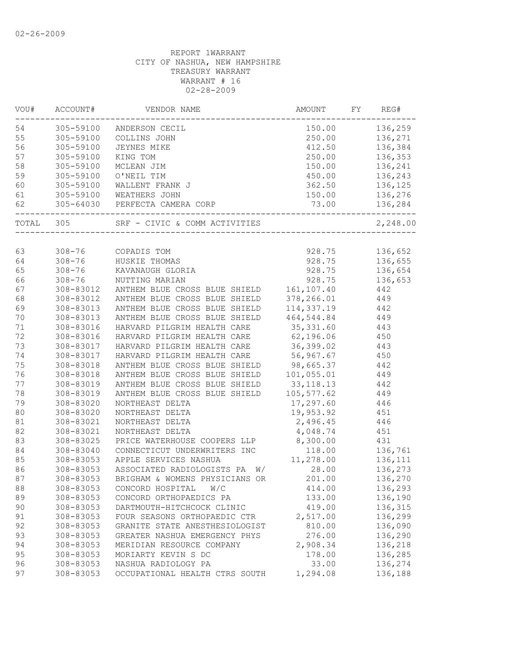| VOU#  | ACCOUNT#   | VENDOR NAME                      | AMOUNT      | FY | REG#     |
|-------|------------|----------------------------------|-------------|----|----------|
| 54    | 305-59100  | ANDERSON CECIL                   | 150.00      |    | 136,259  |
| 55    | 305-59100  | COLLINS JOHN                     | 250.00      |    | 136,271  |
| 56    | 305-59100  | JEYNES MIKE                      | 412.50      |    | 136,384  |
| 57    | 305-59100  | KING TOM                         | 250.00      |    | 136,353  |
| 58    | 305-59100  | MCLEAN JIM                       | 150.00      |    | 136,241  |
| 59    | 305-59100  | O'NEIL TIM                       | 450.00      |    | 136,243  |
| 60    | 305-59100  | WALLENT FRANK J                  | 362.50      |    | 136,125  |
| 61    |            | 305-59100 WEATHERS JOHN          | 150.00      |    | 136,276  |
| 62    |            | 305-64030 PERFECTA CAMERA CORP   | 73.00       |    | 136,284  |
| TOTAL | 305        | SRF - CIVIC & COMM ACTIVITIES    |             |    | 2,248.00 |
|       |            |                                  |             |    |          |
| 63    | $308 - 76$ | COPADIS TOM                      | 928.75      |    | 136,652  |
| 64    | $308 - 76$ | HUSKIE THOMAS                    | 928.75      |    | 136,655  |
| 65    | $308 - 76$ | KAVANAUGH GLORIA                 | 928.75      |    | 136,654  |
| 66    | $308 - 76$ | NUTTING MARIAN                   | 928.75      |    | 136,653  |
| 67    | 308-83012  | ANTHEM BLUE CROSS BLUE SHIELD    | 161, 107.40 |    | 442      |
| 68    | 308-83012  | ANTHEM BLUE CROSS BLUE SHIELD    | 378,266.01  |    | 449      |
| 69    | 308-83013  | ANTHEM BLUE CROSS BLUE SHIELD    | 114,337.19  |    | 442      |
| $70$  | 308-83013  | ANTHEM BLUE CROSS BLUE SHIELD    | 464,544.84  |    | 449      |
| 71    | 308-83016  | HARVARD PILGRIM HEALTH CARE      | 35, 331.60  |    | 443      |
| 72    | 308-83016  | HARVARD PILGRIM HEALTH CARE      | 62,196.06   |    | 450      |
| 73    | 308-83017  | HARVARD PILGRIM HEALTH CARE      | 36,399.02   |    | 443      |
| 74    | 308-83017  | HARVARD PILGRIM HEALTH CARE      | 56,967.67   |    | 450      |
| 75    | 308-83018  | ANTHEM BLUE CROSS BLUE SHIELD    | 98,665.37   |    | 442      |
| 76    | 308-83018  | ANTHEM BLUE CROSS BLUE SHIELD    | 101,055.01  |    | 449      |
| 77    | 308-83019  | ANTHEM BLUE CROSS BLUE SHIELD    | 33, 118. 13 |    | 442      |
| 78    | 308-83019  | ANTHEM BLUE CROSS BLUE SHIELD    | 105,577.62  |    | 449      |
| 79    | 308-83020  | NORTHEAST DELTA                  | 17,297.60   |    | 446      |
| 80    | 308-83020  | NORTHEAST DELTA                  | 19,953.92   |    | 451      |
| 81    | 308-83021  | NORTHEAST DELTA                  | 2,496.45    |    | 446      |
| 82    | 308-83021  | NORTHEAST DELTA                  | 4,048.74    |    | 451      |
| 83    | 308-83025  | PRICE WATERHOUSE COOPERS LLP     | 8,300.00    |    | 431      |
| 84    | 308-83040  | CONNECTICUT UNDERWRITERS INC     | 118.00      |    | 136,761  |
| 85    | 308-83053  | APPLE SERVICES NASHUA            | 11,278.00   |    | 136,111  |
| 86    | 308-83053  | ASSOCIATED RADIOLOGISTS PA<br>W/ | 28.00       |    | 136,273  |
| 87    | 308-83053  | BRIGHAM & WOMENS PHYSICIANS OR   | 201.00      |    | 136,270  |
| 88    | 308-83053  | CONCORD HOSPITAL<br>W/C          | 414.00      |    | 136,293  |
| 89    | 308-83053  | CONCORD ORTHOPAEDICS PA          | 133.00      |    | 136,190  |
| 90    | 308-83053  | DARTMOUTH-HITCHCOCK CLINIC       | 419.00      |    | 136,315  |
| 91    | 308-83053  | FOUR SEASONS ORTHOPAEDIC CTR     | 2,517.00    |    | 136,299  |
| 92    | 308-83053  | GRANITE STATE ANESTHESIOLOGIST   | 810.00      |    | 136,090  |
| 93    | 308-83053  | GREATER NASHUA EMERGENCY PHYS    | 276.00      |    | 136,290  |
| 94    | 308-83053  | MERIDIAN RESOURCE COMPANY        | 2,908.34    |    | 136,218  |
|       |            |                                  |             |    |          |
| 95    | 308-83053  | MORIARTY KEVIN S DC              | 178.00      |    | 136,285  |
| 96    | 308-83053  | NASHUA RADIOLOGY PA              | 33.00       |    | 136,274  |
| 97    | 308-83053  | OCCUPATIONAL HEALTH CTRS SOUTH   | 1,294.08    |    | 136,188  |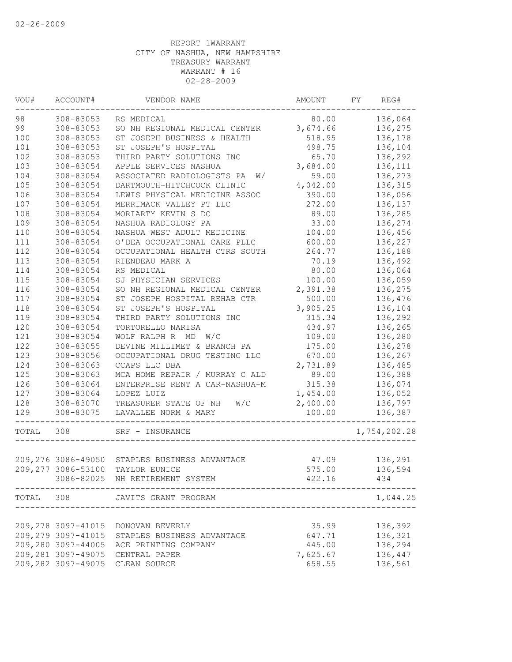| WOU#      | ACCOUNT#           | VENDOR NAME                                    | AMOUNT   | FY | REG#         |
|-----------|--------------------|------------------------------------------------|----------|----|--------------|
| 98        | 308-83053          | RS MEDICAL                                     | 80.00    |    | 136,064      |
| 99        | 308-83053          | SO NH REGIONAL MEDICAL CENTER                  | 3,674.66 |    | 136,275      |
| 100       | 308-83053          | ST JOSEPH BUSINESS & HEALTH                    | 518.95   |    | 136,178      |
| 101       | 308-83053          | ST JOSEPH'S HOSPITAL                           | 498.75   |    | 136,104      |
| 102       | 308-83053          | THIRD PARTY SOLUTIONS INC                      | 65.70    |    | 136,292      |
| 103       | 308-83054          | APPLE SERVICES NASHUA                          | 3,684.00 |    | 136,111      |
| 104       | 308-83054          | ASSOCIATED RADIOLOGISTS PA<br>W/               | 59.00    |    | 136,273      |
| 105       | 308-83054          | DARTMOUTH-HITCHCOCK CLINIC                     | 4,042.00 |    | 136,315      |
| 106       | 308-83054          | LEWIS PHYSICAL MEDICINE ASSOC                  | 390.00   |    | 136,056      |
| 107       | 308-83054          | MERRIMACK VALLEY PT LLC                        | 272.00   |    | 136,137      |
| 108       | 308-83054          | MORIARTY KEVIN S DC                            | 89.00    |    | 136,285      |
| 109       | 308-83054          | NASHUA RADIOLOGY PA                            | 33.00    |    | 136,274      |
| 110       | 308-83054          | NASHUA WEST ADULT MEDICINE                     | 104.00   |    | 136,456      |
| 111       | 308-83054          | O'DEA OCCUPATIONAL CARE PLLC                   | 600.00   |    | 136,227      |
| 112       | 308-83054          | OCCUPATIONAL HEALTH CTRS SOUTH                 | 264.77   |    | 136,188      |
| 113       | 308-83054          | RIENDEAU MARK A                                | 70.19    |    | 136,492      |
| 114       | 308-83054          | RS MEDICAL                                     | 80.00    |    | 136,064      |
| 115       | 308-83054          | SJ PHYSICIAN SERVICES                          | 100.00   |    | 136,059      |
| 116       | 308-83054          | SO NH REGIONAL MEDICAL CENTER                  | 2,391.38 |    | 136,275      |
| 117       | 308-83054          | ST JOSEPH HOSPITAL REHAB CTR                   | 500.00   |    | 136,476      |
| 118       | 308-83054          | ST JOSEPH'S HOSPITAL                           | 3,905.25 |    | 136,104      |
| 119       | 308-83054          | THIRD PARTY SOLUTIONS INC                      | 315.34   |    | 136,292      |
| 120       | 308-83054          | TORTORELLO NARISA                              | 434.97   |    | 136,265      |
| 121       | 308-83054          | WOLF RALPH R MD W/C                            | 109.00   |    | 136,280      |
| 122       | 308-83055          | DEVINE MILLIMET & BRANCH PA                    | 175.00   |    | 136,278      |
| 123       | 308-83056          | OCCUPATIONAL DRUG TESTING LLC                  | 670.00   |    | 136,267      |
| 124       | 308-83063          | CCAPS LLC DBA                                  | 2,731.89 |    | 136,485      |
| 125       | 308-83063          | MCA HOME REPAIR / MURRAY C ALD                 | 89.00    |    | 136,388      |
| 126       | 308-83064          | ENTERPRISE RENT A CAR-NASHUA-M                 | 315.38   |    | 136,074      |
| 127       | 308-83064          | LOPEZ LUIZ                                     | 1,454.00 |    | 136,052      |
| 128       | 308-83070          | W/C<br>TREASURER STATE OF NH                   | 2,400.00 |    | 136,797      |
| 129       | 308-83075          | LAVALLEE NORM & MARY                           | 100.00   |    | 136,387      |
| TOTAL     | 308                | SRF - INSURANCE                                |          |    | 1,754,202.28 |
|           |                    |                                                |          |    |              |
|           |                    | 209, 276 3086-49050 STAPLES BUSINESS ADVANTAGE | 47.09    |    | 136,291      |
|           |                    | 209,277 3086-53100 TAYLOR EUNICE               | 575.00   |    | 136,594      |
|           |                    | 3086-82025 NH RETIREMENT SYSTEM                | 422.16   |    | 434          |
| TOTAL 308 |                    | JAVITS GRANT PROGRAM                           |          |    | 1,044.25     |
|           |                    |                                                |          |    |              |
|           | 209,278 3097-41015 | DONOVAN BEVERLY                                | 35.99    |    | 136,392      |
|           | 209,279 3097-41015 | STAPLES BUSINESS ADVANTAGE                     | 647.71   |    | 136,321      |
|           | 209,280 3097-44005 | ACE PRINTING COMPANY                           | 445.00   |    | 136,294      |
|           | 209,281 3097-49075 | CENTRAL PAPER                                  | 7,625.67 |    | 136,447      |
|           | 209,282 3097-49075 | CLEAN SOURCE                                   | 658.55   |    | 136,561      |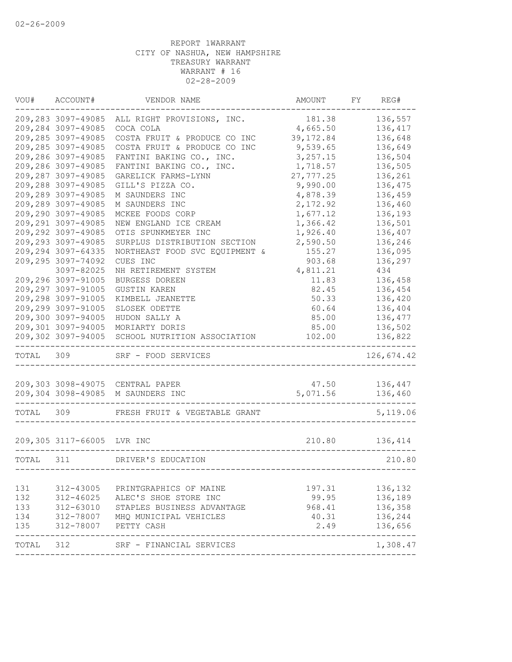| VOU#      | ACCOUNT#                                 | VENDOR NAME                        | AMOUNT               | FY | REG#                     |
|-----------|------------------------------------------|------------------------------------|----------------------|----|--------------------------|
|           | 209,283 3097-49085                       | ALL RIGHT PROVISIONS, INC.         | 181.38               |    | 136,557                  |
|           | 209,284 3097-49085                       | COCA COLA                          | 4,665.50             |    | 136,417                  |
|           | 209,285 3097-49085                       | COSTA FRUIT & PRODUCE CO INC       | 39, 172.84           |    | 136,648                  |
|           | 209,285 3097-49085                       | COSTA FRUIT & PRODUCE CO INC       | 9,539.65             |    | 136,649                  |
|           | 209,286 3097-49085                       | FANTINI BAKING CO., INC.           | 3,257.15             |    | 136,504                  |
|           | 209,286 3097-49085                       | FANTINI BAKING CO., INC.           | 1,718.57             |    | 136,505                  |
|           | 209,287 3097-49085                       | GARELICK FARMS-LYNN                | 27, 777.25           |    | 136,261                  |
|           | 209,288 3097-49085                       | GILL'S PIZZA CO.                   | 9,990.00             |    | 136,475                  |
|           | 209,289 3097-49085                       | M SAUNDERS INC                     | 4,878.39             |    | 136,459                  |
|           | 209,289 3097-49085<br>209,290 3097-49085 | M SAUNDERS INC<br>MCKEE FOODS CORP | 2,172.92             |    | 136,460                  |
|           | 209,291 3097-49085                       | NEW ENGLAND ICE CREAM              | 1,677.12<br>1,366.42 |    | 136,193<br>136,501       |
|           | 209,292 3097-49085                       | OTIS SPUNKMEYER INC                | 1,926.40             |    | 136,407                  |
|           | 209,293 3097-49085                       | SURPLUS DISTRIBUTION SECTION       | 2,590.50             |    | 136,246                  |
|           | 209,294 3097-64335                       | NORTHEAST FOOD SVC EQUIPMENT &     | 155.27               |    | 136,095                  |
|           | 209,295 3097-74092                       | CUES INC                           | 903.68               |    | 136,297                  |
|           | 3097-82025                               | NH RETIREMENT SYSTEM               | 4,811.21             |    | 434                      |
|           | 209,296 3097-91005                       | BURGESS DOREEN                     | 11.83                |    | 136,458                  |
|           | 209,297 3097-91005                       | <b>GUSTIN KAREN</b>                | 82.45                |    | 136,454                  |
|           | 209,298 3097-91005                       | KIMBELL JEANETTE                   | 50.33                |    | 136,420                  |
|           | 209,299 3097-91005                       | SLOSEK ODETTE                      | 60.64                |    | 136,404                  |
|           | 209,300 3097-94005                       | HUDON SALLY A                      | 85.00                |    | 136,477                  |
|           | 209,301 3097-94005                       | MORIARTY DORIS                     | 85.00                |    | 136,502                  |
|           | 209,302 3097-94005                       | SCHOOL NUTRITION ASSOCIATION       | 102.00               |    | 136,822                  |
| TOTAL 309 |                                          | SRF - FOOD SERVICES                |                      |    | 126,674.42               |
|           |                                          | 209,303 3098-49075 CENTRAL PAPER   | 47.50                |    | 136,447                  |
|           | 209,304 3098-49085                       | M SAUNDERS INC                     | 5,071.56             |    | 136,460                  |
| TOTAL     | 309                                      | FRESH FRUIT & VEGETABLE GRANT      |                      |    | 5,119.06                 |
|           | 209,305 3117-66005 LVR INC               |                                    | 210.80               |    | 136,414                  |
|           |                                          |                                    |                      |    |                          |
| TOTAL 311 |                                          | DRIVER'S EDUCATION                 |                      |    | 210.80                   |
| 131       | 312-43005                                | PRINTGRAPHICS OF MAINE             | 197.31               |    | 136,132                  |
| 132       | 312-46025                                | ALEC'S SHOE STORE INC              | 99.95                |    | 136,189                  |
| 133       | 312-63010                                | STAPLES BUSINESS ADVANTAGE         | 968.41               |    | 136,358                  |
| 134       | 312-78007                                | MHQ MUNICIPAL VEHICLES             | 40.31                |    | 136,244                  |
| 135       | 312-78007                                | PETTY CASH                         | 2.49                 |    | 136,656<br>$- - - - - -$ |
| TOTAL     | 312                                      | SRF - FINANCIAL SERVICES           |                      |    | 1,308.47                 |
|           |                                          |                                    |                      |    |                          |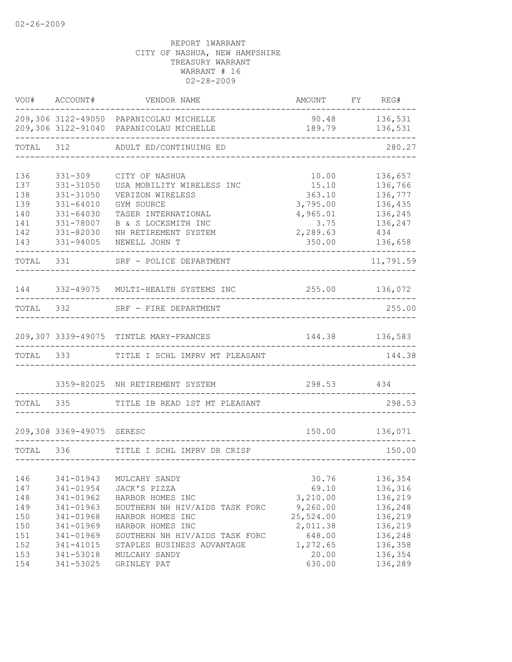| VOU#       | ACCOUNT#                  | VENDOR NAME                                                                        | AMOUNT                        | FY REG#            |
|------------|---------------------------|------------------------------------------------------------------------------------|-------------------------------|--------------------|
|            |                           | 209,306 3122-49050 PAPANICOLAU MICHELLE<br>209,306 3122-91040 PAPANICOLAU MICHELLE | 90.48<br>189.79               | 136,531<br>136,531 |
| TOTAL      | 312                       | ADULT ED/CONTINUING ED                                                             |                               | 280.27             |
| 136        | 331-309                   | CITY OF NASHUA                                                                     | 10.00                         | 136,657            |
| 137        | 331-31050                 | USA MOBILITY WIRELESS INC                                                          | 15.10                         | 136,766            |
| 138        | 331-31050                 | VERIZON WIRELESS                                                                   | 363.10                        | 136,777            |
| 139        | 331-64010                 | GYM SOURCE                                                                         | 3,795.00                      | 136,435            |
| 140        | $331 - 64030$             | TASER INTERNATIONAL                                                                | 4,965.01                      | 136,245            |
| 141        | 331-78007                 | B & S LOCKSMITH INC                                                                | 3.75                          | 136,247            |
| 142        | 331-82030                 | NH RETIREMENT SYSTEM                                                               | 2,289.63                      | 434                |
| 143        | 331-94005                 | NEWELL JOHN T                                                                      | 350.00                        | 136,658            |
| TOTAL      | 331                       | SRF - POLICE DEPARTMENT                                                            |                               | 11,791.59          |
| 144        |                           | 332-49075 MULTI-HEALTH SYSTEMS INC                                                 | 255.00 136,072                |                    |
| TOTAL      | 332                       | SRF - FIRE DEPARTMENT                                                              |                               | 255.00             |
|            |                           |                                                                                    |                               |                    |
|            |                           | 209,307 3339-49075 TINTLE MARY-FRANCES                                             |                               | 144.38 136,583     |
| TOTAL      | 333                       | TITLE I SCHL IMPRV MT PLEASANT                                                     |                               | 144.38             |
|            | 3359-82025                | NH RETIREMENT SYSTEM                                                               | 298.53                        | 434                |
| TOTAL      | 335                       | TITLE IB READ 1ST MT PLEASANT                                                      |                               | 298.53             |
|            | 209,308 3369-49075 SERESC |                                                                                    | 150.00                        | 136,071            |
|            |                           |                                                                                    |                               |                    |
| TOTAL 336  |                           | TITLE I SCHL IMPRV DR CRISP                                                        | _____________________________ | 150.00             |
|            |                           |                                                                                    |                               |                    |
| 146        | 341-01943                 | MULCAHY SANDY                                                                      | 30.76                         | 136,354            |
| 147        | 341-01954                 | JACK'S PIZZA                                                                       | 69.10                         | 136,316            |
| 148        | 341-01962                 | HARBOR HOMES INC                                                                   | 3,210.00                      | 136,219            |
| 149        | 341-01963                 | SOUTHERN NH HIV/AIDS TASK FORC                                                     | 9,260.00                      | 136,248            |
| 150        | 341-01968                 | HARBOR HOMES INC                                                                   | 25,524.00                     | 136,219            |
| 150<br>151 | 341-01969<br>341-01969    | HARBOR HOMES INC<br>SOUTHERN NH HIV/AIDS TASK FORC                                 | 2,011.38<br>648.00            | 136,219<br>136,248 |
| 152        | 341-41015                 | STAPLES BUSINESS ADVANTAGE                                                         | 1,272.65                      | 136,358            |
| 153        | 341-53018                 | MULCAHY SANDY                                                                      | 20.00                         | 136,354            |
| 154        | 341-53025                 | GRINLEY PAT                                                                        | 630.00                        | 136,289            |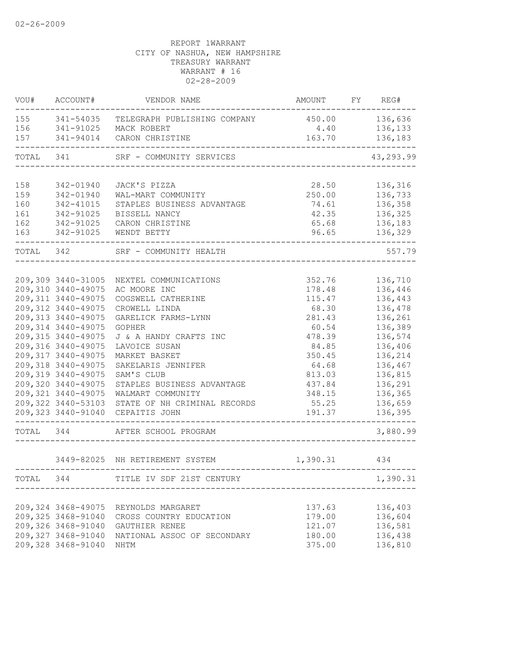| 155<br>341-54035<br>450.00<br>TELEGRAPH PUBLISHING COMPANY<br>156<br>341-91025<br>MACK ROBERT<br>4.40<br>157<br>163.70<br>341-94014<br>CARON CHRISTINE<br>TOTAL<br>341<br>SRF - COMMUNITY SERVICES<br>158<br>342-01940<br>JACK'S PIZZA<br>28.50<br>136,316<br>159<br>250.00<br>136,733<br>342-01940<br>WAL-MART COMMUNITY<br>160<br>342-41015<br>74.61<br>STAPLES BUSINESS ADVANTAGE<br>42.35<br>161<br>342-91025<br>BISSELL NANCY<br>162<br>65.68<br>342-91025<br>CARON CHRISTINE<br>163<br>96.65<br>342-91025<br>WENDT BETTY<br>TOTAL 342<br>SRF - COMMUNITY HEALTH<br>209,309 3440-31005<br>352.76<br>136,710<br>NEXTEL COMMUNICATIONS<br>209,310 3440-49075<br>136,446<br>AC MOORE INC<br>178.48<br>209, 311 3440-49075<br>115.47<br>136,443<br>COGSWELL CATHERINE<br>209, 312 3440-49075<br>68.30<br>136,478<br>CROWELL LINDA<br>209, 313 3440-49075<br>136,261<br>GARELICK FARMS-LYNN<br>281.43<br>209, 314 3440-49075<br>136,389<br><b>GOPHER</b><br>60.54<br>209, 315 3440-49075<br>478.39<br>136,574<br>J & A HANDY CRAFTS INC<br>209,316 3440-49075<br>136,406<br>LAVOICE SUSAN<br>84.85<br>209, 317 3440-49075<br>MARKET BASKET<br>350.45<br>136,214<br>209,318 3440-49075<br>SAKELARIS JENNIFER<br>64.68<br>136,467<br>209, 319 3440-49075<br>813.03<br>136,815<br>SAM'S CLUB<br>209,320 3440-49075<br>437.84<br>136,291<br>STAPLES BUSINESS ADVANTAGE<br>209, 321 3440-49075<br>348.15<br>WALMART COMMUNITY<br>209,322 3440-53103<br>STATE OF NH CRIMINAL RECORDS<br>55.25<br>209, 323 3440-91040<br>CEPAITIS JOHN<br>191.37<br>TOTAL<br>344<br>AFTER SCHOOL PROGRAM<br>3449-82025 NH RETIREMENT SYSTEM<br>1,390.31<br>434<br>TOTAL 344 TITLE IV SDF 21ST CENTURY<br>209,324 3468-49075<br>REYNOLDS MARGARET<br>137.63<br>136,403<br>209,325 3468-91040<br>179.00<br>136,604<br>CROSS COUNTRY EDUCATION<br>121.07<br>136,581<br>GAUTHIER RENEE<br>209,327 3468-91040<br>136,438<br>NATIONAL ASSOC OF SECONDARY<br>180.00 | VOU# | ACCOUNT# | VENDOR NAME | AMOUNT | FY | REG#      |
|---------------------------------------------------------------------------------------------------------------------------------------------------------------------------------------------------------------------------------------------------------------------------------------------------------------------------------------------------------------------------------------------------------------------------------------------------------------------------------------------------------------------------------------------------------------------------------------------------------------------------------------------------------------------------------------------------------------------------------------------------------------------------------------------------------------------------------------------------------------------------------------------------------------------------------------------------------------------------------------------------------------------------------------------------------------------------------------------------------------------------------------------------------------------------------------------------------------------------------------------------------------------------------------------------------------------------------------------------------------------------------------------------------------------------------------------------------------------------------------------------------------------------------------------------------------------------------------------------------------------------------------------------------------------------------------------------------------------------------------------------------------------------------------------------------------------------------------------------------------------------------------------------------------------------------------|------|----------|-------------|--------|----|-----------|
| 209,326 3468-91040                                                                                                                                                                                                                                                                                                                                                                                                                                                                                                                                                                                                                                                                                                                                                                                                                                                                                                                                                                                                                                                                                                                                                                                                                                                                                                                                                                                                                                                                                                                                                                                                                                                                                                                                                                                                                                                                                                                    |      |          |             |        |    | 136,636   |
|                                                                                                                                                                                                                                                                                                                                                                                                                                                                                                                                                                                                                                                                                                                                                                                                                                                                                                                                                                                                                                                                                                                                                                                                                                                                                                                                                                                                                                                                                                                                                                                                                                                                                                                                                                                                                                                                                                                                       |      |          |             |        |    | 136,133   |
|                                                                                                                                                                                                                                                                                                                                                                                                                                                                                                                                                                                                                                                                                                                                                                                                                                                                                                                                                                                                                                                                                                                                                                                                                                                                                                                                                                                                                                                                                                                                                                                                                                                                                                                                                                                                                                                                                                                                       |      |          |             |        |    | 136,183   |
|                                                                                                                                                                                                                                                                                                                                                                                                                                                                                                                                                                                                                                                                                                                                                                                                                                                                                                                                                                                                                                                                                                                                                                                                                                                                                                                                                                                                                                                                                                                                                                                                                                                                                                                                                                                                                                                                                                                                       |      |          |             |        |    | 43,293.99 |
|                                                                                                                                                                                                                                                                                                                                                                                                                                                                                                                                                                                                                                                                                                                                                                                                                                                                                                                                                                                                                                                                                                                                                                                                                                                                                                                                                                                                                                                                                                                                                                                                                                                                                                                                                                                                                                                                                                                                       |      |          |             |        |    |           |
|                                                                                                                                                                                                                                                                                                                                                                                                                                                                                                                                                                                                                                                                                                                                                                                                                                                                                                                                                                                                                                                                                                                                                                                                                                                                                                                                                                                                                                                                                                                                                                                                                                                                                                                                                                                                                                                                                                                                       |      |          |             |        |    |           |
|                                                                                                                                                                                                                                                                                                                                                                                                                                                                                                                                                                                                                                                                                                                                                                                                                                                                                                                                                                                                                                                                                                                                                                                                                                                                                                                                                                                                                                                                                                                                                                                                                                                                                                                                                                                                                                                                                                                                       |      |          |             |        |    | 136,358   |
|                                                                                                                                                                                                                                                                                                                                                                                                                                                                                                                                                                                                                                                                                                                                                                                                                                                                                                                                                                                                                                                                                                                                                                                                                                                                                                                                                                                                                                                                                                                                                                                                                                                                                                                                                                                                                                                                                                                                       |      |          |             |        |    | 136,325   |
|                                                                                                                                                                                                                                                                                                                                                                                                                                                                                                                                                                                                                                                                                                                                                                                                                                                                                                                                                                                                                                                                                                                                                                                                                                                                                                                                                                                                                                                                                                                                                                                                                                                                                                                                                                                                                                                                                                                                       |      |          |             |        |    | 136,183   |
|                                                                                                                                                                                                                                                                                                                                                                                                                                                                                                                                                                                                                                                                                                                                                                                                                                                                                                                                                                                                                                                                                                                                                                                                                                                                                                                                                                                                                                                                                                                                                                                                                                                                                                                                                                                                                                                                                                                                       |      |          |             |        |    | 136,329   |
|                                                                                                                                                                                                                                                                                                                                                                                                                                                                                                                                                                                                                                                                                                                                                                                                                                                                                                                                                                                                                                                                                                                                                                                                                                                                                                                                                                                                                                                                                                                                                                                                                                                                                                                                                                                                                                                                                                                                       |      |          |             |        |    | 557.79    |
|                                                                                                                                                                                                                                                                                                                                                                                                                                                                                                                                                                                                                                                                                                                                                                                                                                                                                                                                                                                                                                                                                                                                                                                                                                                                                                                                                                                                                                                                                                                                                                                                                                                                                                                                                                                                                                                                                                                                       |      |          |             |        |    |           |
|                                                                                                                                                                                                                                                                                                                                                                                                                                                                                                                                                                                                                                                                                                                                                                                                                                                                                                                                                                                                                                                                                                                                                                                                                                                                                                                                                                                                                                                                                                                                                                                                                                                                                                                                                                                                                                                                                                                                       |      |          |             |        |    |           |
|                                                                                                                                                                                                                                                                                                                                                                                                                                                                                                                                                                                                                                                                                                                                                                                                                                                                                                                                                                                                                                                                                                                                                                                                                                                                                                                                                                                                                                                                                                                                                                                                                                                                                                                                                                                                                                                                                                                                       |      |          |             |        |    |           |
|                                                                                                                                                                                                                                                                                                                                                                                                                                                                                                                                                                                                                                                                                                                                                                                                                                                                                                                                                                                                                                                                                                                                                                                                                                                                                                                                                                                                                                                                                                                                                                                                                                                                                                                                                                                                                                                                                                                                       |      |          |             |        |    |           |
|                                                                                                                                                                                                                                                                                                                                                                                                                                                                                                                                                                                                                                                                                                                                                                                                                                                                                                                                                                                                                                                                                                                                                                                                                                                                                                                                                                                                                                                                                                                                                                                                                                                                                                                                                                                                                                                                                                                                       |      |          |             |        |    |           |
|                                                                                                                                                                                                                                                                                                                                                                                                                                                                                                                                                                                                                                                                                                                                                                                                                                                                                                                                                                                                                                                                                                                                                                                                                                                                                                                                                                                                                                                                                                                                                                                                                                                                                                                                                                                                                                                                                                                                       |      |          |             |        |    |           |
|                                                                                                                                                                                                                                                                                                                                                                                                                                                                                                                                                                                                                                                                                                                                                                                                                                                                                                                                                                                                                                                                                                                                                                                                                                                                                                                                                                                                                                                                                                                                                                                                                                                                                                                                                                                                                                                                                                                                       |      |          |             |        |    |           |
|                                                                                                                                                                                                                                                                                                                                                                                                                                                                                                                                                                                                                                                                                                                                                                                                                                                                                                                                                                                                                                                                                                                                                                                                                                                                                                                                                                                                                                                                                                                                                                                                                                                                                                                                                                                                                                                                                                                                       |      |          |             |        |    |           |
|                                                                                                                                                                                                                                                                                                                                                                                                                                                                                                                                                                                                                                                                                                                                                                                                                                                                                                                                                                                                                                                                                                                                                                                                                                                                                                                                                                                                                                                                                                                                                                                                                                                                                                                                                                                                                                                                                                                                       |      |          |             |        |    |           |
|                                                                                                                                                                                                                                                                                                                                                                                                                                                                                                                                                                                                                                                                                                                                                                                                                                                                                                                                                                                                                                                                                                                                                                                                                                                                                                                                                                                                                                                                                                                                                                                                                                                                                                                                                                                                                                                                                                                                       |      |          |             |        |    |           |
|                                                                                                                                                                                                                                                                                                                                                                                                                                                                                                                                                                                                                                                                                                                                                                                                                                                                                                                                                                                                                                                                                                                                                                                                                                                                                                                                                                                                                                                                                                                                                                                                                                                                                                                                                                                                                                                                                                                                       |      |          |             |        |    |           |
|                                                                                                                                                                                                                                                                                                                                                                                                                                                                                                                                                                                                                                                                                                                                                                                                                                                                                                                                                                                                                                                                                                                                                                                                                                                                                                                                                                                                                                                                                                                                                                                                                                                                                                                                                                                                                                                                                                                                       |      |          |             |        |    |           |
|                                                                                                                                                                                                                                                                                                                                                                                                                                                                                                                                                                                                                                                                                                                                                                                                                                                                                                                                                                                                                                                                                                                                                                                                                                                                                                                                                                                                                                                                                                                                                                                                                                                                                                                                                                                                                                                                                                                                       |      |          |             |        |    | 136,365   |
|                                                                                                                                                                                                                                                                                                                                                                                                                                                                                                                                                                                                                                                                                                                                                                                                                                                                                                                                                                                                                                                                                                                                                                                                                                                                                                                                                                                                                                                                                                                                                                                                                                                                                                                                                                                                                                                                                                                                       |      |          |             |        |    | 136,659   |
|                                                                                                                                                                                                                                                                                                                                                                                                                                                                                                                                                                                                                                                                                                                                                                                                                                                                                                                                                                                                                                                                                                                                                                                                                                                                                                                                                                                                                                                                                                                                                                                                                                                                                                                                                                                                                                                                                                                                       |      |          |             |        |    | 136,395   |
|                                                                                                                                                                                                                                                                                                                                                                                                                                                                                                                                                                                                                                                                                                                                                                                                                                                                                                                                                                                                                                                                                                                                                                                                                                                                                                                                                                                                                                                                                                                                                                                                                                                                                                                                                                                                                                                                                                                                       |      |          |             |        |    | 3,880.99  |
|                                                                                                                                                                                                                                                                                                                                                                                                                                                                                                                                                                                                                                                                                                                                                                                                                                                                                                                                                                                                                                                                                                                                                                                                                                                                                                                                                                                                                                                                                                                                                                                                                                                                                                                                                                                                                                                                                                                                       |      |          |             |        |    |           |
|                                                                                                                                                                                                                                                                                                                                                                                                                                                                                                                                                                                                                                                                                                                                                                                                                                                                                                                                                                                                                                                                                                                                                                                                                                                                                                                                                                                                                                                                                                                                                                                                                                                                                                                                                                                                                                                                                                                                       |      |          |             |        |    |           |
|                                                                                                                                                                                                                                                                                                                                                                                                                                                                                                                                                                                                                                                                                                                                                                                                                                                                                                                                                                                                                                                                                                                                                                                                                                                                                                                                                                                                                                                                                                                                                                                                                                                                                                                                                                                                                                                                                                                                       |      |          |             |        |    | 1,390.31  |
|                                                                                                                                                                                                                                                                                                                                                                                                                                                                                                                                                                                                                                                                                                                                                                                                                                                                                                                                                                                                                                                                                                                                                                                                                                                                                                                                                                                                                                                                                                                                                                                                                                                                                                                                                                                                                                                                                                                                       |      |          |             |        |    |           |
|                                                                                                                                                                                                                                                                                                                                                                                                                                                                                                                                                                                                                                                                                                                                                                                                                                                                                                                                                                                                                                                                                                                                                                                                                                                                                                                                                                                                                                                                                                                                                                                                                                                                                                                                                                                                                                                                                                                                       |      |          |             |        |    |           |
|                                                                                                                                                                                                                                                                                                                                                                                                                                                                                                                                                                                                                                                                                                                                                                                                                                                                                                                                                                                                                                                                                                                                                                                                                                                                                                                                                                                                                                                                                                                                                                                                                                                                                                                                                                                                                                                                                                                                       |      |          |             |        |    |           |
|                                                                                                                                                                                                                                                                                                                                                                                                                                                                                                                                                                                                                                                                                                                                                                                                                                                                                                                                                                                                                                                                                                                                                                                                                                                                                                                                                                                                                                                                                                                                                                                                                                                                                                                                                                                                                                                                                                                                       |      |          |             |        |    |           |
| 209,328 3468-91040<br>375.00<br>NHTM                                                                                                                                                                                                                                                                                                                                                                                                                                                                                                                                                                                                                                                                                                                                                                                                                                                                                                                                                                                                                                                                                                                                                                                                                                                                                                                                                                                                                                                                                                                                                                                                                                                                                                                                                                                                                                                                                                  |      |          |             |        |    | 136,810   |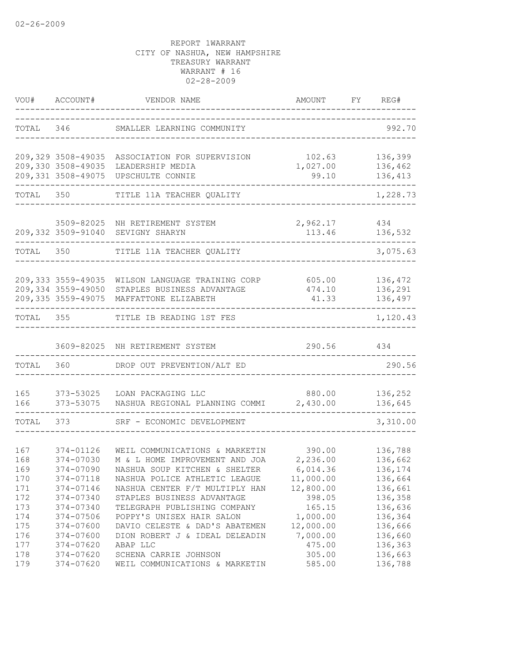|                          | VOU# ACCOUNT#                                                  | VENDOR NAME                                                                                                                   | AMOUNT                                      | FY REG#                                  |
|--------------------------|----------------------------------------------------------------|-------------------------------------------------------------------------------------------------------------------------------|---------------------------------------------|------------------------------------------|
|                          | TOTAL 346                                                      | SMALLER LEARNING COMMUNITY                                                                                                    |                                             | 992.70                                   |
|                          | 209,329 3508-49035<br>209,330 3508-49035<br>209,331 3508-49075 | ASSOCIATION FOR SUPERVISION<br>LEADERSHIP MEDIA<br>UPSCHULTE CONNIE                                                           | 102.63<br>1,027.00<br>99.10                 | 136,399<br>136,462<br>136,413            |
| TOTAL                    | 350                                                            | TITLE 11A TEACHER QUALITY                                                                                                     |                                             | 1,228.73                                 |
|                          |                                                                | 3509-82025 NH RETIREMENT SYSTEM<br>209,332 3509-91040 SEVIGNY SHARYN                                                          | 2,962.17<br>113.46                          | 434<br>136,532                           |
| TOTAL                    | 350                                                            | TITLE 11A TEACHER QUALITY                                                                                                     |                                             | 3,075.63                                 |
|                          | 209, 333 3559-49035<br>209,334 3559-49050                      | WILSON LANGUAGE TRAINING CORP<br>STAPLES BUSINESS ADVANTAGE<br>209,335 3559-49075 MAFFATTONE ELIZABETH                        | 605.00<br>474.10<br>41.33                   | 136,472<br>136,291<br>136,497            |
| TOTAL 355                |                                                                | TITLE IB READING 1ST FES                                                                                                      |                                             | 1,120.43                                 |
|                          |                                                                | 3609-82025 NH RETIREMENT SYSTEM                                                                                               | 290.56                                      | 434                                      |
| TOTAL                    | 360                                                            | DROP OUT PREVENTION/ALT ED                                                                                                    |                                             | 290.56                                   |
| 165<br>166               | 373-53025<br>373-53075                                         | LOAN PACKAGING LLC<br>NASHUA REGIONAL PLANNING COMMI                                                                          | 880.00<br>2,430.00                          | 136,252<br>136,645                       |
| TOTAL                    | 373                                                            | SRF - ECONOMIC DEVELOPMENT                                                                                                    |                                             | 3,310.00                                 |
| 167<br>168<br>169        | 374-01126<br>374-07030<br>374-07090                            | WEIL COMMUNICATIONS & MARKETIN<br>M & L HOME IMPROVEMENT AND JOA<br>NASHUA SOUP KITCHEN & SHELTER                             | 390.00<br>2,236.00<br>6,014.36              | 136,788<br>136,662<br>136,174            |
| 170<br>171<br>172<br>173 | 374-07118<br>374-07146<br>374-07340<br>374-07340               | NASHUA POLICE ATHLETIC LEAGUE<br>NASHUA CENTER F/T MULTIPLY HAN<br>STAPLES BUSINESS ADVANTAGE<br>TELEGRAPH PUBLISHING COMPANY | 11,000.00<br>12,800.00<br>398.05<br>165.15  | 136,664<br>136,661<br>136,358<br>136,636 |
| 174<br>175<br>176<br>177 | 374-07506<br>374-07600<br>374-07600<br>374-07620               | POPPY'S UNISEX HAIR SALON<br>DAVIO CELESTE & DAD'S ABATEMEN<br>DION ROBERT J & IDEAL DELEADIN<br>ABAP LLC                     | 1,000.00<br>12,000.00<br>7,000.00<br>475.00 | 136,364<br>136,666<br>136,660<br>136,363 |
| 178<br>179               | 374-07620<br>374-07620                                         | SCHENA CARRIE JOHNSON<br>WEIL COMMUNICATIONS & MARKETIN                                                                       | 305.00<br>585.00                            | 136,663<br>136,788                       |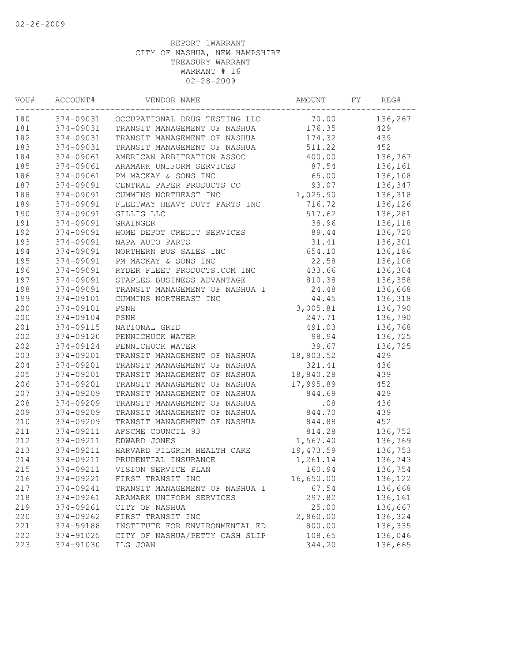| WOU# | ACCOUNT#  | VENDOR NAME                             | AMOUNT    | FY | REG#    |
|------|-----------|-----------------------------------------|-----------|----|---------|
| 180  |           | 374-09031 OCCUPATIONAL DRUG TESTING LLC | 70.00     |    | 136,267 |
| 181  | 374-09031 | TRANSIT MANAGEMENT OF NASHUA            | 176.35    |    | 429     |
| 182  | 374-09031 | TRANSIT MANAGEMENT OF NASHUA            | 174.32    |    | 439     |
| 183  | 374-09031 | TRANSIT MANAGEMENT OF NASHUA            | 511.22    |    | 452     |
| 184  | 374-09061 | AMERICAN ARBITRATION ASSOC              | 400.00    |    | 136,767 |
| 185  | 374-09061 | ARAMARK UNIFORM SERVICES                | 87.54     |    | 136,161 |
| 186  | 374-09061 | PM MACKAY & SONS INC                    | 65.00     |    | 136,108 |
| 187  | 374-09091 | CENTRAL PAPER PRODUCTS CO               | 93.07     |    | 136,347 |
| 188  | 374-09091 | CUMMINS NORTHEAST INC                   | 1,025.90  |    | 136,318 |
| 189  | 374-09091 | FLEETWAY HEAVY DUTY PARTS INC           | 716.72    |    | 136,126 |
| 190  | 374-09091 | GILLIG LLC                              | 517.62    |    | 136,281 |
| 191  | 374-09091 | GRAINGER                                | 38.96     |    | 136,118 |
| 192  | 374-09091 | HOME DEPOT CREDIT SERVICES              | 89.44     |    | 136,720 |
| 193  | 374-09091 | NAPA AUTO PARTS                         | 31.41     |    | 136,301 |
| 194  | 374-09091 | NORTHERN BUS SALES INC                  | 654.10    |    | 136,186 |
| 195  | 374-09091 | PM MACKAY & SONS INC                    | 22.58     |    | 136,108 |
| 196  | 374-09091 | RYDER FLEET PRODUCTS.COM INC            | 433.66    |    | 136,304 |
| 197  | 374-09091 | STAPLES BUSINESS ADVANTAGE              | 810.38    |    | 136,358 |
| 198  | 374-09091 | TRANSIT MANAGEMENT OF NASHUA I          | 24.48     |    | 136,668 |
| 199  | 374-09101 | CUMMINS NORTHEAST INC                   | 44.45     |    | 136,318 |
| 200  | 374-09101 | PSNH                                    | 3,005.81  |    | 136,790 |
| 200  | 374-09104 | PSNH                                    | 247.71    |    | 136,790 |
| 201  | 374-09115 | NATIONAL GRID                           | 491.03    |    | 136,768 |
| 202  | 374-09120 | PENNICHUCK WATER                        | 98.94     |    | 136,725 |
| 202  | 374-09124 | PENNICHUCK WATER                        | 39.67     |    | 136,725 |
| 203  | 374-09201 | TRANSIT MANAGEMENT OF NASHUA            | 18,803.52 |    | 429     |
| 204  | 374-09201 | TRANSIT MANAGEMENT OF NASHUA            | 321.41    |    | 436     |
| 205  | 374-09201 | TRANSIT MANAGEMENT OF NASHUA            | 18,840.28 |    | 439     |
| 206  | 374-09201 | TRANSIT MANAGEMENT OF NASHUA            | 17,995.89 |    | 452     |
| 207  | 374-09209 | TRANSIT MANAGEMENT OF NASHUA            | 844.69    |    | 429     |
| 208  | 374-09209 | TRANSIT MANAGEMENT OF NASHUA            | .08       |    | 436     |
| 209  | 374-09209 | TRANSIT MANAGEMENT OF NASHUA            | 844.70    |    | 439     |
| 210  | 374-09209 | TRANSIT MANAGEMENT OF NASHUA            | 844.88    |    | 452     |
| 211  | 374-09211 | AFSCME COUNCIL 93                       | 814.28    |    | 136,752 |
| 212  | 374-09211 | EDWARD JONES                            | 1,567.40  |    | 136,769 |
| 213  | 374-09211 | HARVARD PILGRIM HEALTH CARE             | 19,473.59 |    | 136,753 |
| 214  | 374-09211 | PRUDENTIAL INSURANCE                    | 1,261.14  |    | 136,743 |
| 215  |           | 374-09211 VISION SERVICE PLAN           | 160.94    |    | 136,754 |
| 216  | 374-09221 | FIRST TRANSIT INC                       | 16,650.00 |    | 136,122 |
| 217  | 374-09241 | TRANSIT MANAGEMENT OF NASHUA I          | 67.54     |    | 136,668 |
| 218  | 374-09261 | ARAMARK UNIFORM SERVICES                | 297.82    |    | 136,161 |
| 219  | 374-09261 | CITY OF NASHUA                          | 25.00     |    | 136,667 |
| 220  | 374-09262 | FIRST TRANSIT INC                       | 2,860.00  |    | 136,324 |
| 221  | 374-59188 | INSTITUTE FOR ENVIRONMENTAL ED          | 800.00    |    | 136,335 |
| 222  | 374-91025 | CITY OF NASHUA/PETTY CASH SLIP          | 108.65    |    | 136,046 |
|      |           |                                         |           |    |         |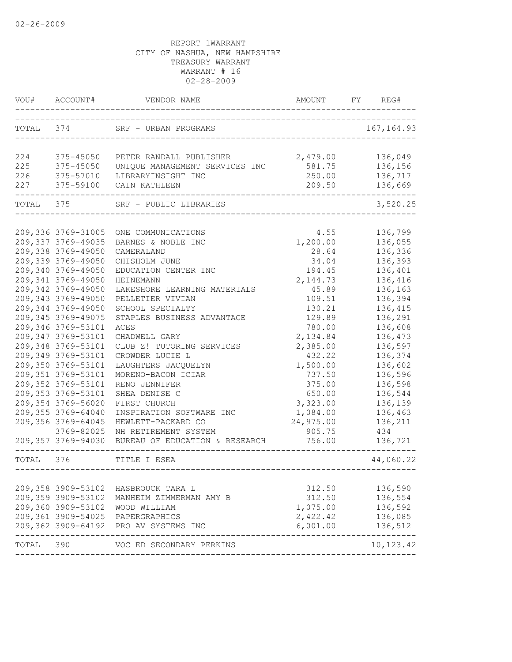|            | VOU# ACCOUNT#                             | VENDOR NAME                         | AMOUNT           | FY | REG#               |
|------------|-------------------------------------------|-------------------------------------|------------------|----|--------------------|
|            |                                           | TOTAL 374 SRF - URBAN PROGRAMS      |                  |    | 167, 164.93        |
|            |                                           |                                     |                  |    |                    |
| 224        | 375-45050                                 | PETER RANDALL PUBLISHER             | 2,479.00         |    | 136,049            |
| 225        | 375-45050                                 | UNIQUE MANAGEMENT SERVICES INC      | 581.75           |    | 136,156            |
| 226<br>227 | 375-57010<br>375-59100                    | LIBRARYINSIGHT INC<br>CAIN KATHLEEN | 250.00<br>209.50 |    | 136,717<br>136,669 |
| TOTAL 375  |                                           | SRF - PUBLIC LIBRARIES              |                  |    | 3,520.25           |
|            |                                           |                                     |                  |    |                    |
|            | 209,336 3769-31005<br>209, 337 3769-49035 | ONE COMMUNICATIONS                  | 4.55             |    | 136,799<br>136,055 |
|            | 209,338 3769-49050                        | BARNES & NOBLE INC                  | 1,200.00         |    | 136,336            |
|            | 209,339 3769-49050                        | CAMERALAND<br>CHISHOLM JUNE         | 28.64<br>34.04   |    | 136,393            |
|            | 209,340 3769-49050                        | EDUCATION CENTER INC                | 194.45           |    | 136,401            |
|            | 209,341 3769-49050                        | HEINEMANN                           | 2, 144.73        |    | 136,416            |
|            | 209,342 3769-49050                        | LAKESHORE LEARNING MATERIALS        | 45.89            |    | 136,163            |
|            | 209,343 3769-49050                        | PELLETIER VIVIAN                    | 109.51           |    | 136,394            |
|            | 209,344 3769-49050                        | SCHOOL SPECIALTY                    | 130.21           |    | 136,415            |
|            | 209,345 3769-49075                        | STAPLES BUSINESS ADVANTAGE          | 129.89           |    | 136,291            |
|            | 209,346 3769-53101                        | ACES                                | 780.00           |    | 136,608            |
|            | 209,347 3769-53101                        | CHADWELL GARY                       | 2,134.84         |    | 136,473            |
|            | 209,348 3769-53101                        | CLUB Z! TUTORING SERVICES           | 2,385.00         |    | 136,597            |
|            | 209,349 3769-53101                        | CROWDER LUCIE L                     | 432.22           |    | 136,374            |
|            | 209,350 3769-53101                        | LAUGHTERS JACQUELYN                 | 1,500.00         |    | 136,602            |
|            | 209,351 3769-53101                        | MORENO-BACON ICIAR                  | 737.50           |    | 136,596            |
|            | 209,352 3769-53101                        | RENO JENNIFER                       | 375.00           |    | 136,598            |
|            | 209, 353 3769-53101                       | SHEA DENISE C                       | 650.00           |    | 136,544            |
|            | 209,354 3769-56020                        | FIRST CHURCH                        | 3,323.00         |    | 136,139            |
|            | 209,355 3769-64040                        | INSPIRATION SOFTWARE INC            | 1,084.00         |    | 136,463            |
|            | 209,356 3769-64045                        | HEWLETT-PACKARD CO                  | 24,975.00        |    | 136,211            |
|            | 3769-82025                                | NH RETIREMENT SYSTEM                | 905.75           |    | 434                |
|            | 209,357 3769-94030                        | BUREAU OF EDUCATION & RESEARCH      | 756.00           |    | 136,721            |
| TOTAL 376  |                                           | TITLE I ESEA                        |                  |    | 44,060.22          |
|            |                                           |                                     |                  |    |                    |
|            | 209,358 3909-53102                        | HASBROUCK TARA L                    | 312.50           |    | 136,590            |
|            | 209,359 3909-53102                        | MANHEIM ZIMMERMAN AMY B             | 312.50           |    | 136,554            |
|            | 209,360 3909-53102                        | WOOD WILLIAM                        | 1,075.00 136,592 |    |                    |
|            | 209,361 3909-54025                        | PAPERGRAPHICS                       | 2,422.42         |    | 136,085            |
|            | 209,362 3909-64192                        | PRO AV SYSTEMS INC                  | 6,001.00         |    | 136,512            |
| TOTAL 390  |                                           | VOC ED SECONDARY PERKINS            |                  |    | 10,123.42          |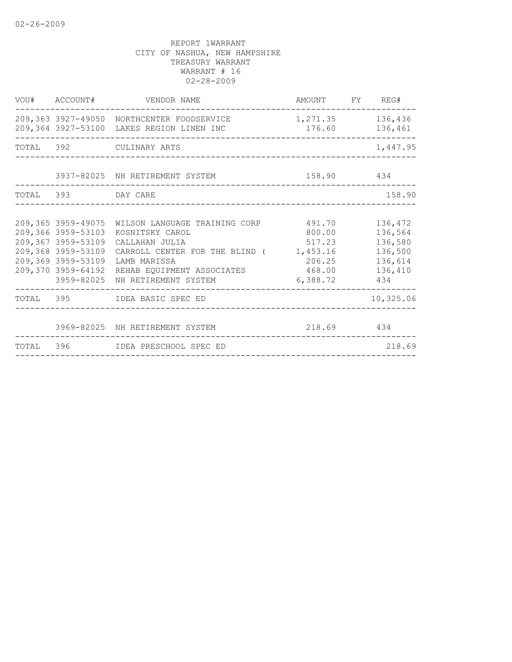|           |                                                                                                                                                | 209,363 3927-49050 NORTHCENTER FOODSERVICE<br>209,364 3927-53100 LAKES REGION LINEN INC                                                                                    | 1,271.35 136,436<br>176.60 136,461                                     |                                                                       |
|-----------|------------------------------------------------------------------------------------------------------------------------------------------------|----------------------------------------------------------------------------------------------------------------------------------------------------------------------------|------------------------------------------------------------------------|-----------------------------------------------------------------------|
|           |                                                                                                                                                | TOTAL 392 CULINARY ARTS                                                                                                                                                    |                                                                        | 1,447.95                                                              |
|           |                                                                                                                                                | 3937-82025 NH RETIREMENT SYSTEM                                                                                                                                            | 158.90 434                                                             |                                                                       |
| TOTAL 393 |                                                                                                                                                | DAY CARE                                                                                                                                                                   |                                                                        | 158.90                                                                |
|           | 209,365 3959-49075<br>209,366 3959-53103<br>209,367 3959-53109<br>209,368 3959-53109<br>209,369 3959-53109<br>209,370 3959-64192<br>3959-82025 | WILSON LANGUAGE TRAINING CORP<br>KOSNITSKY CAROL<br>CALLAHAN JULIA<br>CARROLL CENTER FOR THE BLIND (<br>LAMB MARISSA<br>REHAB EQUIPMENT ASSOCIATES<br>NH RETIREMENT SYSTEM | 491.70<br>800.00<br>517.23<br>1,453.16<br>206.25<br>468.00<br>6,388.72 | 136,472<br>136,564<br>136,580<br>136,500<br>136,614<br>136,410<br>434 |
|           |                                                                                                                                                | TOTAL 395 IDEA BASIC SPEC ED                                                                                                                                               |                                                                        | 10,325.06                                                             |
|           |                                                                                                                                                | 3969-82025 NH RETIREMENT SYSTEM                                                                                                                                            | 218.69 434                                                             |                                                                       |
|           |                                                                                                                                                | TOTAL 396 IDEA PRESCHOOL SPEC ED                                                                                                                                           |                                                                        | 218.69                                                                |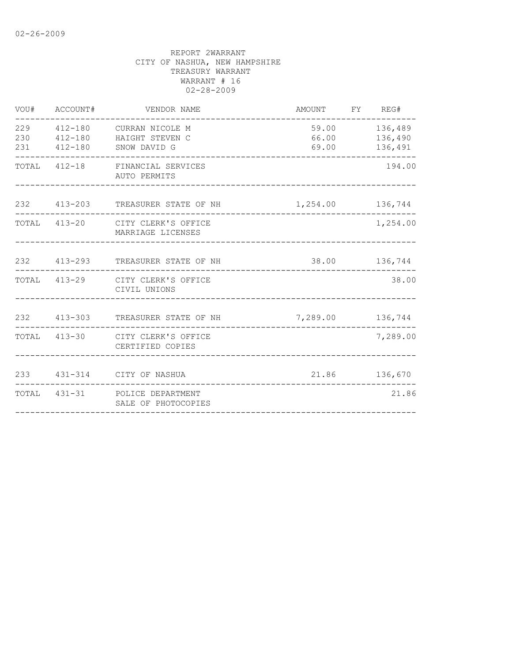| VOU#       | ACCOUNT# | VENDOR NAME                                                                      | AMOUNT FY REG#   |                                           |
|------------|----------|----------------------------------------------------------------------------------|------------------|-------------------------------------------|
| 230<br>231 |          | 229  412-180  CURRAN NICOLE M<br>412-180 HAIGHT STEVEN C<br>412-180 SNOW DAVID G | 69.00            | 59.00 136,489<br>66.00 136,490<br>136,491 |
|            |          | TOTAL 412-18 FINANCIAL SERVICES<br>AUTO PERMITS                                  |                  | 194.00                                    |
|            |          | 232 413-203 TREASURER STATE OF NH<br>----------------------                      | 1,254.00 136,744 |                                           |
|            |          | TOTAL 413-20 CITY CLERK'S OFFICE<br>MARRIAGE LICENSES                            |                  | 1,254.00                                  |
|            |          | 232 413-293 TREASURER STATE OF NH                                                |                  | 38.00 136,744                             |
|            |          | TOTAL 413-29 CITY CLERK'S OFFICE<br>CIVIL UNIONS                                 |                  | 38.00                                     |
|            |          | 232 413-303 TREASURER STATE OF NH                                                | 7,289.00 136,744 |                                           |
|            |          | TOTAL 413-30 CITY CLERK'S OFFICE<br>CERTIFIED COPIES                             |                  | 7,289.00                                  |
|            |          | 233 431-314 CITY OF NASHUA                                                       |                  | 21.86 136,670                             |
|            |          | TOTAL 431-31 POLICE DEPARTMENT<br>SALE OF PHOTOCOPIES                            |                  | 21.86                                     |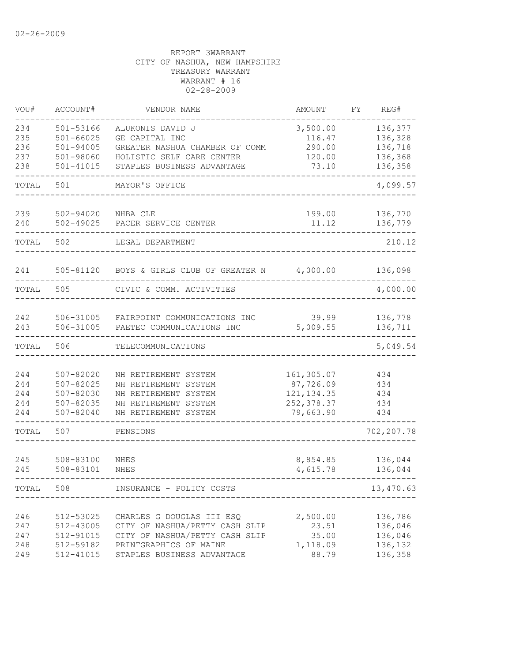| VOU#       | ACCOUNT#                   | VENDOR NAME                                                 | <b>AMOUNT</b>            | FY | REG#       |
|------------|----------------------------|-------------------------------------------------------------|--------------------------|----|------------|
| 234        | $501 - 53166$              | ALUKONIS DAVID J                                            | 3,500.00                 |    | 136,377    |
| 235        | $501 - 66025$              | GE CAPITAL INC                                              | 116.47                   |    | 136,328    |
| 236        | $501 - 94005$              | GREATER NASHUA CHAMBER OF COMM                              | 290.00                   |    | 136,718    |
| 237        | 501-98060                  | HOLISTIC SELF CARE CENTER                                   | 120.00                   |    | 136,368    |
| 238        | $501 - 41015$              | STAPLES BUSINESS ADVANTAGE                                  | 73.10                    |    | 136,358    |
| TOTAL      | 501                        | MAYOR'S OFFICE                                              |                          |    | 4,099.57   |
| 239        | $502 - 94020$              | NHBA CLE                                                    | 199.00                   |    | 136,770    |
| 240        | $502 - 49025$              | PACER SERVICE CENTER                                        | 11.12                    |    | 136,779    |
| TOTAL      | 502                        | LEGAL DEPARTMENT                                            |                          |    | 210.12     |
| 241        | 505-81120                  | BOYS & GIRLS CLUB OF GREATER N                              | 4,000.00                 |    | 136,098    |
| TOTAL      | 505                        | CIVIC & COMM. ACTIVITIES                                    |                          |    | 4,000.00   |
| 242        | 506-31005                  | FAIRPOINT COMMUNICATIONS INC                                | 39.99                    |    | 136,778    |
| 243        | 506-31005                  | PAETEC COMMUNICATIONS INC                                   | 5,009.55                 |    | 136,711    |
| TOTAL      | 506                        | TELECOMMUNICATIONS                                          |                          |    | 5,049.54   |
|            |                            |                                                             |                          |    |            |
| 244        | $507 - 82020$              | NH RETIREMENT SYSTEM                                        | 161,305.07               |    | 434        |
| 244        | $507 - 82025$              | NH RETIREMENT SYSTEM                                        | 87,726.09                |    | 434        |
| 244        | $507 - 82030$              | NH RETIREMENT SYSTEM                                        | 121, 134.35              |    | 434        |
| 244<br>244 | 507-82035<br>$507 - 82040$ | NH RETIREMENT SYSTEM<br>NH RETIREMENT SYSTEM                | 252, 378.37<br>79,663.90 |    | 434<br>434 |
| TOTAL      | 507                        | PENSIONS                                                    |                          |    | 702,207.78 |
|            |                            |                                                             |                          |    |            |
| 245        | 508-83100                  | NHES                                                        | 8,854.85                 |    | 136,044    |
| 245        | 508-83101                  | NHES                                                        | 4,615.78                 |    | 136,044    |
| TOTAL      | 508                        | INSURANCE - POLICY COSTS                                    |                          |    | 13,470.63  |
|            |                            |                                                             |                          |    |            |
| 246<br>247 | 512-53025                  | CHARLES G DOUGLAS III ESQ<br>CITY OF NASHUA/PETTY CASH SLIP | 2,500.00                 |    | 136,786    |
|            | 512-43005                  |                                                             | 23.51                    |    | 136,046    |
| 247        | 512-91015                  | CITY OF NASHUA/PETTY CASH SLIP                              | 35.00                    |    | 136,046    |
| 248        | 512-59182                  | PRINTGRAPHICS OF MAINE                                      | 1,118.09                 |    | 136,132    |
| 249        | 512-41015                  | STAPLES BUSINESS ADVANTAGE                                  | 88.79                    |    | 136,358    |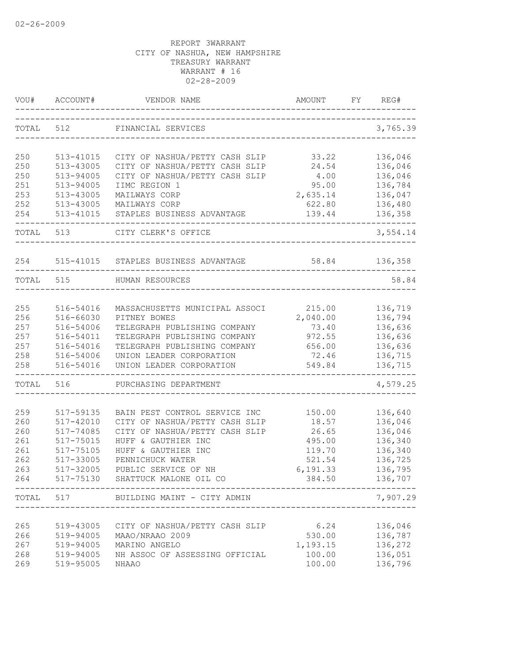| VOU#      | ACCOUNT#  | VENDOR NAME                      | AMOUNT    | FY | REG#                    |
|-----------|-----------|----------------------------------|-----------|----|-------------------------|
| TOTAL     | 512       | FINANCIAL SERVICES               |           |    | 3,765.39                |
|           |           |                                  |           |    |                         |
| 250       | 513-41015 | CITY OF NASHUA/PETTY CASH SLIP   | 33.22     |    | 136,046                 |
| 250       | 513-43005 | CITY OF NASHUA/PETTY CASH SLIP   | 24.54     |    | 136,046                 |
| 250       | 513-94005 | CITY OF NASHUA/PETTY CASH SLIP   | 4.00      |    | 136,046                 |
| 251       | 513-94005 | IIMC REGION 1                    | 95.00     |    | 136,784                 |
| 253       | 513-43005 | MAILWAYS CORP                    | 2,635.14  |    | 136,047                 |
| 252       | 513-43005 | MAILWAYS CORP                    | 622.80    |    | 136,480                 |
| 254       | 513-41015 | STAPLES BUSINESS ADVANTAGE       | 139.44    |    | 136,358                 |
| TOTAL     | 513       | CITY CLERK'S OFFICE              |           |    | 3,554.14                |
| 254       | 515-41015 | STAPLES BUSINESS ADVANTAGE       | 58.84     |    | 136,358                 |
| TOTAL 515 |           | HUMAN RESOURCES                  |           |    | 58.84                   |
|           |           |                                  |           |    |                         |
| 255       | 516-54016 | MASSACHUSETTS MUNICIPAL ASSOCI   | 215.00    |    | 136,719                 |
| 256       | 516-66030 | PITNEY BOWES                     | 2,040.00  |    | 136,794                 |
| 257       | 516-54006 | TELEGRAPH PUBLISHING COMPANY     | 73.40     |    | 136,636                 |
| 257       | 516-54011 | TELEGRAPH PUBLISHING COMPANY     | 972.55    |    | 136,636                 |
| 257       | 516-54016 | TELEGRAPH PUBLISHING COMPANY     | 656.00    |    | 136,636                 |
| 258       | 516-54006 | UNION LEADER CORPORATION         | 72.46     |    | 136,715                 |
| 258       | 516-54016 | UNION LEADER CORPORATION         | 549.84    |    | 136,715                 |
| TOTAL     | 516       | PURCHASING DEPARTMENT            |           |    | 4,579.25                |
| 259       | 517-59135 | BAIN PEST CONTROL SERVICE INC    | 150.00    |    | 136,640                 |
| 260       | 517-42010 | CITY OF NASHUA/PETTY CASH SLIP   | 18.57     |    | 136,046                 |
| 260       | 517-74085 | CITY OF NASHUA/PETTY CASH SLIP   | 26.65     |    | 136,046                 |
| 261       | 517-75015 | HUFF & GAUTHIER INC              | 495.00    |    | 136,340                 |
| 261       | 517-75105 | HUFF & GAUTHIER INC              | 119.70    |    | 136,340                 |
| 262       | 517-33005 | PENNICHUCK WATER                 | 521.54    |    | 136,725                 |
| 263       | 517-32005 | PUBLIC SERVICE OF NH             | 6, 191.33 |    | 136,795                 |
| 264       |           | 517-75130 SHATTUCK MALONE OIL CO | 384.50    |    | 136,707                 |
| TOTAL 517 |           | BUILDING MAINT - CITY ADMIN      |           |    | $- - - - -$<br>7,907.29 |
|           |           |                                  |           |    |                         |
| 265       | 519-43005 | CITY OF NASHUA/PETTY CASH SLIP   | 6.24      |    | 136,046                 |
| 266       | 519-94005 | MAAO/NRAAO 2009                  | 530.00    |    | 136,787                 |
| 267       | 519-94005 | MARINO ANGELO                    | 1,193.15  |    | 136,272                 |
| 268       | 519-94005 | NH ASSOC OF ASSESSING OFFICIAL   | 100.00    |    | 136,051                 |
| 269       | 519-95005 | <b>NHAAO</b>                     | 100.00    |    | 136,796                 |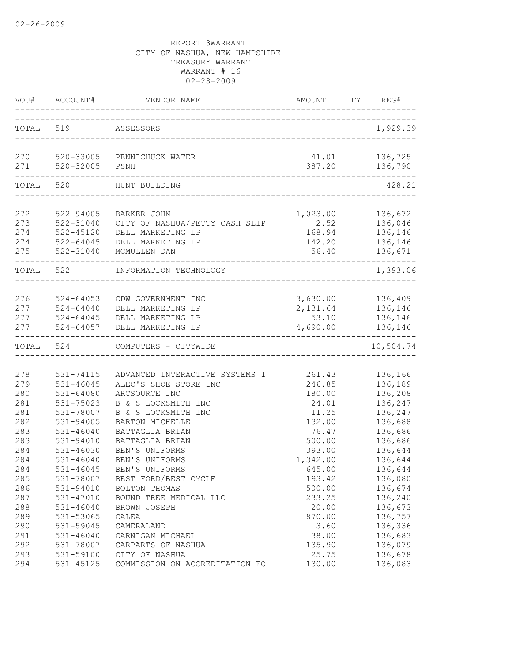|                                 | VOU# ACCOUNT#                                                     | VENDOR NAME                                                                                                    | AMOUNT                                        | REG#<br>FY                                                   |
|---------------------------------|-------------------------------------------------------------------|----------------------------------------------------------------------------------------------------------------|-----------------------------------------------|--------------------------------------------------------------|
| TOTAL 519                       |                                                                   | ASSESSORS                                                                                                      |                                               | 1,929.39                                                     |
| 270                             | 520-32005                                                         | 520-33005 PENNICHUCK WATER                                                                                     | 41.01                                         | 136,725                                                      |
| 271                             |                                                                   | PSNH                                                                                                           | 387.20                                        | 136,790                                                      |
| TOTAL                           | 520                                                               | ---------------------------------<br>HUNT BUILDING                                                             |                                               | 428.21                                                       |
| 272<br>273<br>274<br>274<br>275 | 522-94005<br>522-31040<br>$522 - 45120$<br>522-64045<br>522-31040 | <b>BARKER JOHN</b><br>CITY OF NASHUA/PETTY CASH SLIP<br>DELL MARKETING LP<br>DELL MARKETING LP<br>MCMULLEN DAN | 1,023.00<br>2.52<br>168.94<br>142.20<br>56.40 | 136,672<br>136,046<br>136,146<br>136,146<br>136,671          |
| TOTAL 522                       |                                                                   | INFORMATION TECHNOLOGY                                                                                         |                                               | 1,393.06                                                     |
| 276<br>277<br>277               | 524-64053<br>277 524-64040<br>524-64045<br>524-64057              | CDW GOVERNMENT INC<br>DELL MARKETING LP<br>DELL MARKETING LP<br>DELL MARKETING LP                              | 53.10<br>4,690.00                             | 3,630.00 136,409<br>2, 131.64 136, 146<br>136,146<br>136,146 |
| TOTAL                           | 524                                                               | COMPUTERS - CITYWIDE                                                                                           |                                               | --------<br>10,504.74                                        |
| 278                             | $531 - 74115$                                                     | ADVANCED INTERACTIVE SYSTEMS I                                                                                 | 261.43                                        | 136,166                                                      |
| 279                             | 531-46045                                                         | ALEC'S SHOE STORE INC                                                                                          | 246.85                                        | 136,189                                                      |
| 280                             | 531-64080                                                         | ARCSOURCE INC                                                                                                  | 180.00                                        | 136,208                                                      |
| 281                             | 531-75023                                                         | B & S LOCKSMITH INC                                                                                            | 24.01                                         | 136,247                                                      |
| 281                             | 531-78007                                                         | B & S LOCKSMITH INC                                                                                            | 11.25                                         | 136,247                                                      |
| 282                             | 531-94005                                                         | BARTON MICHELLE                                                                                                | 132.00                                        | 136,688                                                      |
| 283                             | $531 - 46040$                                                     | BATTAGLIA BRIAN                                                                                                | 76.47                                         | 136,686                                                      |
| 283                             | 531-94010                                                         | BATTAGLIA BRIAN                                                                                                | 500.00                                        | 136,686                                                      |
| 284                             | 531-46030                                                         | BEN'S UNIFORMS                                                                                                 | 393.00                                        | 136,644                                                      |
| 284                             | $531 - 46040$                                                     | BEN'S UNIFORMS                                                                                                 | 1,342.00                                      | 136,644                                                      |
| 284                             | $531 - 46045$                                                     | BEN'S UNIFORMS                                                                                                 | 645.00                                        | 136,644                                                      |
| 285                             | 531-78007                                                         | BEST FORD/BEST CYCLE                                                                                           | 193.42                                        | 136,080                                                      |
| 286                             | 531-94010                                                         | BOLTON THOMAS                                                                                                  | 500.00                                        | 136,674                                                      |
| 287                             | 531-47010                                                         | BOUND TREE MEDICAL LLC                                                                                         | 233.25                                        | 136,240                                                      |
| 288                             | $531 - 46040$                                                     | BROWN JOSEPH                                                                                                   | 20.00                                         | 136,673                                                      |
| 289                             | 531-53065                                                         | CALEA                                                                                                          | 870.00                                        | 136,757                                                      |
| 290                             | 531-59045                                                         | CAMERALAND                                                                                                     | 3.60                                          | 136,336                                                      |
| 291                             | 531-46040                                                         | CARNIGAN MICHAEL                                                                                               | 38.00                                         | 136,683                                                      |
| 292                             | 531-78007                                                         | CARPARTS OF NASHUA                                                                                             | 135.90                                        | 136,079                                                      |
| 293                             | 531-59100                                                         | CITY OF NASHUA                                                                                                 | 25.75                                         | 136,678                                                      |
| 294                             | 531-45125                                                         | COMMISSION ON ACCREDITATION FO                                                                                 | 130.00                                        | 136,083                                                      |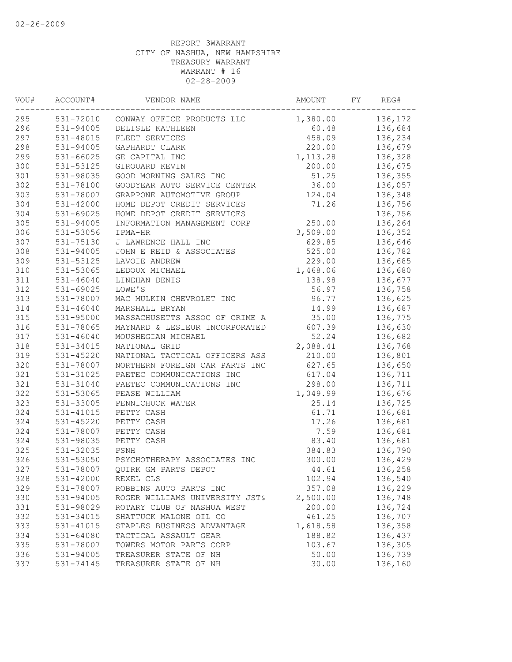| VOU# | ACCOUNT#      | VENDOR NAME                    | AMOUNT    | FY | REG#    |
|------|---------------|--------------------------------|-----------|----|---------|
| 295  | 531-72010     | CONWAY OFFICE PRODUCTS LLC     | 1,380.00  |    | 136,172 |
| 296  | 531-94005     | DELISLE KATHLEEN               | 60.48     |    | 136,684 |
| 297  | 531-48015     | FLEET SERVICES                 | 458.09    |    | 136,234 |
| 298  | $531 - 94005$ | GAPHARDT CLARK                 | 220.00    |    | 136,679 |
| 299  | 531-66025     | GE CAPITAL INC                 | 1, 113.28 |    | 136,328 |
| 300  | 531-53125     | GIROUARD KEVIN                 | 200.00    |    | 136,675 |
| 301  | 531-98035     | GOOD MORNING SALES INC         | 51.25     |    | 136,355 |
| 302  | 531-78100     | GOODYEAR AUTO SERVICE CENTER   | 36.00     |    | 136,057 |
| 303  | 531-78007     | GRAPPONE AUTOMOTIVE GROUP      | 124.04    |    | 136,348 |
| 304  | 531-42000     | HOME DEPOT CREDIT SERVICES     | 71.26     |    | 136,756 |
| 304  | 531-69025     | HOME DEPOT CREDIT SERVICES     |           |    | 136,756 |
| 305  | 531-94005     | INFORMATION MANAGEMENT CORP    | 250.00    |    | 136,264 |
| 306  | 531-53056     | IPMA-HR                        | 3,509.00  |    | 136,352 |
| 307  | 531-75130     | J LAWRENCE HALL INC            | 629.85    |    | 136,646 |
| 308  | 531-94005     | JOHN E REID & ASSOCIATES       | 525.00    |    | 136,782 |
| 309  | 531-53125     | LAVOIE ANDREW                  | 229.00    |    | 136,685 |
| 310  | 531-53065     | LEDOUX MICHAEL                 | 1,468.06  |    | 136,680 |
| 311  | $531 - 46040$ | LINEHAN DENIS                  | 138.98    |    | 136,677 |
| 312  | 531-69025     | LOWE'S                         | 56.97     |    | 136,758 |
| 313  | 531-78007     | MAC MULKIN CHEVROLET INC       | 96.77     |    | 136,625 |
| 314  | $531 - 46040$ | MARSHALL BRYAN                 | 14.99     |    | 136,687 |
| 315  | 531-95000     | MASSACHUSETTS ASSOC OF CRIME A | 35.00     |    | 136,775 |
| 316  | 531-78065     | MAYNARD & LESIEUR INCORPORATED | 607.39    |    | 136,630 |
| 317  | $531 - 46040$ | MOUSHEGIAN MICHAEL             | 52.24     |    | 136,682 |
| 318  | 531-34015     | NATIONAL GRID                  | 2,088.41  |    | 136,768 |
| 319  | 531-45220     |                                | 210.00    |    |         |
| 320  |               | NATIONAL TACTICAL OFFICERS ASS | 627.65    |    | 136,801 |
| 321  | 531-78007     | NORTHERN FOREIGN CAR PARTS INC |           |    | 136,650 |
|      | 531-31025     | PAETEC COMMUNICATIONS INC      | 617.04    |    | 136,711 |
| 321  | 531-31040     | PAETEC COMMUNICATIONS INC      | 298.00    |    | 136,711 |
| 322  | 531-53065     | PEASE WILLIAM                  | 1,049.99  |    | 136,676 |
| 323  | 531-33005     | PENNICHUCK WATER               | 25.14     |    | 136,725 |
| 324  | 531-41015     | PETTY CASH                     | 61.71     |    | 136,681 |
| 324  | 531-45220     | PETTY CASH                     | 17.26     |    | 136,681 |
| 324  | 531-78007     | PETTY CASH                     | 7.59      |    | 136,681 |
| 324  | 531-98035     | PETTY CASH                     | 83.40     |    | 136,681 |
| 325  | 531-32035     | PSNH                           | 384.83    |    | 136,790 |
| 326  | 531-53050     | PSYCHOTHERAPY ASSOCIATES INC   | 300.00    |    | 136,429 |
| 327  | 531-78007     | OUIRK GM PARTS DEPOT           | 44.61     |    | 136,258 |
| 328  | 531-42000     | REXEL CLS                      | 102.94    |    | 136,540 |
| 329  | 531-78007     | ROBBINS AUTO PARTS INC         | 357.08    |    | 136,229 |
| 330  | 531-94005     | ROGER WILLIAMS UNIVERSITY JST& | 2,500.00  |    | 136,748 |
| 331  | 531-98029     | ROTARY CLUB OF NASHUA WEST     | 200.00    |    | 136,724 |
| 332  | 531-34015     | SHATTUCK MALONE OIL CO         | 461.25    |    | 136,707 |
| 333  | 531-41015     | STAPLES BUSINESS ADVANTAGE     | 1,618.58  |    | 136,358 |
| 334  | $531 - 64080$ | TACTICAL ASSAULT GEAR          | 188.82    |    | 136,437 |
| 335  | 531-78007     | TOWERS MOTOR PARTS CORP        | 103.67    |    | 136,305 |
| 336  | 531-94005     | TREASURER STATE OF NH          | 50.00     |    | 136,739 |
| 337  | 531-74145     | TREASURER STATE OF NH          | 30.00     |    | 136,160 |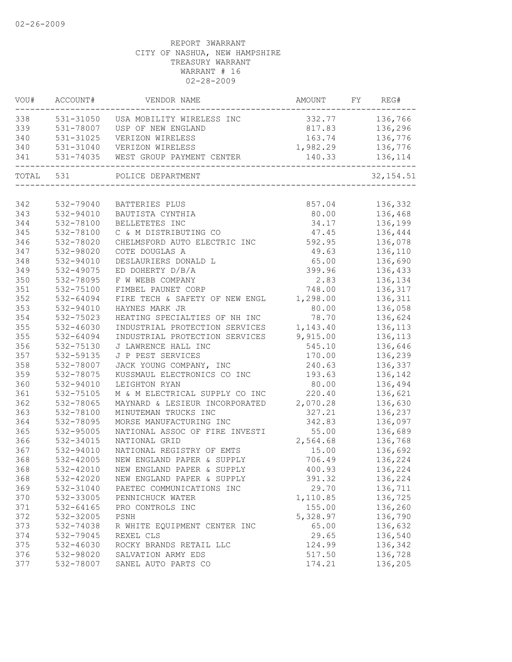| VOU#      | ACCOUNT#      | VENDOR NAME                             | AMOUNT           | FY REG#                  |
|-----------|---------------|-----------------------------------------|------------------|--------------------------|
| 338       |               | 531-31050 USA MOBILITY WIRELESS INC     | 332.77 136,766   |                          |
| 339       | 531-78007     | USP OF NEW ENGLAND                      |                  | 817.83 136,296           |
| 340       | 531-31025     | VERIZON WIRELESS                        |                  | 163.74 136,776           |
| 340       |               | 531-31040 VERIZON WIRELESS              | 1,982.29 136,776 |                          |
| 341       |               | 531-74035 WEST GROUP PAYMENT CENTER     |                  | 140.33 136,114           |
| TOTAL 531 |               | POLICE DEPARTMENT                       |                  | 32, 154.51               |
|           |               |                                         |                  |                          |
| 342       | 532-79040     | BATTERIES PLUS                          | 857.04           | 136,332<br>80.00 136,468 |
| 343       | 532-94010     | BAUTISTA CYNTHIA                        |                  |                          |
| 344       | 532-78100     | BELLETETES INC                          | 34.17            | 136,199                  |
| 345       | 532-78100     | C & M DISTRIBUTING CO                   | 47.45            | 136,444                  |
| 346       | 532-78020     | CHELMSFORD AUTO ELECTRIC INC            | 592.95           | 136,078                  |
| 347       | 532-98020     | COTE DOUGLAS A                          | 49.63            | 136,110                  |
| 348       | 532-94010     | DESLAURIERS DONALD L                    | 65.00            | 136,690                  |
| 349       | 532-49075     | ED DOHERTY D/B/A                        | 399.96           | 136,433                  |
| 350       | 532-78095     | F W WEBB COMPANY                        | 2.83             | 136,134                  |
| 351       | 532-75100     | FIMBEL PAUNET CORP                      | 748.00           | 136,317                  |
| 352       | 532-64094     | FIRE TECH & SAFETY OF NEW ENGL          | 1,298.00         | 136,311                  |
| 353       | 532-94010     | HAYNES MARK JR                          | 80.00            | 136,058                  |
| 354       | 532-75023     | HEATING SPECIALTIES OF NH INC           | 78.70            | 136,624                  |
| 355       | 532-46030     | INDUSTRIAL PROTECTION SERVICES          | 1, 143.40        | 136,113                  |
| 355       | 532-64094     | INDUSTRIAL PROTECTION SERVICES 9,915.00 |                  | 136,113                  |
| 356       | 532-75130     | J LAWRENCE HALL INC                     | 545.10           | 136,646                  |
| 357       | 532-59135     | J P PEST SERVICES                       | 170.00           | 136,239                  |
| 358       | 532-78007     | JACK YOUNG COMPANY, INC                 | 240.63           | 136,337                  |
| 359       | 532-78075     | KUSSMAUL ELECTRONICS CO INC             | 193.63           | 136,142                  |
| 360       | 532-94010     | LEIGHTON RYAN                           | 80.00            | 136,494                  |
| 361       | 532-75105     | M & M ELECTRICAL SUPPLY CO INC          | 220.40           | 136,621                  |
| 362       | 532-78065     | MAYNARD & LESIEUR INCORPORATED 2,070.28 |                  | 136,630                  |
| 363       | 532-78100     | MINUTEMAN TRUCKS INC                    | 327.21           | 136,237                  |
| 364       | 532-78095     | MORSE MANUFACTURING INC                 | 342.83           | 136,097                  |
| 365       | 532-95005     | NATIONAL ASSOC OF FIRE INVESTI          | 55.00            | 136,689                  |
| 366       | 532-34015     | NATIONAL GRID                           | 2,564.68         | 136,768                  |
| 367       | 532-94010     | NATIONAL REGISTRY OF EMTS               | 15.00            | 136,692                  |
| 368       | 532-42005     | NEW ENGLAND PAPER & SUPPLY              | 706.49           | 136,224                  |
| 368       | 532-42010     | NEW ENGLAND PAPER & SUPPLY              | 400.93           | 136,224                  |
| 368       | 532-42020     | NEW ENGLAND PAPER & SUPPLY              | 391.32           | 136,224                  |
| 369       | 532-31040     | PAETEC COMMUNICATIONS INC               | 29.70            | 136,711                  |
| 370       | 532-33005     | PENNICHUCK WATER                        | 1,110.85         | 136,725                  |
| 371       | $532 - 64165$ | PRO CONTROLS INC                        | 155.00           | 136,260                  |
| 372       | 532-32005     | PSNH                                    | 5,328.97         | 136,790                  |
| 373       | 532-74038     | R WHITE EQUIPMENT CENTER INC            | 65.00            | 136,632                  |
| 374       | 532-79045     | REXEL CLS                               | 29.65            | 136,540                  |
| 375       | 532-46030     | ROCKY BRANDS RETAIL LLC                 | 124.99           | 136,342                  |
| 376       | 532-98020     | SALVATION ARMY EDS                      | 517.50           | 136,728                  |
| 377       | 532-78007     | SANEL AUTO PARTS CO                     | 174.21           | 136,205                  |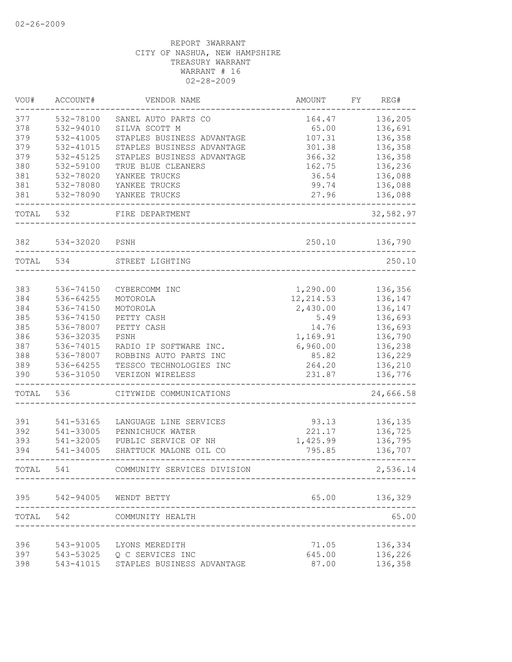| VOU#  | ACCOUNT#  | VENDOR NAME                          | AMOUNT     | REG#<br>FΥ |
|-------|-----------|--------------------------------------|------------|------------|
| 377   | 532-78100 | SANEL AUTO PARTS CO                  | 164.47     | 136,205    |
| 378   | 532-94010 | SILVA SCOTT M                        | 65.00      | 136,691    |
| 379   | 532-41005 | STAPLES BUSINESS ADVANTAGE           | 107.31     | 136,358    |
| 379   | 532-41015 | STAPLES BUSINESS ADVANTAGE           | 301.38     | 136,358    |
| 379   | 532-45125 | STAPLES BUSINESS ADVANTAGE           | 366.32     | 136,358    |
| 380   | 532-59100 | TRUE BLUE CLEANERS                   | 162.75     | 136,236    |
| 381   | 532-78020 | YANKEE TRUCKS                        | 36.54      | 136,088    |
| 381   | 532-78080 | YANKEE TRUCKS                        | 99.74      | 136,088    |
| 381   | 532-78090 | YANKEE TRUCKS                        | 27.96      | 136,088    |
| TOTAL | 532       | FIRE DEPARTMENT                      |            | 32,582.97  |
| 382   | 534-32020 | PSNH                                 | 250.10     | 136,790    |
| TOTAL | 534       | STREET LIGHTING                      |            | 250.10     |
|       |           |                                      |            |            |
| 383   | 536-74150 | CYBERCOMM INC                        | 1,290.00   | 136,356    |
| 384   | 536-64255 | MOTOROLA                             | 12, 214.53 | 136,147    |
| 384   | 536-74150 | MOTOROLA                             | 2,430.00   | 136,147    |
| 385   | 536-74150 | PETTY CASH                           | 5.49       | 136,693    |
| 385   | 536-78007 | PETTY CASH                           | 14.76      | 136,693    |
| 386   | 536-32035 | PSNH                                 | 1,169.91   | 136,790    |
| 387   | 536-74015 | RADIO IP SOFTWARE INC.               | 6,960.00   | 136,238    |
| 388   | 536-78007 | ROBBINS AUTO PARTS INC               | 85.82      | 136,229    |
| 389   | 536-64255 | TESSCO TECHNOLOGIES INC              | 264.20     | 136,210    |
| 390   | 536-31050 | VERIZON WIRELESS                     | 231.87     | 136,776    |
| TOTAL | 536       | CITYWIDE COMMUNICATIONS              |            | 24,666.58  |
|       |           |                                      |            |            |
| 391   | 541-53165 | LANGUAGE LINE SERVICES               | 93.13      | 136,135    |
| 392   | 541-33005 | PENNICHUCK WATER                     | 221.17     | 136,725    |
| 393   | 541-32005 | PUBLIC SERVICE OF NH                 | 1,425.99   | 136,795    |
| 394   | 541-34005 | SHATTUCK MALONE OIL CO               | 795.85     | 136,707    |
| TOTAL | 541       | COMMUNITY SERVICES DIVISION          |            | 2,536.14   |
| 395   | 542-94005 | WENDT BETTY                          | 65.00      | 136,329    |
|       |           |                                      |            |            |
| TOTAL | 542       | COMMUNITY HEALTH                     |            | 65.00      |
| 396   |           | 543-91005 LYONS MEREDITH             | 71.05      | 136,334    |
| 397   |           | 543-53025 Q C SERVICES INC           | 645.00     | 136,226    |
| 398   |           | 543-41015 STAPLES BUSINESS ADVANTAGE | 87.00      | 136,358    |
|       |           |                                      |            |            |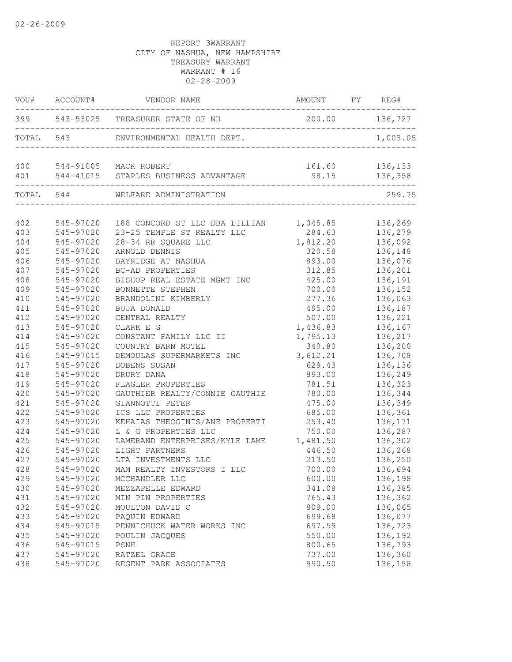|     | VOU# ACCOUNT# | VENDOR NAME                                                   | AMOUNT FY REG# |                |
|-----|---------------|---------------------------------------------------------------|----------------|----------------|
|     |               | 399 543-53025 TREASURER STATE OF NH                           | 200.00 136,727 |                |
|     |               | TOTAL 543 ENVIRONMENTAL HEALTH DEPT.                          |                | 1,003.05       |
|     |               | 400 544-91005 MACK ROBERT                                     |                | 161.60 136,133 |
| 401 |               |                                                               | 98.15          | 136,358        |
|     |               | TOTAL 544 WELFARE ADMINISTRATION<br>------------------------- |                | 259.75         |
|     |               |                                                               |                |                |
| 402 | 545-97020     | 188 CONCORD ST LLC DBA LILLIAN 1,045.85 136,269               |                |                |
| 403 | 545-97020     | 23-25 TEMPLE ST REALTY LLC                                    |                | 284.63 136,279 |
| 404 | 545-97020     | 28-34 RR SQUARE LLC                                           | 1,812.20       | 136,092        |
| 405 | 545-97020     | ARNOLD DENNIS                                                 | 320.58         | 136,148        |
| 406 | 545-97020     | BAYRIDGE AT NASHUA                                            | 893.00         | 136,076        |
| 407 | 545-97020     | BC-AD PROPERTIES                                              | 312.85         | 136,201        |
| 408 | 545-97020     | BISHOP REAL ESTATE MGMT INC                                   | 425.00         | 136,191        |
| 409 | 545-97020     | BONNETTE STEPHEN                                              | 700.00         | 136,152        |
| 410 | 545-97020     | BRANDOLINI KIMBERLY                                           | 277.36         | 136,063        |
| 411 | 545-97020     | BUJA DONALD                                                   | 495.00         | 136,187        |
| 412 | 545-97020     | CENTRAL REALTY                                                | 507.00         | 136,221        |
| 413 | 545-97020     | CLARK E G                                                     | 1,436.83       | 136,167        |
| 414 | 545-97020     | CONSTANT FAMILY LLC II                                        | 1,795.13       | 136,217        |
| 415 | 545-97020     | COUNTRY BARN MOTEL                                            | 340.80         | 136,200        |
| 416 | 545-97015     | DEMOULAS SUPERMARKETS INC                                     | 3,612.21       | 136,708        |
| 417 | 545-97020     | DOBENS SUSAN                                                  | 629.43         | 136,136        |
| 418 | 545-97020     | DRURY DANA                                                    | 893.00         | 136,249        |
| 419 | 545-97020     | FLAGLER PROPERTIES                                            | 781.51         | 136,323        |
| 420 | 545-97020     | GAUTHIER REALTY/CONNIE GAUTHIE                                | 780.00         | 136,344        |
| 421 | 545-97020     | GIANNOTTI PETER                                               | 475.00         | 136,349        |
| 422 | 545-97020     | ICS LLC PROPERTIES                                            | 685.00         | 136,361        |
| 423 | 545-97020     | KEHAIAS THEOGINIS/ANE PROPERTI                                | 253.40         | 136,171        |
| 424 | 545-97020     | L & G PROPERTIES LLC                                          | 750.00         | 136,287        |
| 425 | 545-97020     | LAMERAND ENTERPRISES/KYLE LAME 1,481.50                       |                | 136,302        |
| 426 | 545-97020     | LIGHT PARTNERS                                                | 446.50         | 136,268        |
| 427 | 545-97020     | LTA INVESTMENTS LLC                                           | 213.50         | 136,250        |
| 428 | 545-97020     | MAM REALTY INVESTORS I LLC                                    | 700.00         | 136,694        |
| 429 | 545-97020     | MCCHANDLER LLC                                                | 600.00         | 136,198        |
| 430 | 545-97020     | MEZZAPELLE EDWARD                                             | 341.08         | 136,385        |
| 431 | 545-97020     | MIN PIN PROPERTIES                                            | 765.43         | 136,362        |
| 432 | 545-97020     | MOULTON DAVID C                                               | 809.00         | 136,065        |
| 433 | 545-97020     | PAQUIN EDWARD                                                 | 699.68         | 136,077        |
| 434 | 545-97015     | PENNICHUCK WATER WORKS INC                                    | 697.59         | 136,723        |
| 435 | 545-97020     | POULIN JACQUES                                                | 550.00         | 136,192        |
| 436 | 545-97015     | PSNH                                                          | 800.65         | 136,793        |
| 437 | 545-97020     | RATZEL GRACE                                                  | 737.00         | 136,360        |
| 438 | 545-97020     | REGENT PARK ASSOCIATES                                        | 990.50         | 136,158        |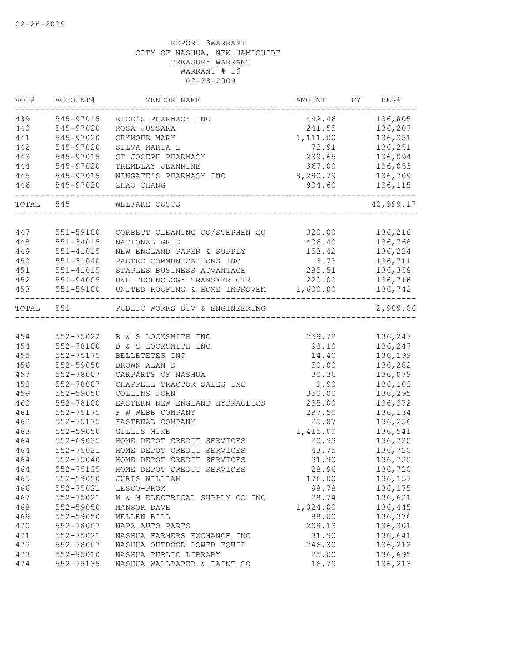| VOU#      | ACCOUNT#  | VENDOR NAME                    | AMOUNT   | FY | REG#      |
|-----------|-----------|--------------------------------|----------|----|-----------|
| 439       | 545-97015 | RICE'S PHARMACY INC            | 442.46   |    | 136,805   |
| 440       | 545-97020 | ROSA JUSSARA                   | 241.55   |    | 136,207   |
| 441       | 545-97020 | SEYMOUR MARY                   | 1,111.00 |    | 136,351   |
| 442       | 545-97020 | SILVA MARIA L                  | 73.91    |    | 136,251   |
| 443       | 545-97015 | ST JOSEPH PHARMACY             | 239.65   |    | 136,094   |
| 444       | 545-97020 | TREMBLAY JEANNINE              | 367.00   |    | 136,053   |
| 445       | 545-97015 | WINGATE'S PHARMACY INC         | 8,280.79 |    | 136,709   |
| 446       | 545-97020 | ZHAO CHANG                     | 904.60   |    | 136,115   |
| TOTAL 545 |           | WELFARE COSTS                  |          |    | 40,999.17 |
|           |           |                                |          |    |           |
| 447       | 551-59100 | CORBETT CLEANING CO/STEPHEN CO | 320.00   |    | 136,216   |
| 448       | 551-34015 | NATIONAL GRID                  | 406.40   |    | 136,768   |
| 449       | 551-41015 | NEW ENGLAND PAPER & SUPPLY     | 153.42   |    | 136,224   |
| 450       | 551-31040 | PAETEC COMMUNICATIONS INC      | 3.73     |    | 136,711   |
| 451       | 551-41015 | STAPLES BUSINESS ADVANTAGE     | 285.51   |    | 136,358   |
| 452       | 551-94005 | UNH TECHNOLOGY TRANSFER CTR    | 220.00   |    | 136,716   |
| 453       | 551-59100 | UNITED ROOFING & HOME IMPROVEM | 1,600.00 |    | 136,742   |
| TOTAL     | 551       | PUBLIC WORKS DIV & ENGINEERING |          |    | 2,989.06  |
|           |           |                                |          |    |           |
| 454       | 552-75022 | B & S LOCKSMITH INC            | 259.72   |    | 136,247   |
| 454       | 552-78100 | B & S LOCKSMITH INC            | 98.10    |    | 136,247   |
| 455       | 552-75175 | BELLETETES INC                 | 14.40    |    | 136,199   |
| 456       | 552-59050 | BROWN ALAN D                   | 50.00    |    | 136,282   |
| 457       | 552-78007 | CARPARTS OF NASHUA             | 30.36    |    | 136,079   |
| 458       | 552-78007 | CHAPPELL TRACTOR SALES INC     | 9.90     |    | 136,103   |
| 459       | 552-59050 | COLLINS JOHN                   | 350.00   |    | 136,295   |
| 460       | 552-78100 | EASTERN NEW ENGLAND HYDRAULICS | 235.00   |    | 136,372   |
| 461       | 552-75175 | F W WEBB COMPANY               | 287.50   |    | 136,134   |
| 462       | 552-75175 | FASTENAL COMPANY               | 25.87    |    | 136,256   |
| 463       | 552-59050 | GILLIS MIKE                    | 1,415.00 |    | 136,541   |
| 464       | 552-69035 | HOME DEPOT CREDIT SERVICES     | 20.93    |    | 136,720   |
| 464       | 552-75021 | HOME DEPOT CREDIT SERVICES     | 43.75    |    | 136,720   |
| 464       | 552-75040 | HOME DEPOT CREDIT SERVICES     | 31.90    |    | 136,720   |
| 464       | 552-75135 | HOME DEPOT CREDIT SERVICES     | 28.96    |    | 136,720   |
| 465       | 552-59050 | JURIS WILLIAM                  | 176.00   |    | 136,157   |
| 466       | 552-75021 | LESCO-PROX                     | 98.78    |    | 136,175   |
| 467       | 552-75021 | M & M ELECTRICAL SUPPLY CO INC | 28.74    |    | 136,621   |
| 468       | 552-59050 | MANSOR DAVE                    | 1,024.00 |    | 136,445   |
| 469       | 552-59050 | MELLEN BILL                    | 88.00    |    | 136,376   |
| 470       | 552-78007 | NAPA AUTO PARTS                | 208.13   |    | 136,301   |
| 471       | 552-75021 | NASHUA FARMERS EXCHANGE INC    | 31.90    |    | 136,641   |
| 472       | 552-78007 | NASHUA OUTDOOR POWER EQUIP     | 246.30   |    | 136,212   |
| 473       | 552-95010 | NASHUA PUBLIC LIBRARY          | 25.00    |    | 136,695   |
| 474       | 552-75135 | NASHUA WALLPAPER & PAINT CO    | 16.79    |    | 136,213   |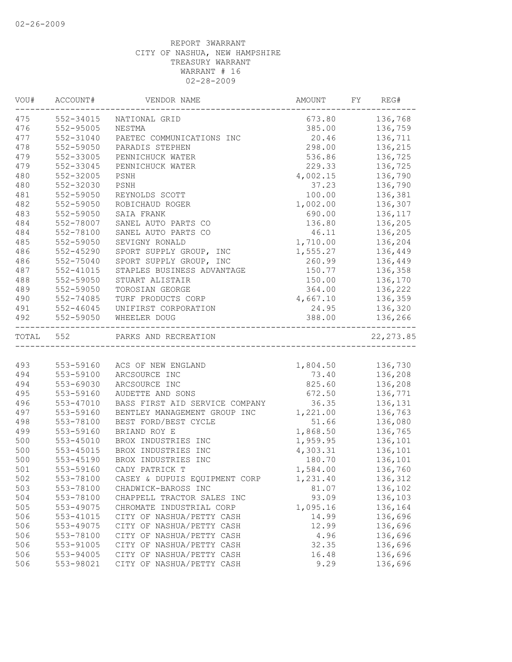| VOU#      | ACCOUNT#      | VENDOR NAME                    | AMOUNT           | FY | REG#           |
|-----------|---------------|--------------------------------|------------------|----|----------------|
| 475       | 552-34015     | NATIONAL GRID                  |                  |    | 673.80 136,768 |
| 476       | 552-95005     | NESTMA                         |                  |    | 385.00 136,759 |
| 477       | 552-31040     | PAETEC COMMUNICATIONS INC      | 20.46            |    | 136,711        |
| 478       | 552-59050     | PARADIS STEPHEN                | 298.00           |    | 136,215        |
| 479       | 552-33005     | PENNICHUCK WATER               | 536.86           |    | 136,725        |
| 479       | 552-33045     | PENNICHUCK WATER               | 229.33           |    | 136,725        |
| 480       | 552-32005     | $_{\rm{PSNH}}$                 | 4,002.15         |    | 136,790        |
| 480       | 552-32030     | PSNH                           | 37.23            |    | 136,790        |
| 481       | 552-59050     | REYNOLDS SCOTT                 | 100.00           |    | 136,381        |
| 482       | 552-59050     | ROBICHAUD ROGER                | 1,002.00         |    | 136,307        |
| 483       | 552-59050     | SAIA FRANK                     | 690.00           |    | 136,117        |
| 484       | 552-78007     | SANEL AUTO PARTS CO            | 136.80           |    | 136,205        |
| 484       | 552-78100     | SANEL AUTO PARTS CO            | 46.11            |    | 136,205        |
| 485       | 552-59050     | SEVIGNY RONALD                 | 1,710.00         |    | 136,204        |
| 486       | $552 - 45290$ | SPORT SUPPLY GROUP, INC        | 1,555.27         |    | 136,449        |
| 486       | 552-75040     | SPORT SUPPLY GROUP, INC        | 260.99           |    | 136,449        |
| 487       | 552-41015     | STAPLES BUSINESS ADVANTAGE     | 150.77           |    | 136,358        |
| 488       | 552-59050     | STUART ALISTAIR                | 150.00           |    | 136,170        |
| 489       | 552-59050     | TOROSIAN GEORGE                | 364.00           |    | 136,222        |
| 490       | 552-74085     | TURF PRODUCTS CORP             | 4,667.10 136,359 |    |                |
| 491       | $552 - 46045$ | UNIFIRST CORPORATION           | 24.95            |    | 136,320        |
| 492       | 552-59050     | WHEELER DOUG                   | 388.00           |    | 136,266        |
| TOTAL 552 |               | PARKS AND RECREATION           |                  |    | 22, 273.85     |
|           |               |                                |                  |    |                |
| 493       | 553-59160     | ACS OF NEW ENGLAND             | 1,804.50 136,730 |    |                |
| 494       | 553-59100     | ARCSOURCE INC                  |                  |    | 73.40 136,208  |
| 494       | 553-69030     | ARCSOURCE INC                  | 825.60           |    | 136,208        |
| 495       | 553-59160     | AUDETTE AND SONS               | 672.50           |    | 136,771        |
| 496       | 553-47010     | BASS FIRST AID SERVICE COMPANY | 36.35            |    | 136,131        |
| 497       | 553-59160     | BENTLEY MANAGEMENT GROUP INC   | 1,221.00         |    | 136,763        |
| 498       | 553-78100     | BEST FORD/BEST CYCLE           | 51.66            |    | 136,080        |
| 499       | 553-59160     | BRIAND ROY E                   | 1,868.50         |    | 136,765        |
| 500       | $553 - 45010$ | BROX INDUSTRIES INC            | 1,959.95         |    | 136,101        |
| 500       | 553-45015     | BROX INDUSTRIES INC            | 4,303.31         |    | 136,101        |
| 500       | 553-45190     | BROX INDUSTRIES INC            | 180.70           |    | 136,101        |
| 501       | 553-59160     | CADY PATRICK T                 | 1,584.00         |    | 136,760        |
| 502       | 553-78100     | CASEY & DUPUIS EQUIPMENT CORP  | 1,231.40         |    | 136,312        |
| 503       | 553-78100     | CHADWICK-BAROSS INC            | 81.07            |    | 136,102        |
| 504       | 553-78100     | CHAPPELL TRACTOR SALES INC     | 93.09            |    | 136,103        |
| 505       | 553-49075     | CHROMATE INDUSTRIAL CORP       | 1,095.16         |    | 136,164        |
| 506       | 553-41015     | CITY OF NASHUA/PETTY CASH      | 14.99            |    | 136,696        |
| 506       | 553-49075     | CITY OF NASHUA/PETTY CASH      | 12.99            |    | 136,696        |
| 506       | 553-78100     | CITY OF NASHUA/PETTY CASH      | 4.96             |    | 136,696        |
| 506       | 553-91005     | CITY OF NASHUA/PETTY CASH      | 32.35            |    | 136,696        |
| 506       | 553-94005     | CITY OF NASHUA/PETTY CASH      | 16.48            |    | 136,696        |
| 506       | 553-98021     | CITY OF NASHUA/PETTY CASH      | 9.29             |    | 136,696        |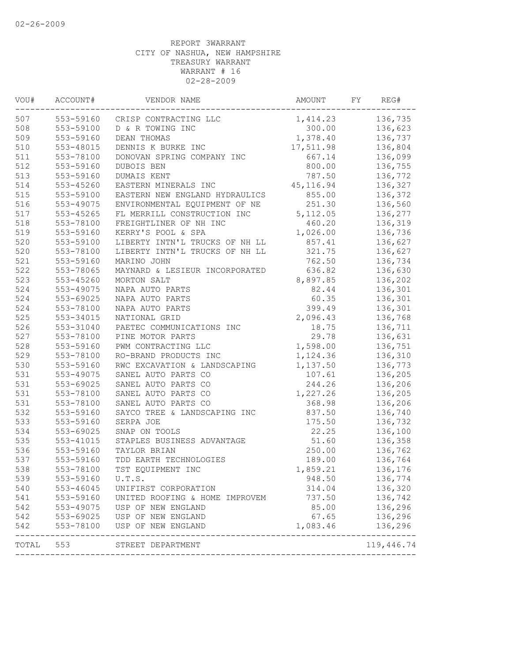| VOU#  | ACCOUNT#                            | VENDOR NAME                     | AMOUNT     | FΥ | REG#                    |
|-------|-------------------------------------|---------------------------------|------------|----|-------------------------|
| 507   |                                     | 553-59160 CRISP CONTRACTING LLC | 1,414.23   |    | 136,735                 |
| 508   | 553-59100                           | D & R TOWING INC                | 300.00     |    | 136,623                 |
| 509   | 553-59160                           | DEAN THOMAS                     | 1,378.40   |    | 136,737                 |
| 510   | 553-48015                           | DENNIS K BURKE INC              | 17,511.98  |    | 136,804                 |
| 511   | 553-78100                           | DONOVAN SPRING COMPANY INC      | 667.14     |    | 136,099                 |
| 512   | 553-59160                           | DUBOIS BEN                      | 800.00     |    | 136,755                 |
| 513   | 553-59160                           | DUMAIS KENT                     | 787.50     |    | 136,772                 |
| 514   | 553-45260                           | EASTERN MINERALS INC            | 45, 116.94 |    | 136,327                 |
| 515   | 553-59100                           | EASTERN NEW ENGLAND HYDRAULICS  | 855.00     |    | 136,372                 |
| 516   | 553-49075                           | ENVIRONMENTAL EQUIPMENT OF NE   | 251.30     |    | 136,560                 |
| 517   | $553 - 45265$                       | FL MERRILL CONSTRUCTION INC     | 5,112.05   |    | 136,277                 |
| 518   | 553-78100                           | FREIGHTLINER OF NH INC          | 460.20     |    | 136,319                 |
| 519   | 553-59160                           | KERRY'S POOL & SPA              | 1,026.00   |    | 136,736                 |
| 520   | 553-59100                           | LIBERTY INTN'L TRUCKS OF NH LL  | 857.41     |    | 136,627                 |
| 520   | 553-78100                           | LIBERTY INTN'L TRUCKS OF NH LL  | 321.75     |    | 136,627                 |
| 521   | 553-59160                           | MARINO JOHN                     | 762.50     |    | 136,734                 |
| 522   | 553-78065                           | MAYNARD & LESIEUR INCORPORATED  | 636.82     |    | 136,630                 |
| 523   | 553-45260                           | MORTON SALT                     | 8,897.85   |    | 136,202                 |
| 524   | 553-49075                           | NAPA AUTO PARTS                 | 82.44      |    | 136,301                 |
| 524   | 553-69025                           | NAPA AUTO PARTS                 | 60.35      |    | 136,301                 |
| 524   | 553-78100                           | NAPA AUTO PARTS                 | 399.49     |    | 136,301                 |
| 525   | 553-34015                           | NATIONAL GRID                   | 2,096.43   |    | 136,768                 |
| 526   | 553-31040                           | PAETEC COMMUNICATIONS INC       | 18.75      |    | 136,711                 |
| 527   | 553-78100                           | PINE MOTOR PARTS                | 29.78      |    | 136,631                 |
| 528   | 553-59160                           | PWM CONTRACTING LLC             | 1,598.00   |    | 136,751                 |
| 529   | 553-78100                           | RO-BRAND PRODUCTS INC           | 1,124.36   |    | 136,310                 |
| 530   | 553-59160                           | RWC EXCAVATION & LANDSCAPING    | 1,137.50   |    | 136,773                 |
| 531   | 553-49075                           | SANEL AUTO PARTS CO             | 107.61     |    | 136,205                 |
| 531   | 553-69025                           | SANEL AUTO PARTS CO             | 244.26     |    | 136,206                 |
| 531   | 553-78100                           | SANEL AUTO PARTS CO             | 1,227.26   |    | 136,205                 |
| 531   | 553-78100                           | SANEL AUTO PARTS CO             | 368.98     |    | 136,206                 |
| 532   | 553-59160                           | SAYCO TREE & LANDSCAPING INC    | 837.50     |    | 136,740                 |
| 533   | 553-59160                           | SERPA JOE                       | 175.50     |    | 136,732                 |
| 534   | 553-69025                           | SNAP ON TOOLS                   | 22.25      |    | 136,100                 |
| 535   | 553-41015                           | STAPLES BUSINESS ADVANTAGE      | 51.60      |    | 136,358                 |
| 536   | 553-59160                           | TAYLOR BRIAN                    | 250.00     |    | 136,762                 |
| 537   | 553-59160                           | TDD EARTH TECHNOLOGIES          | 189.00     |    | 136,764                 |
| 538   | 553-78100                           | TST EQUIPMENT INC               | 1,859.21   |    | 136,176                 |
| 539   | 553-59160                           | U.T.S.                          | 948.50     |    | 136,774                 |
| 540   | 553-46045                           | UNIFIRST CORPORATION            | 314.04     |    | 136,320                 |
| 541   | 553-59160<br>553-49075<br>553-69025 | UNITED ROOFING & HOME IMPROVEM  | 737.50     |    | 136,742                 |
| 542   |                                     | USP OF NEW ENGLAND              | 85.00      |    | 136,296                 |
| 542   |                                     | USP OF NEW ENGLAND              | 67.65      |    | 136,296                 |
| 542   | 553-78100                           | USP OF NEW ENGLAND              | 1,083.46   |    | 136,296<br>------------ |
| TOTAL | 553                                 | STREET DEPARTMENT               |            |    | 119,446.74              |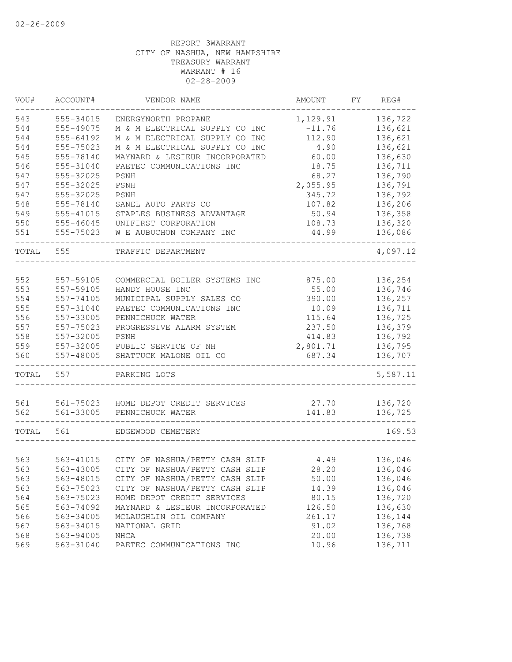| VOU#       | ACCOUNT#               | VENDOR NAME                                    | AMOUNT          | FY | REG#               |
|------------|------------------------|------------------------------------------------|-----------------|----|--------------------|
| 543        | 555-34015              | ENERGYNORTH PROPANE                            | 1,129.91        |    | 136,722            |
| 544        | 555-49075              | M & M ELECTRICAL SUPPLY CO INC                 | $-11.76$        |    | 136,621            |
| 544        | 555-64192              | M & M ELECTRICAL SUPPLY CO INC                 | 112.90          |    | 136,621            |
| 544        | 555-75023              | M & M ELECTRICAL SUPPLY CO INC                 | 4.90            |    | 136,621            |
| 545        | 555-78140              | MAYNARD & LESIEUR INCORPORATED                 | 60.00           |    | 136,630            |
| 546        | 555-31040              | PAETEC COMMUNICATIONS INC                      | 18.75           |    | 136,711            |
| 547        | 555-32025              | PSNH                                           | 68.27           |    | 136,790            |
| 547        | 555-32025              | PSNH                                           | 2,055.95        |    | 136,791            |
| 547        | 555-32025              | PSNH                                           | 345.72          |    | 136,792            |
| 548        | 555-78140              | SANEL AUTO PARTS CO                            | 107.82          |    | 136,206            |
| 549        | 555-41015              | STAPLES BUSINESS ADVANTAGE                     | 50.94           |    | 136,358            |
| 550        | 555-46045              | UNIFIRST CORPORATION                           | 108.73          |    | 136,320            |
| 551        | 555-75023              | W E AUBUCHON COMPANY INC                       | 44.99           |    | 136,086            |
| TOTAL      | 555                    | TRAFFIC DEPARTMENT                             |                 |    | 4,097.12           |
|            |                        |                                                |                 |    |                    |
| 552        | 557-59105              | COMMERCIAL BOILER SYSTEMS INC                  | 875.00          |    | 136,254            |
| 553        | 557-59105              | HANDY HOUSE INC                                | 55.00           |    | 136,746            |
| 554        | 557-74105              | MUNICIPAL SUPPLY SALES CO                      | 390.00          |    | 136,257            |
| 555        | 557-31040              | PAETEC COMMUNICATIONS INC                      | 10.09           |    | 136,711            |
| 556        | 557-33005              | PENNICHUCK WATER                               | 115.64          |    | 136,725            |
| 557        | 557-75023              | PROGRESSIVE ALARM SYSTEM                       | 237.50          |    | 136,379            |
| 558        | 557-32005              | PSNH                                           | 414.83          |    | 136,792            |
| 559        | 557-32005              | PUBLIC SERVICE OF NH                           | 2,801.71        |    | 136,795            |
| 560        | 557-48005              | SHATTUCK MALONE OIL CO                         | 687.34          |    | 136,707            |
| TOTAL      | 557                    | PARKING LOTS                                   |                 |    | 5,587.11           |
|            |                        |                                                |                 |    |                    |
| 561<br>562 | 561-75023<br>561-33005 | HOME DEPOT CREDIT SERVICES<br>PENNICHUCK WATER | 27.70<br>141.83 |    | 136,720<br>136,725 |
|            | 561                    |                                                |                 |    | 169.53             |
| TOTAL      |                        | EDGEWOOD CEMETERY                              |                 |    |                    |
| 563        | 563-41015              | CITY OF NASHUA/PETTY CASH SLIP                 | 4.49            |    | 136,046            |
| 563        | 563-43005              | CITY OF NASHUA/PETTY CASH SLIP                 | 28.20           |    | 136,046            |
| 563        | 563-48015              | CITY OF NASHUA/PETTY CASH SLIP                 | 50.00           |    | 136,046            |
| 563        | 563-75023              | CITY OF NASHUA/PETTY CASH SLIP                 | 14.39           |    | 136,046            |
|            | 563-75023              |                                                |                 |    |                    |
| 564        |                        | HOME DEPOT CREDIT SERVICES                     | 80.15           |    | 136,720            |
| 565        | 563-74092              | MAYNARD & LESIEUR INCORPORATED                 | 126.50          |    | 136,630            |
| 566        | 563-34005              | MCLAUGHLIN OIL COMPANY                         | 261.17          |    | 136,144            |
| 567        | 563-34015              | NATIONAL GRID                                  | 91.02           |    | 136,768            |
| 568        | 563-94005              | NHCA                                           | 20.00           |    | 136,738            |
| 569        | 563-31040              | PAETEC COMMUNICATIONS INC                      | 10.96           |    | 136,711            |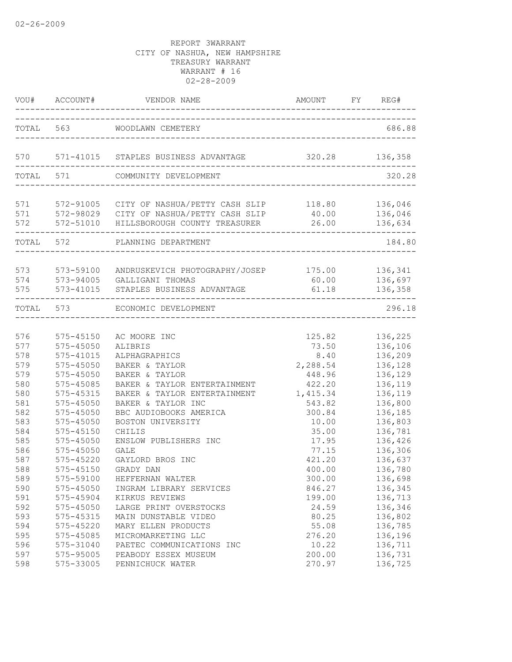|                   | VOU# ACCOUNT#                               | VENDOR NAME                                                                                                                                                      | AMOUNT<br>---------------------------------- | FY REG#                       |
|-------------------|---------------------------------------------|------------------------------------------------------------------------------------------------------------------------------------------------------------------|----------------------------------------------|-------------------------------|
|                   |                                             | TOTAL 563 WOODLAWN CEMETERY                                                                                                                                      |                                              | 686.88                        |
| 570               |                                             | 571-41015 STAPLES BUSINESS ADVANTAGE                                                                                                                             | 320.28 136,358                               |                               |
|                   | TOTAL 571                                   | COMMUNITY DEVELOPMENT                                                                                                                                            |                                              | 320.28                        |
| 571<br>571        | -------------------                         | 572-91005 CITY OF NASHUA/PETTY CASH SLIP 118.80 136,046<br>572-98029 CITY OF NASHUA/PETTY CASH SLIP 40.00 136,046<br>572 572-51010 HILLSBOROUGH COUNTY TREASURER | 26.00                                        | 136,634                       |
|                   |                                             | TOTAL 572 PLANNING DEPARTMENT                                                                                                                                    |                                              | 184.80                        |
| 573<br>574<br>575 |                                             | 573-59100 ANDRUSKEVICH PHOTOGRAPHY/JOSEP 175.00 136,341<br>573-94005 GALLIGANI THOMAS<br>573-41015 STAPLES BUSINESS ADVANTAGE                                    | 60.00<br>61.18                               | 136,697<br>136,358            |
|                   |                                             | TOTAL 573 ECONOMIC DEVELOPMENT                                                                                                                                   |                                              | 296.18                        |
| 576               | 575-45150                                   | AC MOORE INC                                                                                                                                                     | 125.82                                       | 136,225                       |
| 577<br>578<br>579 | $575 - 45050$<br>$575 - 41015$<br>575-45050 | ALIBRIS<br>ALPHAGRAPHICS<br>BAKER & TAYLOR                                                                                                                       | 73.50<br>8.40<br>2,288.54                    | 136,106<br>136,209<br>136,128 |
| 579<br>580        | $575 - 45050$<br>575-45085                  | BAKER & TAYLOR<br>BAKER & TAYLOR ENTERTAINMENT                                                                                                                   | 448.96<br>422.20                             | 136,129<br>136,119            |
| 580<br>581        | 575-45315<br>$575 - 45050$                  | BAKER & TAYLOR ENTERTAINMENT<br>BAKER & TAYLOR INC                                                                                                               | 1,415.34<br>543.82                           | 136,119<br>136,800            |
| 582<br>583<br>584 | $575 - 45050$<br>575-45050<br>$575 - 45150$ | BBC AUDIOBOOKS AMERICA<br>BOSTON UNIVERSITY<br>CHILIS                                                                                                            | 300.84<br>10.00<br>35.00                     | 136,185<br>136,803<br>136,781 |
| 585<br>586        | 575-45050<br>$575 - 45050$                  | ENSLOW PUBLISHERS INC<br><b>GALE</b>                                                                                                                             | 17.95<br>77.15                               | 136,426<br>136,306            |
| 587<br>588<br>589 | 575-45220<br>575-59100                      | GAYLORD BROS INC<br>575-45150 GRADY DAN<br>HEFFERNAN WALTER                                                                                                      | 421.20<br>400.00<br>300.00                   | 136,637<br>136,780<br>136,698 |
| 590<br>591        | $575 - 45050$<br>575-45904                  | INGRAM LIBRARY SERVICES<br>KIRKUS REVIEWS                                                                                                                        | 846.27<br>199.00                             | 136,345<br>136,713            |
| 592<br>593        | 575-45050<br>575-45315                      | LARGE PRINT OVERSTOCKS<br>MAIN DUNSTABLE VIDEO                                                                                                                   | 24.59<br>80.25                               | 136,346<br>136,802            |
| 594<br>595<br>596 | 575-45220<br>575-45085<br>575-31040         | MARY ELLEN PRODUCTS<br>MICROMARKETING LLC<br>PAETEC COMMUNICATIONS INC                                                                                           | 55.08<br>276.20<br>10.22                     | 136,785<br>136,196<br>136,711 |
| 597<br>598        | 575-95005<br>575-33005                      | PEABODY ESSEX MUSEUM<br>PENNICHUCK WATER                                                                                                                         | 200.00<br>270.97                             | 136,731<br>136,725            |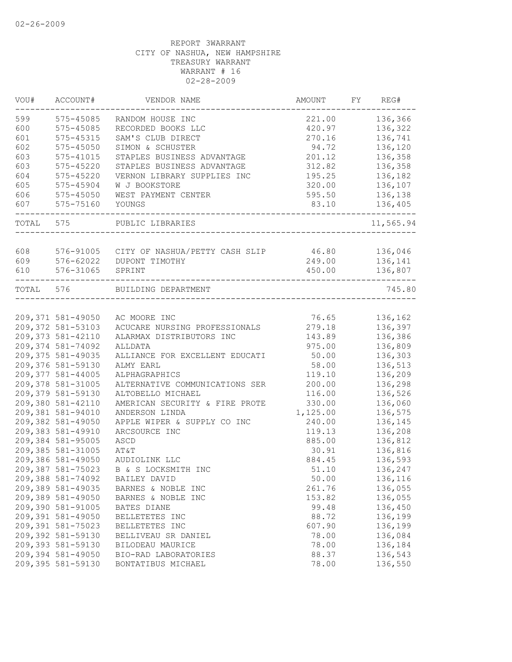| 136,366<br>$575 - 45085$<br>221.00<br>RANDOM HOUSE INC<br>575-45085<br>RECORDED BOOKS LLC<br>420.97<br>136,322<br>575-45315<br>SAM'S CLUB DIRECT<br>136,741<br>270.16<br>94.72<br>575-45050<br>SIMON & SCHUSTER<br>136,120<br>201.12<br>575-41015<br>STAPLES BUSINESS ADVANTAGE<br>136,358<br>$575 - 45220$<br>STAPLES BUSINESS ADVANTAGE<br>312.82<br>136,358<br>$575 - 45220$<br>VERNON LIBRARY SUPPLIES INC<br>195.25<br>136,182<br>320.00<br>136,107<br>575-45904<br>W J BOOKSTORE<br>575-45050<br>WEST PAYMENT CENTER<br>595.50<br>136,138<br>575-75160<br>YOUNGS<br>83.10<br>136,405<br>575<br>PUBLIC LIBRARIES<br>608<br>576-91005 CITY OF NASHUA/PETTY CASH SLIP<br>46.80<br>136,046<br>609<br>576-62022<br>249.00<br>136,141<br>DUPONT TIMOTHY<br>576-31065<br>450.00<br>136,807<br>SPRINT<br>TOTAL 576<br>BUILDING DEPARTMENT<br>76.65<br>136,162<br>209,371 581-49050<br>AC MOORE INC<br>209,372 581-53103<br>279.18<br>ACUCARE NURSING PROFESSIONALS<br>136,397<br>209,373 581-42110<br>143.89<br>136,386<br>ALARMAX DISTRIBUTORS INC<br>209,374 581-74092<br>975.00<br>136,809<br>ALLDATA<br>209, 375 581-49035<br>136,303<br>ALLIANCE FOR EXCELLENT EDUCATI<br>50.00<br>209,376 581-59130<br>58.00<br>136,513<br>ALMY EARL<br>209, 377 581-44005<br>136,209<br>ALPHAGRAPHICS<br>119.10<br>209,378 581-31005<br>200.00<br>136,298<br>ALTERNATIVE COMMUNICATIONS SER<br>209,379 581-59130<br>136,526<br>ALTOBELLO MICHAEL<br>116.00<br>209,380 581-42110<br>330.00<br>136,060<br>AMERICAN SECURITY & FIRE PROTE<br>209,381 581-94010<br>1,125.00<br>ANDERSON LINDA<br>136,575<br>209,382 581-49050<br>APPLE WIPER & SUPPLY CO INC<br>240.00<br>136,145<br>209,383 581-49910<br>119.13<br>136,208<br>ARCSOURCE INC<br>209,384 581-95005<br>885.00<br>136,812<br>ASCD<br>209,385 581-31005<br>136,816<br>AT&T<br>30.91<br>209,386 581-49050<br>AUDIOLINK LLC<br>884.45<br>136,593<br>209,387 581-75023<br>51.10<br>B & S LOCKSMITH INC<br>136,247<br>209,388 581-74092<br>50.00<br>136,116<br>BAILEY DAVID<br>209,389 581-49035<br>261.76<br>136,055<br>BARNES & NOBLE INC<br>209,389 581-49050<br>153.82<br>136,055<br>BARNES & NOBLE INC<br>209,390 581-91005<br>99.48<br>136,450<br>BATES DIANE<br>209,391 581-49050<br>88.72<br>136,199<br>BELLETETES INC<br>209,391 581-75023<br>607.90<br>136,199<br>BELLETETES INC<br>209,392 581-59130<br>78.00<br>136,084<br>BELLIVEAU SR DANIEL<br>209,393 581-59130<br>78.00<br>136,184<br>BILODEAU MAURICE<br>209,394 581-49050<br>88.37<br>136,543<br>BIO-RAD LABORATORIES<br>209,395 581-59130<br>78.00<br>136,550<br>BONTATIBUS MICHAEL | VOU#  | ACCOUNT# | VENDOR NAME | AMOUNT | FY | REG#      |
|--------------------------------------------------------------------------------------------------------------------------------------------------------------------------------------------------------------------------------------------------------------------------------------------------------------------------------------------------------------------------------------------------------------------------------------------------------------------------------------------------------------------------------------------------------------------------------------------------------------------------------------------------------------------------------------------------------------------------------------------------------------------------------------------------------------------------------------------------------------------------------------------------------------------------------------------------------------------------------------------------------------------------------------------------------------------------------------------------------------------------------------------------------------------------------------------------------------------------------------------------------------------------------------------------------------------------------------------------------------------------------------------------------------------------------------------------------------------------------------------------------------------------------------------------------------------------------------------------------------------------------------------------------------------------------------------------------------------------------------------------------------------------------------------------------------------------------------------------------------------------------------------------------------------------------------------------------------------------------------------------------------------------------------------------------------------------------------------------------------------------------------------------------------------------------------------------------------------------------------------------------------------------------------------------------------------------------------------------------------------------------------------------------------------------------------------------------------------------------------------------------------------------------------------------------------------------------------------------|-------|----------|-------------|--------|----|-----------|
|                                                                                                                                                                                                                                                                                                                                                                                                                                                                                                                                                                                                                                                                                                                                                                                                                                                                                                                                                                                                                                                                                                                                                                                                                                                                                                                                                                                                                                                                                                                                                                                                                                                                                                                                                                                                                                                                                                                                                                                                                                                                                                                                                                                                                                                                                                                                                                                                                                                                                                                                                                                                  | 599   |          |             |        |    |           |
|                                                                                                                                                                                                                                                                                                                                                                                                                                                                                                                                                                                                                                                                                                                                                                                                                                                                                                                                                                                                                                                                                                                                                                                                                                                                                                                                                                                                                                                                                                                                                                                                                                                                                                                                                                                                                                                                                                                                                                                                                                                                                                                                                                                                                                                                                                                                                                                                                                                                                                                                                                                                  | 600   |          |             |        |    |           |
|                                                                                                                                                                                                                                                                                                                                                                                                                                                                                                                                                                                                                                                                                                                                                                                                                                                                                                                                                                                                                                                                                                                                                                                                                                                                                                                                                                                                                                                                                                                                                                                                                                                                                                                                                                                                                                                                                                                                                                                                                                                                                                                                                                                                                                                                                                                                                                                                                                                                                                                                                                                                  | 601   |          |             |        |    |           |
|                                                                                                                                                                                                                                                                                                                                                                                                                                                                                                                                                                                                                                                                                                                                                                                                                                                                                                                                                                                                                                                                                                                                                                                                                                                                                                                                                                                                                                                                                                                                                                                                                                                                                                                                                                                                                                                                                                                                                                                                                                                                                                                                                                                                                                                                                                                                                                                                                                                                                                                                                                                                  | 602   |          |             |        |    |           |
|                                                                                                                                                                                                                                                                                                                                                                                                                                                                                                                                                                                                                                                                                                                                                                                                                                                                                                                                                                                                                                                                                                                                                                                                                                                                                                                                                                                                                                                                                                                                                                                                                                                                                                                                                                                                                                                                                                                                                                                                                                                                                                                                                                                                                                                                                                                                                                                                                                                                                                                                                                                                  | 603   |          |             |        |    |           |
|                                                                                                                                                                                                                                                                                                                                                                                                                                                                                                                                                                                                                                                                                                                                                                                                                                                                                                                                                                                                                                                                                                                                                                                                                                                                                                                                                                                                                                                                                                                                                                                                                                                                                                                                                                                                                                                                                                                                                                                                                                                                                                                                                                                                                                                                                                                                                                                                                                                                                                                                                                                                  | 603   |          |             |        |    |           |
|                                                                                                                                                                                                                                                                                                                                                                                                                                                                                                                                                                                                                                                                                                                                                                                                                                                                                                                                                                                                                                                                                                                                                                                                                                                                                                                                                                                                                                                                                                                                                                                                                                                                                                                                                                                                                                                                                                                                                                                                                                                                                                                                                                                                                                                                                                                                                                                                                                                                                                                                                                                                  | 604   |          |             |        |    |           |
|                                                                                                                                                                                                                                                                                                                                                                                                                                                                                                                                                                                                                                                                                                                                                                                                                                                                                                                                                                                                                                                                                                                                                                                                                                                                                                                                                                                                                                                                                                                                                                                                                                                                                                                                                                                                                                                                                                                                                                                                                                                                                                                                                                                                                                                                                                                                                                                                                                                                                                                                                                                                  | 605   |          |             |        |    |           |
|                                                                                                                                                                                                                                                                                                                                                                                                                                                                                                                                                                                                                                                                                                                                                                                                                                                                                                                                                                                                                                                                                                                                                                                                                                                                                                                                                                                                                                                                                                                                                                                                                                                                                                                                                                                                                                                                                                                                                                                                                                                                                                                                                                                                                                                                                                                                                                                                                                                                                                                                                                                                  | 606   |          |             |        |    |           |
|                                                                                                                                                                                                                                                                                                                                                                                                                                                                                                                                                                                                                                                                                                                                                                                                                                                                                                                                                                                                                                                                                                                                                                                                                                                                                                                                                                                                                                                                                                                                                                                                                                                                                                                                                                                                                                                                                                                                                                                                                                                                                                                                                                                                                                                                                                                                                                                                                                                                                                                                                                                                  | 607   |          |             |        |    |           |
|                                                                                                                                                                                                                                                                                                                                                                                                                                                                                                                                                                                                                                                                                                                                                                                                                                                                                                                                                                                                                                                                                                                                                                                                                                                                                                                                                                                                                                                                                                                                                                                                                                                                                                                                                                                                                                                                                                                                                                                                                                                                                                                                                                                                                                                                                                                                                                                                                                                                                                                                                                                                  | TOTAL |          |             |        |    | 11,565.94 |
|                                                                                                                                                                                                                                                                                                                                                                                                                                                                                                                                                                                                                                                                                                                                                                                                                                                                                                                                                                                                                                                                                                                                                                                                                                                                                                                                                                                                                                                                                                                                                                                                                                                                                                                                                                                                                                                                                                                                                                                                                                                                                                                                                                                                                                                                                                                                                                                                                                                                                                                                                                                                  |       |          |             |        |    |           |
|                                                                                                                                                                                                                                                                                                                                                                                                                                                                                                                                                                                                                                                                                                                                                                                                                                                                                                                                                                                                                                                                                                                                                                                                                                                                                                                                                                                                                                                                                                                                                                                                                                                                                                                                                                                                                                                                                                                                                                                                                                                                                                                                                                                                                                                                                                                                                                                                                                                                                                                                                                                                  |       |          |             |        |    |           |
|                                                                                                                                                                                                                                                                                                                                                                                                                                                                                                                                                                                                                                                                                                                                                                                                                                                                                                                                                                                                                                                                                                                                                                                                                                                                                                                                                                                                                                                                                                                                                                                                                                                                                                                                                                                                                                                                                                                                                                                                                                                                                                                                                                                                                                                                                                                                                                                                                                                                                                                                                                                                  | 610   |          |             |        |    |           |
|                                                                                                                                                                                                                                                                                                                                                                                                                                                                                                                                                                                                                                                                                                                                                                                                                                                                                                                                                                                                                                                                                                                                                                                                                                                                                                                                                                                                                                                                                                                                                                                                                                                                                                                                                                                                                                                                                                                                                                                                                                                                                                                                                                                                                                                                                                                                                                                                                                                                                                                                                                                                  |       |          |             |        |    | 745.80    |
|                                                                                                                                                                                                                                                                                                                                                                                                                                                                                                                                                                                                                                                                                                                                                                                                                                                                                                                                                                                                                                                                                                                                                                                                                                                                                                                                                                                                                                                                                                                                                                                                                                                                                                                                                                                                                                                                                                                                                                                                                                                                                                                                                                                                                                                                                                                                                                                                                                                                                                                                                                                                  |       |          |             |        |    |           |
|                                                                                                                                                                                                                                                                                                                                                                                                                                                                                                                                                                                                                                                                                                                                                                                                                                                                                                                                                                                                                                                                                                                                                                                                                                                                                                                                                                                                                                                                                                                                                                                                                                                                                                                                                                                                                                                                                                                                                                                                                                                                                                                                                                                                                                                                                                                                                                                                                                                                                                                                                                                                  |       |          |             |        |    |           |
|                                                                                                                                                                                                                                                                                                                                                                                                                                                                                                                                                                                                                                                                                                                                                                                                                                                                                                                                                                                                                                                                                                                                                                                                                                                                                                                                                                                                                                                                                                                                                                                                                                                                                                                                                                                                                                                                                                                                                                                                                                                                                                                                                                                                                                                                                                                                                                                                                                                                                                                                                                                                  |       |          |             |        |    |           |
|                                                                                                                                                                                                                                                                                                                                                                                                                                                                                                                                                                                                                                                                                                                                                                                                                                                                                                                                                                                                                                                                                                                                                                                                                                                                                                                                                                                                                                                                                                                                                                                                                                                                                                                                                                                                                                                                                                                                                                                                                                                                                                                                                                                                                                                                                                                                                                                                                                                                                                                                                                                                  |       |          |             |        |    |           |
|                                                                                                                                                                                                                                                                                                                                                                                                                                                                                                                                                                                                                                                                                                                                                                                                                                                                                                                                                                                                                                                                                                                                                                                                                                                                                                                                                                                                                                                                                                                                                                                                                                                                                                                                                                                                                                                                                                                                                                                                                                                                                                                                                                                                                                                                                                                                                                                                                                                                                                                                                                                                  |       |          |             |        |    |           |
|                                                                                                                                                                                                                                                                                                                                                                                                                                                                                                                                                                                                                                                                                                                                                                                                                                                                                                                                                                                                                                                                                                                                                                                                                                                                                                                                                                                                                                                                                                                                                                                                                                                                                                                                                                                                                                                                                                                                                                                                                                                                                                                                                                                                                                                                                                                                                                                                                                                                                                                                                                                                  |       |          |             |        |    |           |
|                                                                                                                                                                                                                                                                                                                                                                                                                                                                                                                                                                                                                                                                                                                                                                                                                                                                                                                                                                                                                                                                                                                                                                                                                                                                                                                                                                                                                                                                                                                                                                                                                                                                                                                                                                                                                                                                                                                                                                                                                                                                                                                                                                                                                                                                                                                                                                                                                                                                                                                                                                                                  |       |          |             |        |    |           |
|                                                                                                                                                                                                                                                                                                                                                                                                                                                                                                                                                                                                                                                                                                                                                                                                                                                                                                                                                                                                                                                                                                                                                                                                                                                                                                                                                                                                                                                                                                                                                                                                                                                                                                                                                                                                                                                                                                                                                                                                                                                                                                                                                                                                                                                                                                                                                                                                                                                                                                                                                                                                  |       |          |             |        |    |           |
|                                                                                                                                                                                                                                                                                                                                                                                                                                                                                                                                                                                                                                                                                                                                                                                                                                                                                                                                                                                                                                                                                                                                                                                                                                                                                                                                                                                                                                                                                                                                                                                                                                                                                                                                                                                                                                                                                                                                                                                                                                                                                                                                                                                                                                                                                                                                                                                                                                                                                                                                                                                                  |       |          |             |        |    |           |
|                                                                                                                                                                                                                                                                                                                                                                                                                                                                                                                                                                                                                                                                                                                                                                                                                                                                                                                                                                                                                                                                                                                                                                                                                                                                                                                                                                                                                                                                                                                                                                                                                                                                                                                                                                                                                                                                                                                                                                                                                                                                                                                                                                                                                                                                                                                                                                                                                                                                                                                                                                                                  |       |          |             |        |    |           |
|                                                                                                                                                                                                                                                                                                                                                                                                                                                                                                                                                                                                                                                                                                                                                                                                                                                                                                                                                                                                                                                                                                                                                                                                                                                                                                                                                                                                                                                                                                                                                                                                                                                                                                                                                                                                                                                                                                                                                                                                                                                                                                                                                                                                                                                                                                                                                                                                                                                                                                                                                                                                  |       |          |             |        |    |           |
|                                                                                                                                                                                                                                                                                                                                                                                                                                                                                                                                                                                                                                                                                                                                                                                                                                                                                                                                                                                                                                                                                                                                                                                                                                                                                                                                                                                                                                                                                                                                                                                                                                                                                                                                                                                                                                                                                                                                                                                                                                                                                                                                                                                                                                                                                                                                                                                                                                                                                                                                                                                                  |       |          |             |        |    |           |
|                                                                                                                                                                                                                                                                                                                                                                                                                                                                                                                                                                                                                                                                                                                                                                                                                                                                                                                                                                                                                                                                                                                                                                                                                                                                                                                                                                                                                                                                                                                                                                                                                                                                                                                                                                                                                                                                                                                                                                                                                                                                                                                                                                                                                                                                                                                                                                                                                                                                                                                                                                                                  |       |          |             |        |    |           |
|                                                                                                                                                                                                                                                                                                                                                                                                                                                                                                                                                                                                                                                                                                                                                                                                                                                                                                                                                                                                                                                                                                                                                                                                                                                                                                                                                                                                                                                                                                                                                                                                                                                                                                                                                                                                                                                                                                                                                                                                                                                                                                                                                                                                                                                                                                                                                                                                                                                                                                                                                                                                  |       |          |             |        |    |           |
|                                                                                                                                                                                                                                                                                                                                                                                                                                                                                                                                                                                                                                                                                                                                                                                                                                                                                                                                                                                                                                                                                                                                                                                                                                                                                                                                                                                                                                                                                                                                                                                                                                                                                                                                                                                                                                                                                                                                                                                                                                                                                                                                                                                                                                                                                                                                                                                                                                                                                                                                                                                                  |       |          |             |        |    |           |
|                                                                                                                                                                                                                                                                                                                                                                                                                                                                                                                                                                                                                                                                                                                                                                                                                                                                                                                                                                                                                                                                                                                                                                                                                                                                                                                                                                                                                                                                                                                                                                                                                                                                                                                                                                                                                                                                                                                                                                                                                                                                                                                                                                                                                                                                                                                                                                                                                                                                                                                                                                                                  |       |          |             |        |    |           |
|                                                                                                                                                                                                                                                                                                                                                                                                                                                                                                                                                                                                                                                                                                                                                                                                                                                                                                                                                                                                                                                                                                                                                                                                                                                                                                                                                                                                                                                                                                                                                                                                                                                                                                                                                                                                                                                                                                                                                                                                                                                                                                                                                                                                                                                                                                                                                                                                                                                                                                                                                                                                  |       |          |             |        |    |           |
|                                                                                                                                                                                                                                                                                                                                                                                                                                                                                                                                                                                                                                                                                                                                                                                                                                                                                                                                                                                                                                                                                                                                                                                                                                                                                                                                                                                                                                                                                                                                                                                                                                                                                                                                                                                                                                                                                                                                                                                                                                                                                                                                                                                                                                                                                                                                                                                                                                                                                                                                                                                                  |       |          |             |        |    |           |
|                                                                                                                                                                                                                                                                                                                                                                                                                                                                                                                                                                                                                                                                                                                                                                                                                                                                                                                                                                                                                                                                                                                                                                                                                                                                                                                                                                                                                                                                                                                                                                                                                                                                                                                                                                                                                                                                                                                                                                                                                                                                                                                                                                                                                                                                                                                                                                                                                                                                                                                                                                                                  |       |          |             |        |    |           |
|                                                                                                                                                                                                                                                                                                                                                                                                                                                                                                                                                                                                                                                                                                                                                                                                                                                                                                                                                                                                                                                                                                                                                                                                                                                                                                                                                                                                                                                                                                                                                                                                                                                                                                                                                                                                                                                                                                                                                                                                                                                                                                                                                                                                                                                                                                                                                                                                                                                                                                                                                                                                  |       |          |             |        |    |           |
|                                                                                                                                                                                                                                                                                                                                                                                                                                                                                                                                                                                                                                                                                                                                                                                                                                                                                                                                                                                                                                                                                                                                                                                                                                                                                                                                                                                                                                                                                                                                                                                                                                                                                                                                                                                                                                                                                                                                                                                                                                                                                                                                                                                                                                                                                                                                                                                                                                                                                                                                                                                                  |       |          |             |        |    |           |
|                                                                                                                                                                                                                                                                                                                                                                                                                                                                                                                                                                                                                                                                                                                                                                                                                                                                                                                                                                                                                                                                                                                                                                                                                                                                                                                                                                                                                                                                                                                                                                                                                                                                                                                                                                                                                                                                                                                                                                                                                                                                                                                                                                                                                                                                                                                                                                                                                                                                                                                                                                                                  |       |          |             |        |    |           |
|                                                                                                                                                                                                                                                                                                                                                                                                                                                                                                                                                                                                                                                                                                                                                                                                                                                                                                                                                                                                                                                                                                                                                                                                                                                                                                                                                                                                                                                                                                                                                                                                                                                                                                                                                                                                                                                                                                                                                                                                                                                                                                                                                                                                                                                                                                                                                                                                                                                                                                                                                                                                  |       |          |             |        |    |           |
|                                                                                                                                                                                                                                                                                                                                                                                                                                                                                                                                                                                                                                                                                                                                                                                                                                                                                                                                                                                                                                                                                                                                                                                                                                                                                                                                                                                                                                                                                                                                                                                                                                                                                                                                                                                                                                                                                                                                                                                                                                                                                                                                                                                                                                                                                                                                                                                                                                                                                                                                                                                                  |       |          |             |        |    |           |
|                                                                                                                                                                                                                                                                                                                                                                                                                                                                                                                                                                                                                                                                                                                                                                                                                                                                                                                                                                                                                                                                                                                                                                                                                                                                                                                                                                                                                                                                                                                                                                                                                                                                                                                                                                                                                                                                                                                                                                                                                                                                                                                                                                                                                                                                                                                                                                                                                                                                                                                                                                                                  |       |          |             |        |    |           |
|                                                                                                                                                                                                                                                                                                                                                                                                                                                                                                                                                                                                                                                                                                                                                                                                                                                                                                                                                                                                                                                                                                                                                                                                                                                                                                                                                                                                                                                                                                                                                                                                                                                                                                                                                                                                                                                                                                                                                                                                                                                                                                                                                                                                                                                                                                                                                                                                                                                                                                                                                                                                  |       |          |             |        |    |           |
|                                                                                                                                                                                                                                                                                                                                                                                                                                                                                                                                                                                                                                                                                                                                                                                                                                                                                                                                                                                                                                                                                                                                                                                                                                                                                                                                                                                                                                                                                                                                                                                                                                                                                                                                                                                                                                                                                                                                                                                                                                                                                                                                                                                                                                                                                                                                                                                                                                                                                                                                                                                                  |       |          |             |        |    |           |
|                                                                                                                                                                                                                                                                                                                                                                                                                                                                                                                                                                                                                                                                                                                                                                                                                                                                                                                                                                                                                                                                                                                                                                                                                                                                                                                                                                                                                                                                                                                                                                                                                                                                                                                                                                                                                                                                                                                                                                                                                                                                                                                                                                                                                                                                                                                                                                                                                                                                                                                                                                                                  |       |          |             |        |    |           |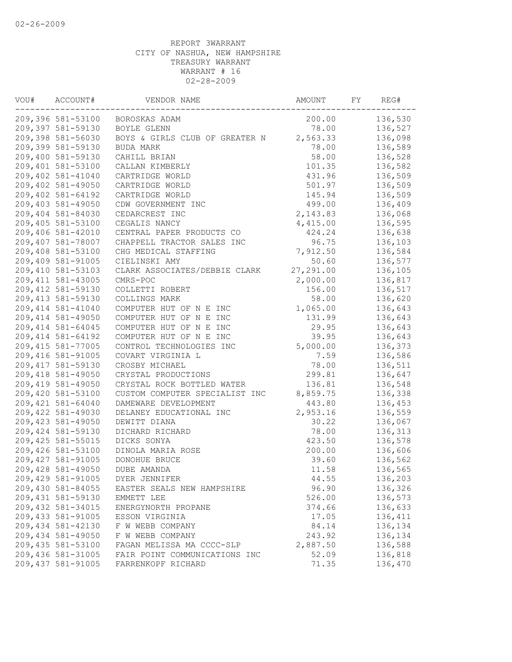| VOU# | ACCOUNT#           | VENDOR NAME                    | AMOUNT    | FY | REG#    |
|------|--------------------|--------------------------------|-----------|----|---------|
|      | 209,396 581-53100  | BOROSKAS ADAM                  | 200.00    |    | 136,530 |
|      | 209,397 581-59130  | BOYLE GLENN                    | 78.00     |    | 136,527 |
|      | 209,398 581-56030  | BOYS & GIRLS CLUB OF GREATER N | 2,563.33  |    | 136,098 |
|      | 209,399 581-59130  | BUDA MARK                      | 78.00     |    | 136,589 |
|      | 209,400 581-59130  | CAHILL BRIAN                   | 58.00     |    | 136,528 |
|      | 209,401 581-53100  | CALLAN KIMBERLY                | 101.35    |    | 136,582 |
|      | 209,402 581-41040  | CARTRIDGE WORLD                | 431.96    |    | 136,509 |
|      | 209,402 581-49050  | CARTRIDGE WORLD                | 501.97    |    | 136,509 |
|      | 209,402 581-64192  | CARTRIDGE WORLD                | 145.94    |    | 136,509 |
|      | 209,403 581-49050  | CDW GOVERNMENT INC             | 499.00    |    | 136,409 |
|      | 209,404 581-84030  | CEDARCREST INC                 | 2, 143.83 |    | 136,068 |
|      | 209,405 581-53100  | CEGALIS NANCY                  | 4,415.00  |    | 136,595 |
|      | 209,406 581-42010  | CENTRAL PAPER PRODUCTS CO      | 424.24    |    | 136,638 |
|      | 209,407 581-78007  | CHAPPELL TRACTOR SALES INC     | 96.75     |    | 136,103 |
|      | 209,408 581-53100  | CHG MEDICAL STAFFING           | 7,912.50  |    | 136,584 |
|      | 209,409 581-91005  | CIELINSKI AMY                  | 50.60     |    | 136,577 |
|      | 209,410 581-53103  | CLARK ASSOCIATES/DEBBIE CLARK  | 27,291.00 |    | 136,105 |
|      | 209, 411 581-43005 | CMRS-POC                       | 2,000.00  |    | 136,817 |
|      | 209,412 581-59130  | COLLETTI ROBERT                | 156.00    |    | 136,517 |
|      | 209,413 581-59130  | COLLINGS MARK                  | 58.00     |    | 136,620 |
|      | 209, 414 581-41040 | COMPUTER HUT OF N E INC        | 1,065.00  |    | 136,643 |
|      | 209, 414 581-49050 | COMPUTER HUT OF N E INC        | 131.99    |    | 136,643 |
|      | 209, 414 581-64045 | COMPUTER HUT OF N E INC        | 29.95     |    | 136,643 |
|      | 209, 414 581-64192 | COMPUTER HUT OF N E INC        | 39.95     |    | 136,643 |
|      | 209, 415 581-77005 | CONTROL TECHNOLOGIES INC       | 5,000.00  |    | 136,373 |
|      | 209,416 581-91005  | COVART VIRGINIA L              | 7.59      |    | 136,586 |
|      | 209, 417 581-59130 | CROSBY MICHAEL                 | 78.00     |    | 136,511 |
|      | 209,418 581-49050  | CRYSTAL PRODUCTIONS            | 299.81    |    | 136,647 |
|      | 209,419 581-49050  |                                |           |    |         |
|      | 209,420 581-53100  | CRYSTAL ROCK BOTTLED WATER     | 136.81    |    | 136,548 |
|      |                    | CUSTOM COMPUTER SPECIALIST INC | 8,859.75  |    | 136,338 |
|      | 209, 421 581-64040 | DAMEWARE DEVELOPMENT           | 443.80    |    | 136,453 |
|      | 209,422 581-49030  | DELANEY EDUCATIONAL INC        | 2,953.16  |    | 136,559 |
|      | 209, 423 581-49050 | DEWITT DIANA                   | 30.22     |    | 136,067 |
|      | 209,424 581-59130  | DICHARD RICHARD                | 78.00     |    | 136,313 |
|      | 209, 425 581-55015 | DICKS SONYA                    | 423.50    |    | 136,578 |
|      | 209,426 581-53100  | DINOLA MARIA ROSE              | 200.00    |    | 136,606 |
|      | 209, 427 581-91005 | DONOHUE BRUCE                  | 39.60     |    | 136,562 |
|      | 209,428 581-49050  | <b>DUBE AMANDA</b>             | 11.58     |    | 136,565 |
|      | 209,429 581-91005  | DYER JENNIFER                  | 44.55     |    | 136,203 |
|      | 209,430 581-84055  | EASTER SEALS NEW HAMPSHIRE     | 96.90     |    | 136,326 |
|      | 209, 431 581-59130 | EMMETT LEE                     | 526.00    |    | 136,573 |
|      | 209, 432 581-34015 | ENERGYNORTH PROPANE            | 374.66    |    | 136,633 |
|      | 209, 433 581-91005 | ESSON VIRGINIA                 | 17.05     |    | 136,411 |
|      | 209,434 581-42130  | F W WEBB COMPANY               | 84.14     |    | 136,134 |
|      | 209,434 581-49050  | F W WEBB COMPANY               | 243.92    |    | 136,134 |
|      | 209,435 581-53100  | FAGAN MELISSA MA CCCC-SLP      | 2,887.50  |    | 136,588 |
|      | 209,436 581-31005  | FAIR POINT COMMUNICATIONS INC  | 52.09     |    | 136,818 |
|      | 209,437 581-91005  | FARRENKOPF RICHARD             | 71.35     |    | 136,470 |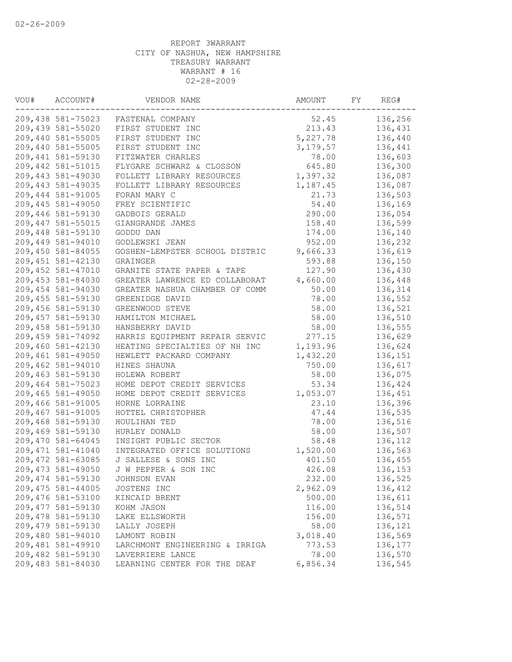| VOU# | ACCOUNT#           | VENDOR NAME                    | AMOUNT    | FY | REG#    |
|------|--------------------|--------------------------------|-----------|----|---------|
|      | 209,438 581-75023  | FASTENAL COMPANY               | 52.45     |    | 136,256 |
|      | 209,439 581-55020  | FIRST STUDENT INC              | 213.43    |    | 136,431 |
|      | 209,440 581-55005  | FIRST STUDENT INC              | 5,227.78  |    | 136,440 |
|      | 209,440 581-55005  | FIRST STUDENT INC              | 3, 179.57 |    | 136,441 |
|      | 209,441 581-59130  | FITZWATER CHARLES              | 78.00     |    | 136,603 |
|      | 209,442 581-51015  | FLYGARE SCHWARZ & CLOSSON      | 645.80    |    | 136,300 |
|      | 209,443 581-49030  | FOLLETT LIBRARY RESOURCES      | 1,397.32  |    | 136,087 |
|      | 209,443 581-49035  | FOLLETT LIBRARY RESOURCES      | 1,187.45  |    | 136,087 |
|      | 209,444 581-91005  | FORAN MARY C                   | 21.73     |    | 136,503 |
|      | 209,445 581-49050  | FREY SCIENTIFIC                | 54.40     |    | 136,169 |
|      | 209,446 581-59130  | GADBOIS GERALD                 | 290.00    |    | 136,054 |
|      | 209, 447 581-55015 | GIANGRANDE JAMES               | 158.40    |    | 136,599 |
|      | 209,448 581-59130  | GODDU DAN                      | 174.00    |    | 136,140 |
|      | 209,449 581-94010  | GODLEWSKI JEAN                 | 952.00    |    | 136,232 |
|      | 209,450 581-84055  | GOSHEN-LEMPSTER SCHOOL DISTRIC | 9,666.33  |    | 136,619 |
|      | 209,451 581-42130  | GRAINGER                       | 593.88    |    | 136,150 |
|      | 209,452 581-47010  | GRANITE STATE PAPER & TAPE     | 127.90    |    | 136,430 |
|      | 209,453 581-84030  | GREATER LAWRENCE ED COLLABORAT | 4,660.00  |    | 136,448 |
|      | 209,454 581-94030  | GREATER NASHUA CHAMBER OF COMM | 50.00     |    | 136,314 |
|      | 209,455 581-59130  | GREENIDGE DAVID                | 78.00     |    | 136,552 |
|      | 209,456 581-59130  | GREENWOOD STEVE                | 58.00     |    | 136,521 |
|      | 209,457 581-59130  | HAMILTON MICHAEL               | 58.00     |    | 136,510 |
|      | 209,458 581-59130  | HANSBERRY DAVID                | 58.00     |    | 136,555 |
|      | 209,459 581-74092  | HARRIS EQUIPMENT REPAIR SERVIC | 277.15    |    | 136,629 |
|      | 209,460 581-42130  |                                |           |    |         |
|      |                    | HEATING SPECIALTIES OF NH INC  | 1,193.96  |    | 136,624 |
|      | 209,461 581-49050  | HEWLETT PACKARD COMPANY        | 1,432.20  |    | 136,151 |
|      | 209,462 581-94010  | HINES SHAUNA                   | 750.00    |    | 136,617 |
|      | 209,463 581-59130  | HOLEWA ROBERT                  | 58.00     |    | 136,075 |
|      | 209,464 581-75023  | HOME DEPOT CREDIT SERVICES     | 53.34     |    | 136,424 |
|      | 209,465 581-49050  | HOME DEPOT CREDIT SERVICES     | 1,053.07  |    | 136,451 |
|      | 209,466 581-91005  | HORNE LORRAINE                 | 23.10     |    | 136,396 |
|      | 209,467 581-91005  | HOTTEL CHRISTOPHER             | 47.44     |    | 136,535 |
|      | 209,468 581-59130  | HOULIHAN TED                   | 78.00     |    | 136,516 |
|      | 209,469 581-59130  | HURLEY DONALD                  | 58.00     |    | 136,507 |
|      | 209,470 581-64045  | INSIGHT PUBLIC SECTOR          | 58.48     |    | 136,112 |
|      | 209, 471 581-41040 | INTEGRATED OFFICE SOLUTIONS    | 1,520.00  |    | 136,563 |
|      | 209,472 581-63085  | J SALLESE & SONS INC           | 401.50    |    | 136,455 |
|      | 209, 473 581-49050 | J W PEPPER & SON INC           | 426.08    |    | 136,153 |
|      | 209,474 581-59130  | JOHNSON EVAN                   | 232.00    |    | 136,525 |
|      | 209, 475 581-44005 | JOSTENS INC                    | 2,962.09  |    | 136,412 |
|      | 209,476 581-53100  | KINCAID BRENT                  | 500.00    |    | 136,611 |
|      | 209, 477 581-59130 | KOHM JASON                     | 116.00    |    | 136,514 |
|      | 209,478 581-59130  | LAKE ELLSWORTH                 | 156.00    |    | 136,571 |
|      | 209,479 581-59130  | LALLY JOSEPH                   | 58.00     |    | 136,121 |
|      | 209,480 581-94010  | LAMONT ROBIN                   | 3,018.40  |    | 136,569 |
|      | 209,481 581-49910  | LARCHMONT ENGINEERING & IRRIGA | 773.53    |    | 136,177 |
|      | 209,482 581-59130  | LAVERRIERE LANCE               | 78.00     |    | 136,570 |
|      | 209,483 581-84030  | LEARNING CENTER FOR THE DEAF   | 6,856.34  |    | 136,545 |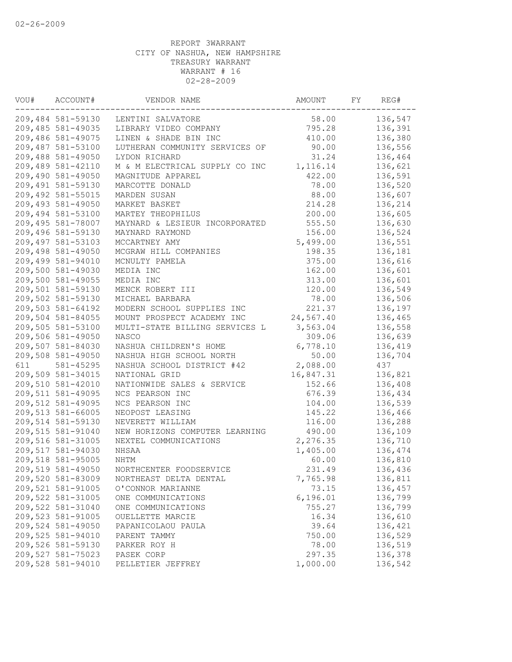| VOU# | ACCOUNT#          | VENDOR NAME                    | AMOUNT    | FΥ | REG#    |
|------|-------------------|--------------------------------|-----------|----|---------|
|      | 209,484 581-59130 | LENTINI SALVATORE              | 58.00     |    | 136,547 |
|      | 209,485 581-49035 | LIBRARY VIDEO COMPANY          | 795.28    |    | 136,391 |
|      | 209,486 581-49075 | LINEN & SHADE BIN INC          | 410.00    |    | 136,380 |
|      | 209,487 581-53100 | LUTHERAN COMMUNITY SERVICES OF | 90.00     |    | 136,556 |
|      | 209,488 581-49050 | LYDON RICHARD                  | 31.24     |    | 136,464 |
|      | 209,489 581-42110 | M & M ELECTRICAL SUPPLY CO INC | 1,116.14  |    | 136,621 |
|      | 209,490 581-49050 | MAGNITUDE APPAREL              | 422.00    |    | 136,591 |
|      | 209,491 581-59130 | MARCOTTE DONALD                | 78.00     |    | 136,520 |
|      | 209,492 581-55015 | MARDEN SUSAN                   | 88.00     |    | 136,607 |
|      | 209,493 581-49050 | MARKET BASKET                  | 214.28    |    | 136,214 |
|      | 209,494 581-53100 | MARTEY THEOPHILUS              | 200.00    |    | 136,605 |
|      | 209,495 581-78007 | MAYNARD & LESIEUR INCORPORATED | 555.50    |    | 136,630 |
|      | 209,496 581-59130 | MAYNARD RAYMOND                | 156.00    |    | 136,524 |
|      | 209,497 581-53103 | MCCARTNEY AMY                  | 5,499.00  |    | 136,551 |
|      | 209,498 581-49050 | MCGRAW HILL COMPANIES          | 198.35    |    | 136,181 |
|      | 209,499 581-94010 | MCNULTY PAMELA                 | 375.00    |    | 136,616 |
|      | 209,500 581-49030 | MEDIA INC                      | 162.00    |    | 136,601 |
|      | 209,500 581-49055 | MEDIA INC                      | 313.00    |    | 136,601 |
|      | 209,501 581-59130 | MENCK ROBERT III               | 120.00    |    | 136,549 |
|      | 209,502 581-59130 | MICHAEL BARBARA                | 78.00     |    | 136,506 |
|      | 209,503 581-64192 | MODERN SCHOOL SUPPLIES INC     | 221.37    |    | 136,197 |
|      | 209,504 581-84055 | MOUNT PROSPECT ACADEMY INC     | 24,567.40 |    | 136,465 |
|      | 209,505 581-53100 | MULTI-STATE BILLING SERVICES L | 3,563.04  |    | 136,558 |
|      | 209,506 581-49050 | <b>NASCO</b>                   | 309.06    |    | 136,639 |
|      | 209,507 581-84030 | NASHUA CHILDREN'S HOME         | 6,778.10  |    | 136,419 |
|      | 209,508 581-49050 | NASHUA HIGH SCHOOL NORTH       | 50.00     |    | 136,704 |
| 611  | 581-45295         | NASHUA SCHOOL DISTRICT #42     | 2,088.00  |    | 437     |
|      | 209,509 581-34015 | NATIONAL GRID                  | 16,847.31 |    | 136,821 |
|      | 209,510 581-42010 | NATIONWIDE SALES & SERVICE     | 152.66    |    | 136,408 |
|      | 209,511 581-49095 | NCS PEARSON INC                | 676.39    |    | 136,434 |
|      | 209,512 581-49095 | NCS PEARSON INC                | 104.00    |    | 136,539 |
|      | 209,513 581-66005 | NEOPOST LEASING                | 145.22    |    | 136,466 |
|      | 209,514 581-59130 | NEVERETT WILLIAM               | 116.00    |    | 136,288 |
|      | 209,515 581-91040 | NEW HORIZONS COMPUTER LEARNING | 490.00    |    | 136,109 |
|      | 209,516 581-31005 | NEXTEL COMMUNICATIONS          | 2,276.35  |    | 136,710 |
|      | 209,517 581-94030 | NHSAA                          | 1,405.00  |    | 136,474 |
|      | 209,518 581-95005 | NHTM                           | 60.00     |    | 136,810 |
|      | 209,519 581-49050 | NORTHCENTER FOODSERVICE        | 231.49    |    | 136,436 |
|      | 209,520 581-83009 | NORTHEAST DELTA DENTAL         | 7,765.98  |    | 136,811 |
|      | 209,521 581-91005 | O'CONNOR MARIANNE              | 73.15     |    | 136,457 |
|      | 209,522 581-31005 | ONE COMMUNICATIONS             | 6,196.01  |    | 136,799 |
|      | 209,522 581-31040 | ONE COMMUNICATIONS             | 755.27    |    | 136,799 |
|      | 209,523 581-91005 | OUELLETTE MARCIE               | 16.34     |    | 136,610 |
|      | 209,524 581-49050 | PAPANICOLAOU PAULA             | 39.64     |    | 136,421 |
|      | 209,525 581-94010 | PARENT TAMMY                   | 750.00    |    | 136,529 |
|      | 209,526 581-59130 | PARKER ROY H                   | 78.00     |    | 136,519 |
|      | 209,527 581-75023 | PASEK CORP                     | 297.35    |    | 136,378 |
|      | 209,528 581-94010 | PELLETIER JEFFREY              | 1,000.00  |    | 136,542 |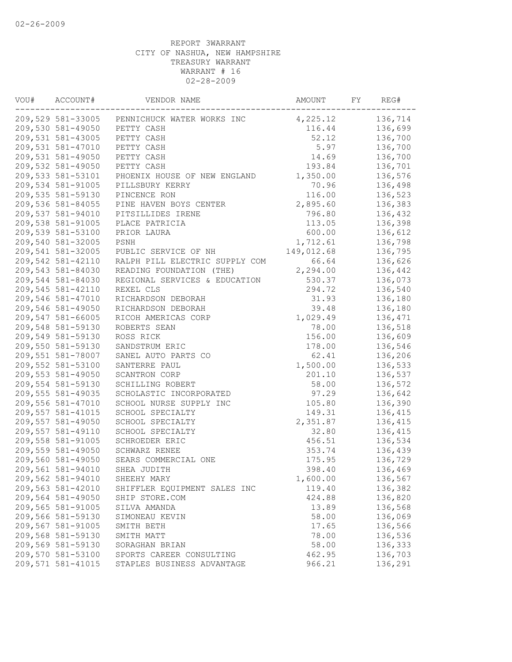| VOU# | ACCOUNT#          | VENDOR NAME                                  | AMOUNT     | FY | REG#    |
|------|-------------------|----------------------------------------------|------------|----|---------|
|      |                   | 209,529 581-33005 PENNICHUCK WATER WORKS INC | 4,225.12   |    | 136,714 |
|      | 209,530 581-49050 | PETTY CASH                                   | 116.44     |    | 136,699 |
|      | 209,531 581-43005 | PETTY CASH                                   | 52.12      |    | 136,700 |
|      | 209,531 581-47010 | PETTY CASH                                   | 5.97       |    | 136,700 |
|      | 209,531 581-49050 | PETTY CASH                                   | 14.69      |    | 136,700 |
|      | 209,532 581-49050 | PETTY CASH                                   | 193.84     |    | 136,701 |
|      | 209,533 581-53101 | PHOENIX HOUSE OF NEW ENGLAND                 | 1,350.00   |    | 136,576 |
|      | 209,534 581-91005 | PILLSBURY KERRY                              | 70.96      |    | 136,498 |
|      | 209,535 581-59130 | PINCENCE RON                                 | 116.00     |    | 136,523 |
|      | 209,536 581-84055 | PINE HAVEN BOYS CENTER                       | 2,895.60   |    | 136,383 |
|      | 209,537 581-94010 | PITSILLIDES IRENE                            | 796.80     |    | 136,432 |
|      | 209,538 581-91005 | PLACE PATRICIA                               | 113.05     |    | 136,398 |
|      | 209,539 581-53100 | PRIOR LAURA                                  | 600.00     |    | 136,612 |
|      | 209,540 581-32005 | PSNH                                         | 1,712.61   |    | 136,798 |
|      | 209,541 581-32005 | PUBLIC SERVICE OF NH                         | 149,012.68 |    | 136,795 |
|      | 209,542 581-42110 | RALPH PILL ELECTRIC SUPPLY COM               | 66.64      |    | 136,626 |
|      | 209,543 581-84030 | READING FOUNDATION (THE)                     | 2,294.00   |    | 136,442 |
|      | 209,544 581-84030 | REGIONAL SERVICES & EDUCATION                | 530.37     |    | 136,073 |
|      | 209,545 581-42110 | REXEL CLS                                    | 294.72     |    | 136,540 |
|      | 209,546 581-47010 | RICHARDSON DEBORAH                           | 31.93      |    | 136,180 |
|      | 209,546 581-49050 | RICHARDSON DEBORAH                           | 39.48      |    | 136,180 |
|      | 209,547 581-66005 | RICOH AMERICAS CORP                          | 1,029.49   |    | 136,471 |
|      | 209,548 581-59130 | ROBERTS SEAN                                 | 78.00      |    | 136,518 |
|      | 209,549 581-59130 | ROSS RICK                                    | 156.00     |    | 136,609 |
|      | 209,550 581-59130 | SANDSTRUM ERIC                               | 178.00     |    | 136,546 |
|      | 209,551 581-78007 |                                              |            |    |         |
|      | 209,552 581-53100 | SANEL AUTO PARTS CO                          | 62.41      |    | 136,206 |
|      | 209,553 581-49050 | SANTERRE PAUL                                | 1,500.00   |    | 136,533 |
|      |                   | SCANTRON CORP                                | 201.10     |    | 136,537 |
|      | 209,554 581-59130 | SCHILLING ROBERT                             | 58.00      |    | 136,572 |
|      | 209,555 581-49035 | SCHOLASTIC INCORPORATED                      | 97.29      |    | 136,642 |
|      | 209,556 581-47010 | SCHOOL NURSE SUPPLY INC                      | 105.80     |    | 136,390 |
|      | 209,557 581-41015 | SCHOOL SPECIALTY                             | 149.31     |    | 136,415 |
|      | 209,557 581-49050 | SCHOOL SPECIALTY                             | 2,351.87   |    | 136,415 |
|      | 209,557 581-49110 | SCHOOL SPECIALTY                             | 32.80      |    | 136,415 |
|      | 209,558 581-91005 | SCHROEDER ERIC                               | 456.51     |    | 136,534 |
|      | 209,559 581-49050 | SCHWARZ RENEE                                | 353.74     |    | 136,439 |
|      | 209,560 581-49050 | SEARS COMMERCIAL ONE                         | 175.95     |    | 136,729 |
|      | 209,561 581-94010 | SHEA JUDITH                                  | 398.40     |    | 136,469 |
|      | 209,562 581-94010 | SHEEHY MARY                                  | 1,600.00   |    | 136,567 |
|      | 209,563 581-42010 | SHIFFLER EQUIPMENT SALES INC                 | 119.40     |    | 136,382 |
|      | 209,564 581-49050 | SHIP STORE.COM                               | 424.88     |    | 136,820 |
|      | 209,565 581-91005 | SILVA AMANDA                                 | 13.89      |    | 136,568 |
|      | 209,566 581-59130 | SIMONEAU KEVIN                               | 58.00      |    | 136,069 |
|      | 209,567 581-91005 | SMITH BETH                                   | 17.65      |    | 136,566 |
|      | 209,568 581-59130 | SMITH MATT                                   | 78.00      |    | 136,536 |
|      | 209,569 581-59130 | SORAGHAN BRIAN                               | 58.00      |    | 136,333 |
|      | 209,570 581-53100 | SPORTS CAREER CONSULTING                     | 462.95     |    | 136,703 |
|      | 209,571 581-41015 | STAPLES BUSINESS ADVANTAGE                   | 966.21     |    | 136,291 |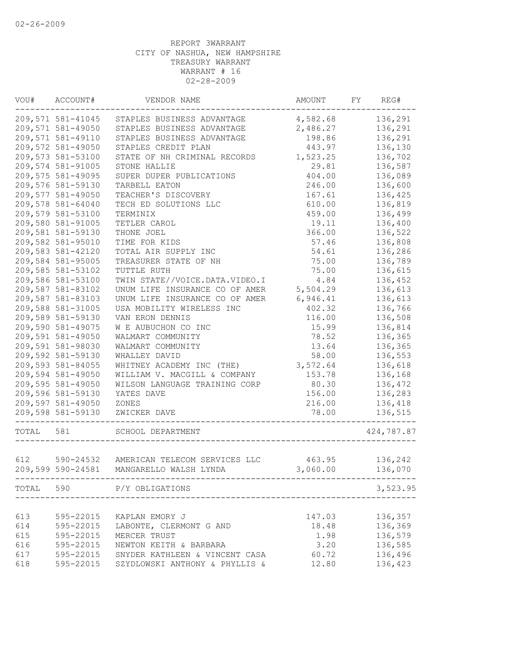| VOU#  | ACCOUNT#          | VENDOR NAME                              | AMOUNT   | FY | REG#       |
|-------|-------------------|------------------------------------------|----------|----|------------|
|       | 209,571 581-41045 | STAPLES BUSINESS ADVANTAGE               | 4,582.68 |    | 136,291    |
|       | 209,571 581-49050 | STAPLES BUSINESS ADVANTAGE               | 2,486.27 |    | 136,291    |
|       | 209,571 581-49110 | STAPLES BUSINESS ADVANTAGE               | 198.86   |    | 136,291    |
|       | 209,572 581-49050 | STAPLES CREDIT PLAN                      | 443.97   |    | 136,130    |
|       | 209,573 581-53100 | STATE OF NH CRIMINAL RECORDS             | 1,523.25 |    | 136,702    |
|       | 209,574 581-91005 | STONE HALLIE                             | 29.81    |    | 136,587    |
|       | 209,575 581-49095 | SUPER DUPER PUBLICATIONS                 | 404.00   |    | 136,089    |
|       | 209,576 581-59130 | TARBELL EATON                            | 246.00   |    | 136,600    |
|       | 209,577 581-49050 | TEACHER'S DISCOVERY                      | 167.61   |    | 136,425    |
|       | 209,578 581-64040 | TECH ED SOLUTIONS LLC                    | 610.00   |    | 136,819    |
|       | 209,579 581-53100 | TERMINIX                                 | 459.00   |    | 136,499    |
|       | 209,580 581-91005 | TETLER CAROL                             | 19.11    |    | 136,400    |
|       | 209,581 581-59130 | THONE JOEL                               | 366.00   |    | 136,522    |
|       | 209,582 581-95010 | TIME FOR KIDS                            | 57.46    |    | 136,808    |
|       | 209,583 581-42120 | TOTAL AIR SUPPLY INC                     | 54.61    |    | 136,286    |
|       | 209,584 581-95005 | TREASURER STATE OF NH                    | 75.00    |    | 136,789    |
|       | 209,585 581-53102 | TUTTLE RUTH                              | 75.00    |    | 136,615    |
|       | 209,586 581-53100 | TWIN STATE//VOICE.DATA.VIDEO.I           | 4.84     |    | 136,452    |
|       | 209,587 581-83102 | UNUM LIFE INSURANCE CO OF AMER           | 5,504.29 |    | 136,613    |
|       | 209,587 581-83103 | UNUM LIFE INSURANCE CO OF AMER           | 6,946.41 |    | 136,613    |
|       | 209,588 581-31005 | USA MOBILITY WIRELESS INC                | 402.32   |    | 136,766    |
|       | 209,589 581-59130 | VAN ERON DENNIS                          | 116.00   |    | 136,508    |
|       | 209,590 581-49075 | W E AUBUCHON CO INC                      | 15.99    |    | 136,814    |
|       | 209,591 581-49050 | WALMART COMMUNITY                        | 78.52    |    | 136,365    |
|       | 209,591 581-98030 | WALMART COMMUNITY                        | 13.64    |    | 136,365    |
|       | 209,592 581-59130 | WHALLEY DAVID                            | 58.00    |    | 136,553    |
|       | 209,593 581-84055 | WHITNEY ACADEMY INC (THE)                | 3,572.64 |    | 136,618    |
|       | 209,594 581-49050 | WILLIAM V. MACGILL & COMPANY             | 153.78   |    | 136,168    |
|       | 209,595 581-49050 | WILSON LANGUAGE TRAINING CORP            | 80.30    |    | 136,472    |
|       | 209,596 581-59130 | YATES DAVE                               | 156.00   |    | 136,283    |
|       | 209,597 581-49050 | ZONES                                    | 216.00   |    | 136,418    |
|       | 209,598 581-59130 | ZWICKER DAVE                             | 78.00    |    | 136,515    |
| TOTAL | 581               | SCHOOL DEPARTMENT                        |          |    | 424,787.87 |
|       |                   |                                          |          |    |            |
| 612   |                   | 590-24532 AMERICAN TELECOM SERVICES LLC  | 463.95   |    | 136,242    |
|       |                   | 209,599 590-24581 MANGARELLO WALSH LYNDA | 3,060.00 |    | 136,070    |
|       |                   | TOTAL 590 P/Y OBLIGATIONS                |          |    | 3,523.95   |
|       |                   |                                          |          |    |            |
| 613   | 595-22015         | KAPLAN EMORY J                           | 147.03   |    | 136,357    |
| 614   | 595-22015         | LABONTE, CLERMONT G AND                  | 18.48    |    | 136,369    |
| 615   | 595-22015         | MERCER TRUST                             | 1.98     |    | 136,579    |
| 616   | 595-22015         | NEWTON KEITH & BARBARA                   | 3.20     |    | 136,585    |
| 617   | 595-22015         | SNYDER KATHLEEN & VINCENT CASA           | 60.72    |    | 136,496    |
| 618   | 595-22015         | SZYDLOWSKI ANTHONY & PHYLLIS &           | 12.80    |    | 136,423    |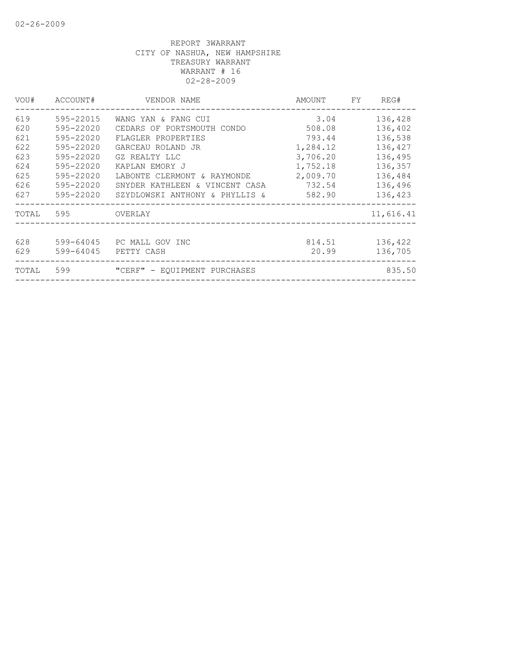| VOU#  | ACCOUNT#      | VENDOR NAME                    | AMOUNT   | FY | REG#      |
|-------|---------------|--------------------------------|----------|----|-----------|
| 619   | 595-22015     | WANG YAN & FANG CUI            | 3.04     |    | 136,428   |
| 620   | 595-22020     | CEDARS OF PORTSMOUTH CONDO     | 508.08   |    | 136,402   |
| 621   | 595-22020     | FLAGLER PROPERTIES             | 793.44   |    | 136,538   |
| 622   | 595-22020     | GARCEAU ROLAND JR              | 1,284.12 |    | 136,427   |
| 623   | 595-22020     | GZ REALTY LLC                  | 3,706.20 |    | 136,495   |
| 624   | 595-22020     | KAPLAN EMORY J                 | 1,752.18 |    | 136,357   |
| 625   | $595 - 22020$ | LABONTE CLERMONT & RAYMONDE    | 2,009.70 |    | 136,484   |
| 626   | 595-22020     | SNYDER KATHLEEN & VINCENT CASA | 732.54   |    | 136,496   |
| 627   | 595-22020     | SZYDLOWSKI ANTHONY & PHYLLIS & | 582.90   |    | 136,423   |
| TOTAL | 595           | OVERLAY                        |          |    | 11,616.41 |
| 628   | 599-64045     | PC MALL GOV INC                | 814.51   |    | 136,422   |
| 629   | 599-64045     | PETTY CASH                     | 20.99    |    | 136,705   |
|       |               |                                |          |    |           |
| TOTAL | 599           | "CERF" - EQUIPMENT PURCHASES   |          |    | 835.50    |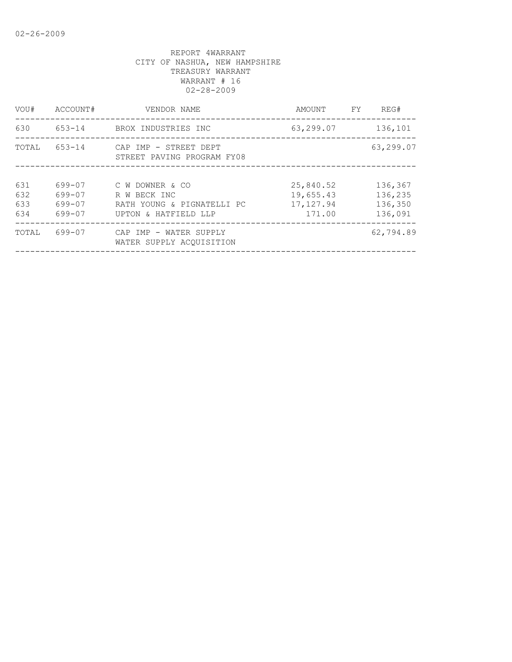| VOU#                     | ACCOUNT#                             | VENDOR NAME                                                                           | AMOUNT                                         | FY. | REG#                                     |
|--------------------------|--------------------------------------|---------------------------------------------------------------------------------------|------------------------------------------------|-----|------------------------------------------|
| 630                      | 653-14                               | BROX INDUSTRIES INC                                                                   | 63,299.07                                      |     | 136,101                                  |
| TOTAL                    | $653 - 14$                           | CAP IMP - STREET DEPT<br>STREET PAVING PROGRAM FY08                                   |                                                |     | 63,299.07                                |
| 631<br>632<br>633<br>634 | 699-07<br>699-07<br>699-07<br>699-07 | C W DOWNER & CO<br>R W BECK INC<br>RATH YOUNG & PIGNATELLI PC<br>UPTON & HATFIELD LLP | 25,840.52<br>19,655.43<br>17, 127.94<br>171.00 |     | 136,367<br>136,235<br>136,350<br>136,091 |
| TOTAL                    | 699-07                               | CAP IMP - WATER SUPPLY<br>WATER SUPPLY ACOUISITION                                    |                                                |     | 62,794.89                                |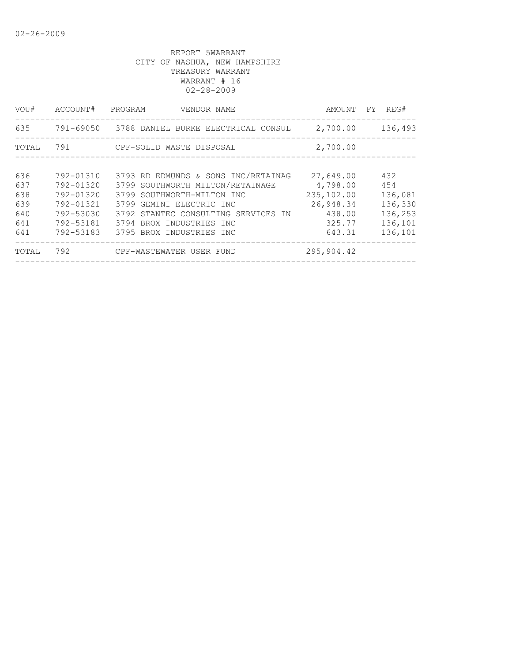| VOU#  | ACCOUNT#  | PROGRAM<br>VENDOR NAME                        | AMOUNT     | FY REG# |
|-------|-----------|-----------------------------------------------|------------|---------|
| 635   |           | 791-69050 3788 DANIEL BURKE ELECTRICAL CONSUL | 2,700.00   | 136,493 |
| TOTAL | 791       | CPF-SOLID WASTE DISPOSAL                      | 2,700.00   |         |
|       |           |                                               |            |         |
| 636   | 792-01310 | 3793 RD EDMUNDS & SONS INC/RETAINAG           | 27,649.00  | 432     |
| 637   | 792-01320 | 3799 SOUTHWORTH MILTON/RETAINAGE              | 4,798.00   | 454     |
| 638   | 792-01320 | 3799 SOUTHWORTH-MILTON INC                    | 235,102.00 | 136,081 |
| 639   | 792-01321 | 3799 GEMINI ELECTRIC INC                      | 26,948.34  | 136,330 |
| 640   | 792-53030 | 3792 STANTEC CONSULTING SERVICES IN           | 438.00     | 136,253 |
| 641   | 792-53181 | 3794 BROX INDUSTRIES INC                      | 325.77     | 136,101 |
| 641   | 792-53183 | 3795 BROX INDUSTRIES INC                      | 643.31     | 136,101 |
| TOTAL | 792       | CPF-WASTEWATER USER FUND                      | 295,904.42 |         |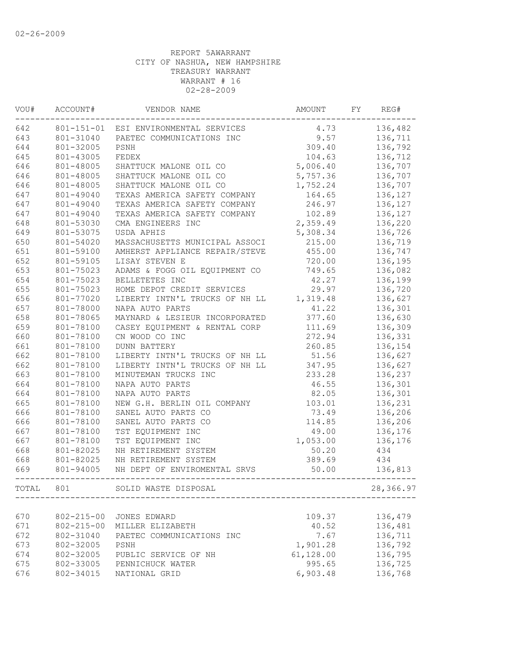| VOU#  | ACCOUNT#         | VENDOR NAME                           | AMOUNT    | FY | REG#      |
|-------|------------------|---------------------------------------|-----------|----|-----------|
| 642   |                  | 801-151-01 ESI ENVIRONMENTAL SERVICES | 4.73      |    | 136,482   |
| 643   | 801-31040        | PAETEC COMMUNICATIONS INC             | 9.57      |    | 136,711   |
| 644   | 801-32005        | PSNH                                  | 309.40    |    | 136,792   |
| 645   | 801-43005        | FEDEX                                 | 104.63    |    | 136,712   |
| 646   | 801-48005        | SHATTUCK MALONE OIL CO                | 5,006.40  |    | 136,707   |
| 646   | 801-48005        | SHATTUCK MALONE OIL CO                | 5,757.36  |    | 136,707   |
| 646   | 801-48005        | SHATTUCK MALONE OIL CO                | 1,752.24  |    | 136,707   |
| 647   | 801-49040        | TEXAS AMERICA SAFETY COMPANY          | 164.65    |    | 136,127   |
| 647   | 801-49040        | TEXAS AMERICA SAFETY COMPANY          | 246.97    |    | 136,127   |
| 647   | 801-49040        | TEXAS AMERICA SAFETY COMPANY          | 102.89    |    | 136,127   |
| 648   | 801-53030        | CMA ENGINEERS INC                     | 2,359.49  |    | 136,220   |
| 649   | 801-53075        | USDA APHIS                            | 5,308.34  |    | 136,726   |
| 650   | 801-54020        | MASSACHUSETTS MUNICIPAL ASSOCI        | 215.00    |    | 136,719   |
| 651   | 801-59100        | AMHERST APPLIANCE REPAIR/STEVE        | 455.00    |    | 136,747   |
| 652   | 801-59105        | LISAY STEVEN E                        | 720.00    |    | 136,195   |
| 653   | 801-75023        | ADAMS & FOGG OIL EQUIPMENT CO         | 749.65    |    | 136,082   |
| 654   | 801-75023        | BELLETETES INC                        | 42.27     |    | 136,199   |
| 655   | 801-75023        | HOME DEPOT CREDIT SERVICES            | 29.97     |    | 136,720   |
| 656   | 801-77020        | LIBERTY INTN'L TRUCKS OF NH LL        | 1,319.48  |    | 136,627   |
| 657   | 801-78000        | NAPA AUTO PARTS                       | 41.22     |    | 136,301   |
| 658   | 801-78065        | MAYNARD & LESIEUR INCORPORATED        | 377.60    |    | 136,630   |
| 659   | 801-78100        | CASEY EQUIPMENT & RENTAL CORP         | 111.69    |    | 136,309   |
| 660   | 801-78100        | CN WOOD CO INC                        | 272.94    |    |           |
|       |                  | <b>DUNN BATTERY</b>                   |           |    | 136,331   |
| 661   | 801-78100        |                                       | 260.85    |    | 136,154   |
| 662   | 801-78100        | LIBERTY INTN'L TRUCKS OF NH LL        | 51.56     |    | 136,627   |
| 662   | 801-78100        | LIBERTY INTN'L TRUCKS OF NH LL        | 347.95    |    | 136,627   |
| 663   | 801-78100        | MINUTEMAN TRUCKS INC                  | 233.28    |    | 136,237   |
| 664   | 801-78100        | NAPA AUTO PARTS                       | 46.55     |    | 136,301   |
| 664   | 801-78100        | NAPA AUTO PARTS                       | 82.05     |    | 136,301   |
| 665   | 801-78100        | NEW G.H. BERLIN OIL COMPANY           | 103.01    |    | 136,231   |
| 666   | 801-78100        | SANEL AUTO PARTS CO                   | 73.49     |    | 136,206   |
| 666   | 801-78100        | SANEL AUTO PARTS CO                   | 114.85    |    | 136,206   |
| 667   | 801-78100        | TST EQUIPMENT INC                     | 49.00     |    | 136,176   |
| 667   | 801-78100        | TST EQUIPMENT INC                     | 1,053.00  |    | 136,176   |
| 668   | 801-82025        | NH RETIREMENT SYSTEM                  | 50.20     |    | 434       |
| 668   | 801-82025        | NH RETIREMENT SYSTEM                  | 389.69    |    | 434       |
| 669   | 801-94005        | NH DEPT OF ENVIROMENTAL SRVS          | 50.00     |    | 136,813   |
| TOTAL | 801              | SOLID WASTE DISPOSAL                  |           |    | 28,366.97 |
|       |                  |                                       |           |    |           |
| 670   | $802 - 215 - 00$ | JONES EDWARD                          | 109.37    |    | 136,479   |
| 671   | $802 - 215 - 00$ | MILLER ELIZABETH                      | 40.52     |    | 136,481   |
| 672   | 802-31040        | PAETEC COMMUNICATIONS INC             | 7.67      |    | 136,711   |
| 673   | 802-32005        | PSNH                                  | 1,901.28  |    | 136,792   |
| 674   | 802-32005        | PUBLIC SERVICE OF NH                  | 61,128.00 |    | 136,795   |
| 675   | 802-33005        | PENNICHUCK WATER                      | 995.65    |    | 136,725   |
| 676   | 802-34015        | NATIONAL GRID                         | 6,903.48  |    | 136,768   |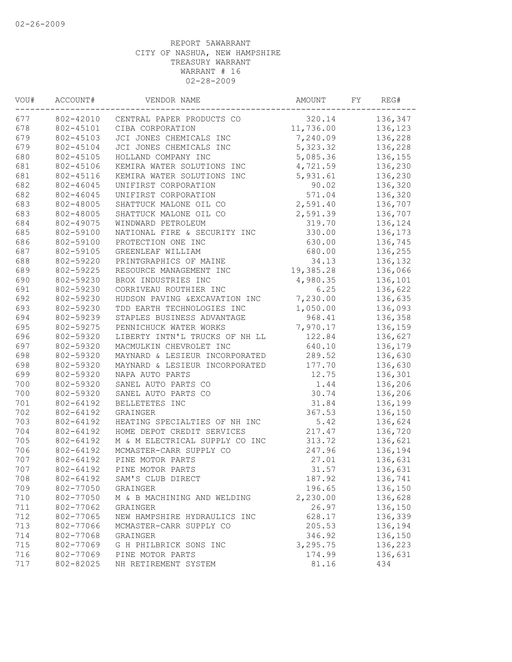| WOU# | ACCOUNT#  | VENDOR NAME                         | AMOUNT    | FY | REG#    |
|------|-----------|-------------------------------------|-----------|----|---------|
| 677  |           | 802-42010 CENTRAL PAPER PRODUCTS CO | 320.14    |    | 136,347 |
| 678  | 802-45101 | CIBA CORPORATION                    | 11,736.00 |    | 136,123 |
| 679  | 802-45103 | JCI JONES CHEMICALS INC             | 7,240.09  |    | 136,228 |
| 679  | 802-45104 | JCI JONES CHEMICALS INC             | 5,323.32  |    | 136,228 |
| 680  | 802-45105 | HOLLAND COMPANY INC                 | 5,085.36  |    | 136,155 |
| 681  | 802-45106 | KEMIRA WATER SOLUTIONS INC          | 4,721.59  |    | 136,230 |
| 681  | 802-45116 | KEMIRA WATER SOLUTIONS INC          | 5,931.61  |    | 136,230 |
| 682  | 802-46045 | UNIFIRST CORPORATION                | 90.02     |    | 136,320 |
| 682  | 802-46045 | UNIFIRST CORPORATION                | 571.04    |    | 136,320 |
| 683  | 802-48005 | SHATTUCK MALONE OIL CO              | 2,591.40  |    | 136,707 |
| 683  | 802-48005 | SHATTUCK MALONE OIL CO              | 2,591.39  |    | 136,707 |
| 684  | 802-49075 | WINDWARD PETROLEUM                  | 319.70    |    | 136,124 |
| 685  | 802-59100 | NATIONAL FIRE & SECURITY INC        | 330.00    |    | 136,173 |
| 686  | 802-59100 | PROTECTION ONE INC                  | 630.00    |    | 136,745 |
| 687  | 802-59105 | GREENLEAF WILLIAM                   | 680.00    |    | 136,255 |
| 688  | 802-59220 | PRINTGRAPHICS OF MAINE              | 34.13     |    | 136,132 |
| 689  | 802-59225 | RESOURCE MANAGEMENT INC             | 19,385.28 |    | 136,066 |
| 690  | 802-59230 | BROX INDUSTRIES INC                 | 4,980.35  |    | 136,101 |
| 691  | 802-59230 | CORRIVEAU ROUTHIER INC              | 6.25      |    | 136,622 |
| 692  | 802-59230 | HUDSON PAVING & EXCAVATION INC      | 7,230.00  |    | 136,635 |
| 693  | 802-59230 | TDD EARTH TECHNOLOGIES INC          | 1,050.00  |    | 136,093 |
| 694  | 802-59239 | STAPLES BUSINESS ADVANTAGE          | 968.41    |    | 136,358 |
| 695  | 802-59275 | PENNICHUCK WATER WORKS              | 7,970.17  |    | 136,159 |
| 696  | 802-59320 | LIBERTY INTN'L TRUCKS OF NH LL      | 122.84    |    | 136,627 |
| 697  | 802-59320 | MACMULKIN CHEVROLET INC             | 640.10    |    | 136,179 |
| 698  | 802-59320 | MAYNARD & LESIEUR INCORPORATED      | 289.52    |    | 136,630 |
| 698  | 802-59320 | MAYNARD & LESIEUR INCORPORATED      | 177.70    |    | 136,630 |
| 699  | 802-59320 | NAPA AUTO PARTS                     | 12.75     |    | 136,301 |
| 700  | 802-59320 | SANEL AUTO PARTS CO                 | 1.44      |    | 136,206 |
| 700  | 802-59320 | SANEL AUTO PARTS CO                 | 30.74     |    | 136,206 |
| 701  | 802-64192 | BELLETETES INC                      | 31.84     |    | 136,199 |
| 702  | 802-64192 | GRAINGER                            | 367.53    |    | 136,150 |
| 703  | 802-64192 | HEATING SPECIALTIES OF NH INC       | 5.42      |    | 136,624 |
| 704  | 802-64192 | HOME DEPOT CREDIT SERVICES          | 217.47    |    | 136,720 |
| 705  | 802-64192 | M & M ELECTRICAL SUPPLY CO INC      | 313.72    |    | 136,621 |
| 706  | 802-64192 | MCMASTER-CARR SUPPLY CO             | 247.96    |    | 136,194 |
| 707  | 802-64192 | PINE MOTOR PARTS                    | 27.01     |    | 136,631 |
| 707  | 802-64192 | PINE MOTOR PARTS                    | 31.57     |    | 136,631 |
| 708  | 802-64192 | SAM'S CLUB DIRECT                   | 187.92    |    | 136,741 |
| 709  | 802-77050 | GRAINGER                            | 196.65    |    | 136,150 |
| 710  | 802-77050 | M & B MACHINING AND WELDING         | 2,230.00  |    | 136,628 |
| 711  | 802-77062 | GRAINGER                            | 26.97     |    | 136,150 |
| 712  | 802-77065 | NEW HAMPSHIRE HYDRAULICS INC        | 628.17    |    | 136,339 |
| 713  | 802-77066 | MCMASTER-CARR SUPPLY CO             | 205.53    |    | 136,194 |
| 714  | 802-77068 | GRAINGER                            | 346.92    |    | 136,150 |
| 715  | 802-77069 | G H PHILBRICK SONS INC              | 3,295.75  |    | 136,223 |
| 716  | 802-77069 | PINE MOTOR PARTS                    | 174.99    |    | 136,631 |
| 717  | 802-82025 | NH RETIREMENT SYSTEM                | 81.16     |    | 434     |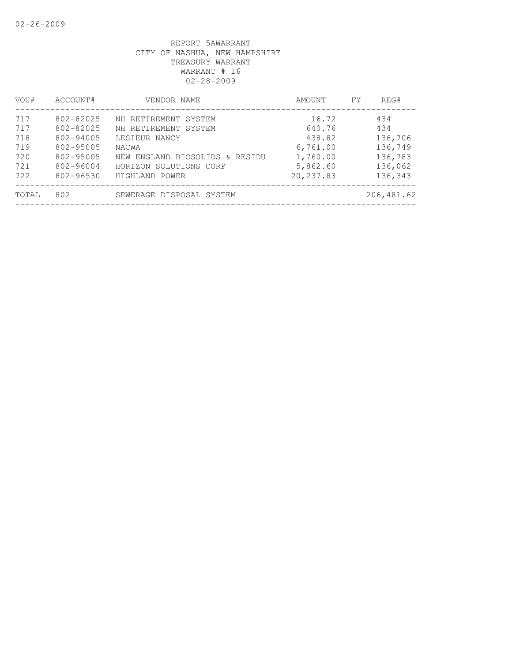| VOU#  | ACCOUNT#  | VENDOR NAME                    | AMOUNT     | FY | REG#       |
|-------|-----------|--------------------------------|------------|----|------------|
| 717   | 802-82025 | NH RETIREMENT SYSTEM           | 16.72      |    | 434        |
| 717   | 802-82025 | NH RETIREMENT SYSTEM           | 640.76     |    | 434        |
| 718   | 802-94005 | LESIEUR NANCY                  | 438.82     |    | 136,706    |
| 719   | 802-95005 | NACWA                          | 6,761.00   |    | 136,749    |
| 720   | 802-95005 | NEW ENGLAND BIOSOLIDS & RESIDU | 1,760.00   |    | 136,783    |
| 721   | 802-96004 | HORIZON SOLUTIONS CORP         | 5,862.60   |    | 136,062    |
| 722   | 802-96530 | HIGHLAND POWER                 | 20, 237.83 |    | 136,343    |
| TOTAL | 802       | SEWERAGE DISPOSAL SYSTEM       |            |    | 206,481.62 |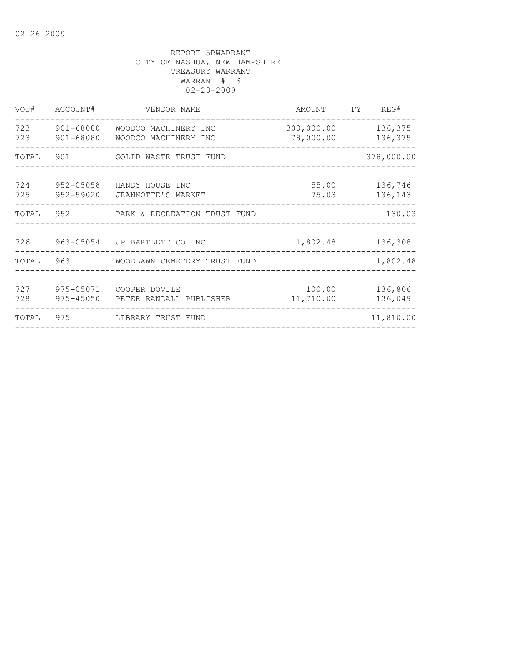| VOU#       | ACCOUNT#                   | VENDOR NAME                                                  | AMOUNT                  | FY | REG#               |
|------------|----------------------------|--------------------------------------------------------------|-------------------------|----|--------------------|
| 723        | 723 901-68080<br>901-68080 | WOODCO MACHINERY INC<br>WOODCO MACHINERY INC                 | 300,000.00<br>78,000.00 |    | 136,375<br>136,375 |
| TOTAL      | 901                        | SOLID WASTE TRUST FUND                                       |                         |    | 378,000.00         |
| 724        | 952-05058                  | HANDY HOUSE INC<br>725 952-59020 JEANNOTTE'S MARKET          | 55.00<br>75.03          |    | 136,746<br>136,143 |
|            |                            | TOTAL 952 PARK & RECREATION TRUST FUND                       |                         |    | 130.03             |
|            |                            | 726 963-05054 JP BARTLETT CO INC                             | 1,802.48                |    | 136,308            |
| TOTAL      |                            |                                                              |                         |    | 1,802.48           |
| 727<br>728 |                            | 975-05071 COOPER DOVILE<br>975-45050 PETER RANDALL PUBLISHER | 100.00<br>11,710.00     |    | 136,806<br>136,049 |
| TOTAL      | 975                        | LIBRARY TRUST FUND                                           |                         |    | 11,810.00          |
|            |                            |                                                              |                         |    |                    |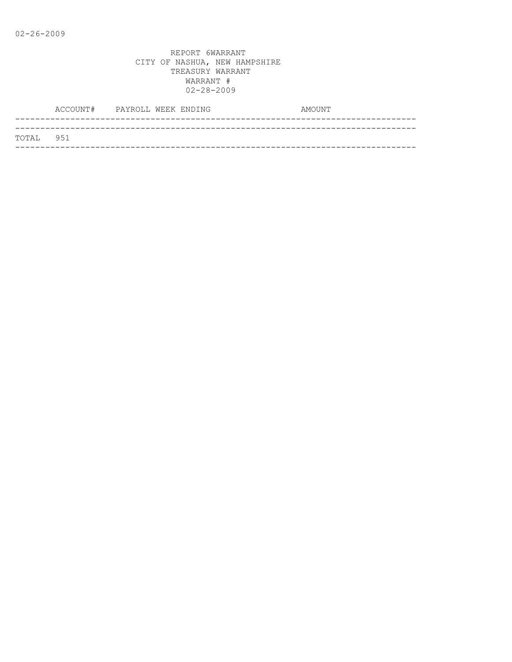|           | ACCOUNT# PAYROLL WEEK ENDING |  |  | AMOUNT |
|-----------|------------------------------|--|--|--------|
|           |                              |  |  |        |
| TOTAL 951 |                              |  |  |        |
|           |                              |  |  |        |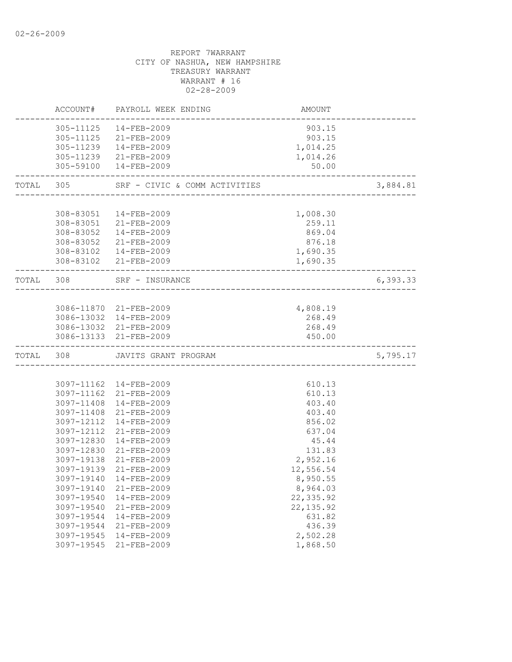|           | ACCOUNT#                                                                                                                                                                                                       | PAYROLL WEEK ENDING                                                                                                                                                                                                                                                                                                                              | AMOUNT                                                                                                                                                                                               |          |
|-----------|----------------------------------------------------------------------------------------------------------------------------------------------------------------------------------------------------------------|--------------------------------------------------------------------------------------------------------------------------------------------------------------------------------------------------------------------------------------------------------------------------------------------------------------------------------------------------|------------------------------------------------------------------------------------------------------------------------------------------------------------------------------------------------------|----------|
|           |                                                                                                                                                                                                                | 305-11125  14-FEB-2009<br>305-11125 21-FEB-2009<br>305-11239  14-FEB-2009<br>305-11239 21-FEB-2009<br>305-59100  14-FEB-2009                                                                                                                                                                                                                     | 903.15<br>903.15<br>1,014.25<br>1,014.26<br>50.00                                                                                                                                                    |          |
| TOTAL     | 305                                                                                                                                                                                                            | SRF - CIVIC & COMM ACTIVITIES                                                                                                                                                                                                                                                                                                                    |                                                                                                                                                                                                      | 3,884.81 |
|           | 308-83051                                                                                                                                                                                                      | 14-FEB-2009<br>308-83051 21-FEB-2009<br>308-83052  14-FEB-2009<br>308-83052 21-FEB-2009<br>308-83102  14-FEB-2009<br>308-83102 21-FEB-2009                                                                                                                                                                                                       | 1,008.30<br>259.11<br>869.04<br>876.18<br>1,690.35<br>1,690.35                                                                                                                                       |          |
| TOTAL 308 |                                                                                                                                                                                                                | SRF - INSURANCE                                                                                                                                                                                                                                                                                                                                  |                                                                                                                                                                                                      | 6,393.33 |
|           |                                                                                                                                                                                                                | 3086-11870 21-FEB-2009<br>3086-13032 14-FEB-2009<br>3086-13032 21-FEB-2009<br>3086-13133 21-FEB-2009                                                                                                                                                                                                                                             | 4,808.19<br>268.49<br>268.49<br>450.00                                                                                                                                                               |          |
| TOTAL     | 308                                                                                                                                                                                                            | JAVITS GRANT PROGRAM                                                                                                                                                                                                                                                                                                                             |                                                                                                                                                                                                      | 5,795.17 |
|           | 3097-11408<br>3097-11408<br>3097-12112<br>3097-12112<br>3097-12830<br>3097-12830<br>3097-19138<br>3097-19139<br>3097-19140<br>3097-19540<br>3097-19540<br>3097-19544<br>3097-19544<br>3097-19545<br>3097-19545 | 3097-11162 14-FEB-2009<br>3097-11162 21-FEB-2009<br>14-FEB-2009<br>21-FEB-2009<br>14-FEB-2009<br>$21 - FEB - 2009$<br>14-FEB-2009<br>$21 - FEB - 2009$<br>$21 - FEB - 2009$<br>$21 - FEB - 2009$<br>3097-19140  14-FEB-2009<br>21-FEB-2009<br>14-FEB-2009<br>21-FEB-2009<br>$14 - FEB - 2009$<br>21-FEB-2009<br>$14 - FEB - 2009$<br>21-FEB-2009 | 610.13<br>610.13<br>403.40<br>403.40<br>856.02<br>637.04<br>45.44<br>131.83<br>2,952.16<br>12,556.54<br>8,950.55<br>8,964.03<br>22, 335.92<br>22, 135.92<br>631.82<br>436.39<br>2,502.28<br>1,868.50 |          |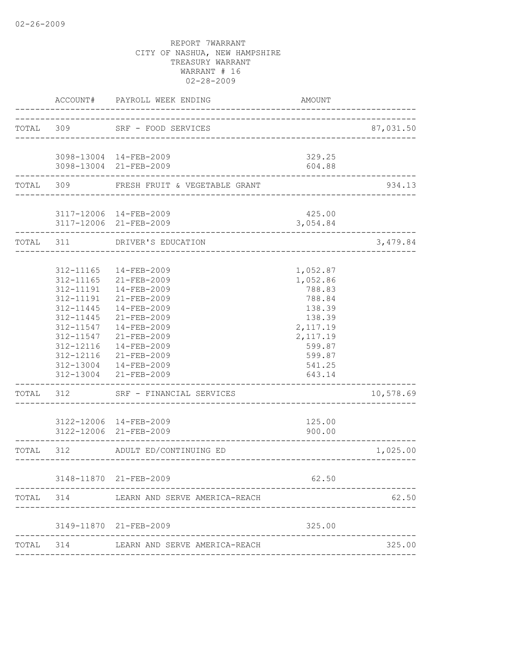| TOTAL 309 |                                                                                                                                                | SRF - FOOD SERVICES                                                                                                                                                                                                                                                                                                         | _________________________________                                                                                                                | 87,031.50 |
|-----------|------------------------------------------------------------------------------------------------------------------------------------------------|-----------------------------------------------------------------------------------------------------------------------------------------------------------------------------------------------------------------------------------------------------------------------------------------------------------------------------|--------------------------------------------------------------------------------------------------------------------------------------------------|-----------|
|           |                                                                                                                                                | 3098-13004 14-FEB-2009<br>3098-13004 21-FEB-2009                                                                                                                                                                                                                                                                            | 329.25<br>604.88                                                                                                                                 |           |
|           |                                                                                                                                                | TOTAL 309 FRESH FRUIT & VEGETABLE GRANT                                                                                                                                                                                                                                                                                     |                                                                                                                                                  | 934.13    |
|           |                                                                                                                                                | 3117-12006 14-FEB-2009<br>3117-12006 21-FEB-2009                                                                                                                                                                                                                                                                            | 425.00<br>3,054.84                                                                                                                               |           |
| TOTAL 311 |                                                                                                                                                | DRIVER'S EDUCATION                                                                                                                                                                                                                                                                                                          |                                                                                                                                                  | 3,479.84  |
|           | 312-11165<br>312-11165<br>312-11191<br>312-11191<br>312-11445<br>312-11445<br>312-11547<br>312-11547<br>312-12116<br>. _ _ _ _ _ _ _ _ _ _ _ _ | 14-FEB-2009<br>21-FEB-2009<br>$14 - FEB - 2009$<br>$21 - FEB - 2009$<br>$14 - FEB - 2009$<br>21-FEB-2009<br>14-FEB-2009<br>21-FEB-2009<br>14-FEB-2009<br>312-12116 21-FEB-2009<br>312-13004  14-FEB-2009<br>312-13004 21-FEB-2009<br>TOTAL 312 SRF - FINANCIAL SERVICES<br>3122-12006 14-FEB-2009<br>3122-12006 21-FEB-2009 | 1,052.87<br>1,052.86<br>788.83<br>788.84<br>138.39<br>138.39<br>2,117.19<br>2,117.19<br>599.87<br>599.87<br>541.25<br>643.14<br>125.00<br>900.00 | 10,578.69 |
| TOTAL 312 |                                                                                                                                                | ADULT ED/CONTINUING ED                                                                                                                                                                                                                                                                                                      |                                                                                                                                                  | 1,025.00  |
| TOTAL     | 314                                                                                                                                            | 3148-11870 21-FEB-2009<br>LEARN AND SERVE AMERICA-REACH                                                                                                                                                                                                                                                                     | __________________<br>62.50                                                                                                                      | 62.50     |
|           |                                                                                                                                                | 3149-11870 21-FEB-2009                                                                                                                                                                                                                                                                                                      | 325.00                                                                                                                                           |           |
| TOTAL 314 |                                                                                                                                                | LEARN AND SERVE AMERICA-REACH                                                                                                                                                                                                                                                                                               |                                                                                                                                                  | 325.00    |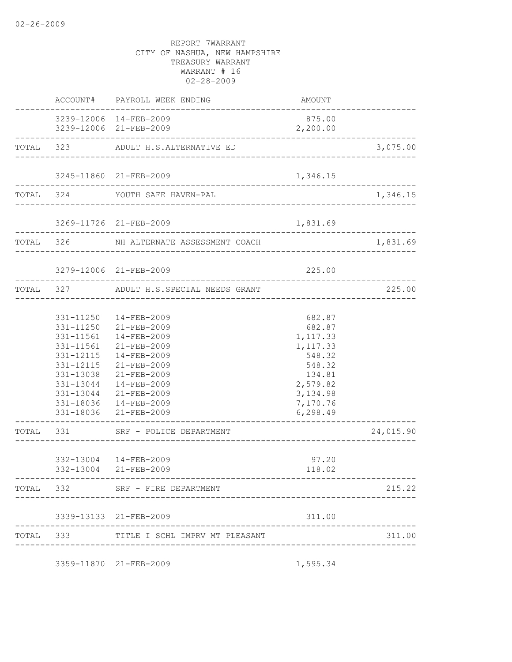|  | ACCOUNT# PAYROLL WEEK ENDING                                                                                                                                                                                                                                                         | AMOUNT                                                                                                                  |                      |
|--|--------------------------------------------------------------------------------------------------------------------------------------------------------------------------------------------------------------------------------------------------------------------------------------|-------------------------------------------------------------------------------------------------------------------------|----------------------|
|  | 3239-12006 14-FEB-2009<br>3239-12006 21-FEB-2009                                                                                                                                                                                                                                     | 875.00<br>2,200.00                                                                                                      |                      |
|  | TOTAL 323 ADULT H.S.ALTERNATIVE ED                                                                                                                                                                                                                                                   |                                                                                                                         | 3,075.00             |
|  | 3245-11860 21-FEB-2009                                                                                                                                                                                                                                                               | 1,346.15                                                                                                                |                      |
|  | TOTAL 324 YOUTH SAFE HAVEN-PAL                                                                                                                                                                                                                                                       |                                                                                                                         | 1,346.15             |
|  | 3269-11726 21-FEB-2009                                                                                                                                                                                                                                                               | 1,831.69                                                                                                                |                      |
|  | ------------------------------<br>TOTAL 326 NH ALTERNATE ASSESSMENT COACH                                                                                                                                                                                                            |                                                                                                                         | 1,831.69             |
|  | 3279-12006 21-FEB-2009                                                                                                                                                                                                                                                               | 225.00                                                                                                                  |                      |
|  | TOTAL 327 ADULT H.S.SPECIAL NEEDS GRANT                                                                                                                                                                                                                                              |                                                                                                                         | 225.00<br>__________ |
|  | 331-11250  14-FEB-2009<br>331-11250 21-FEB-2009<br>331-11561  14-FEB-2009<br>331-11561 21-FEB-2009<br>331-12115  14-FEB-2009<br>331-12115 21-FEB-2009<br>331-13038 21-FEB-2009<br>331-13044  14-FEB-2009<br>331-13044 21-FEB-2009<br>331-18036  14-FEB-2009<br>331-18036 21-FEB-2009 | 682.87<br>682.87<br>1,117.33<br>1,117.33<br>548.32<br>548.32<br>134.81<br>2,579.82<br>3, 134.98<br>7,170.76<br>6,298.49 |                      |
|  | TOTAL 331 SRF - POLICE DEPARTMENT                                                                                                                                                                                                                                                    |                                                                                                                         | 24,015.90            |
|  | 332-13004 14-FEB-2009<br>332-13004 21-FEB-2009                                                                                                                                                                                                                                       | 97.20<br>118.02                                                                                                         |                      |
|  | TOTAL 332 SRF - FIRE DEPARTMENT                                                                                                                                                                                                                                                      |                                                                                                                         | 215.22               |
|  | 3339-13133 21-FEB-2009                                                                                                                                                                                                                                                               | 311.00                                                                                                                  |                      |
|  | TOTAL 333 TITLE I SCHL IMPRV MT PLEASANT                                                                                                                                                                                                                                             |                                                                                                                         | 311.00               |
|  | 3359-11870 21-FEB-2009                                                                                                                                                                                                                                                               | 1,595.34                                                                                                                |                      |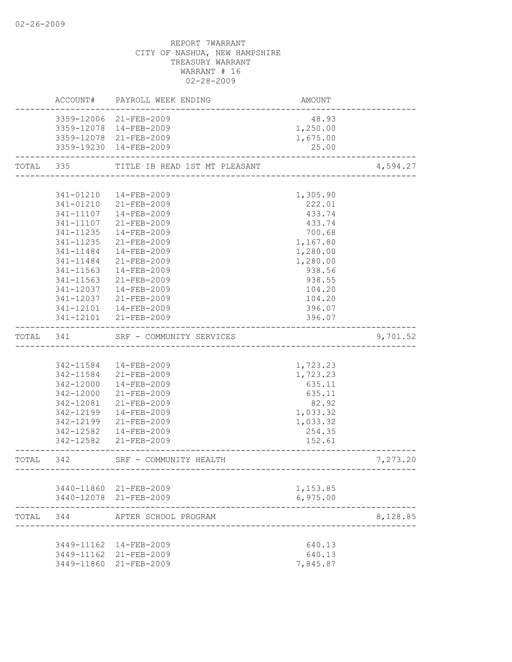|           |            | ACCOUNT# PAYROLL WEEK ENDING                    | AMOUNT                             |          |
|-----------|------------|-------------------------------------------------|------------------------------------|----------|
|           |            | 3359-12006 21-FEB-2009                          | 48.93                              |          |
|           |            | 3359-12078  14-FEB-2009                         | 1,250.00                           |          |
|           |            | 3359-12078 21-FEB-2009                          | 1,675.00                           |          |
|           |            | 3359-19230 14-FEB-2009                          | 25.00                              |          |
|           |            | TOTAL 335 TITLE IB READ 1ST MT PLEASANT         |                                    | 4,594.27 |
|           |            |                                                 |                                    |          |
|           |            | 341-01210  14-FEB-2009                          | 1,305.90                           |          |
|           |            | 341-01210 21-FEB-2009                           | 222.01                             |          |
|           |            | 341-11107  14-FEB-2009                          | 433.74                             |          |
|           | 341-11107  | 21-FEB-2009                                     | 433.74                             |          |
|           | 341-11235  | 14-FEB-2009                                     | 700.68                             |          |
|           | 341-11235  | 21-FEB-2009                                     | 1,167.80                           |          |
|           | 341-11484  | 14-FEB-2009                                     | 1,280.00                           |          |
|           | 341-11484  | 21-FEB-2009                                     | 1,280.00                           |          |
|           | 341-11563  | 14-FEB-2009                                     | 938.56                             |          |
|           | 341-11563  | 21-FEB-2009                                     | 938.55                             |          |
|           | 341-12037  | 14-FEB-2009                                     | 104.20                             |          |
|           | 341-12037  | 21-FEB-2009                                     | 104.20                             |          |
|           | 341-12101  | 14-FEB-2009                                     | 396.07                             |          |
|           |            | 341-12101 21-FEB-2009                           | 396.07                             |          |
| TOTAL 341 |            | SRF - COMMUNITY SERVICES                        |                                    | 9,701.52 |
|           |            |                                                 |                                    |          |
|           |            | 342-11584  14-FEB-2009                          | 1,723.23                           |          |
|           |            | 342-11584 21-FEB-2009                           | 1,723.23                           |          |
|           | 342-12000  | 14-FEB-2009                                     | 635.11                             |          |
|           | 342-12000  | 21-FEB-2009                                     | 635.11                             |          |
|           | 342-12081  | 21-FEB-2009                                     | 82.92                              |          |
|           | 342-12199  | 14-FEB-2009                                     | 1,033.32                           |          |
|           |            | 342-12199 21-FEB-2009                           | 1,033.32                           |          |
|           |            | 342-12582  14-FEB-2009<br>342-12582 21-FEB-2009 | 254.35<br>152.61                   |          |
| TOTAL 342 |            | SRF - COMMUNITY HEALTH                          |                                    | 7,273.20 |
|           |            | . - - - - - - - - - - - - -                     | ---------------------------------- |          |
|           |            | 3440-11860 21-FEB-2009                          | 1,153.85                           |          |
|           |            | 3440-12078 21-FEB-2009                          | 6,975.00                           |          |
| TOTAL     | 344        | AFTER SCHOOL PROGRAM                            |                                    | 8,128.85 |
|           |            |                                                 |                                    |          |
|           |            | 3449-11162  14-FEB-2009                         | 640.13                             |          |
|           |            | 3449-11162 21-FEB-2009                          | 640.13                             |          |
|           | 3449-11860 | $21 - FEB - 2009$                               | 7,845.87                           |          |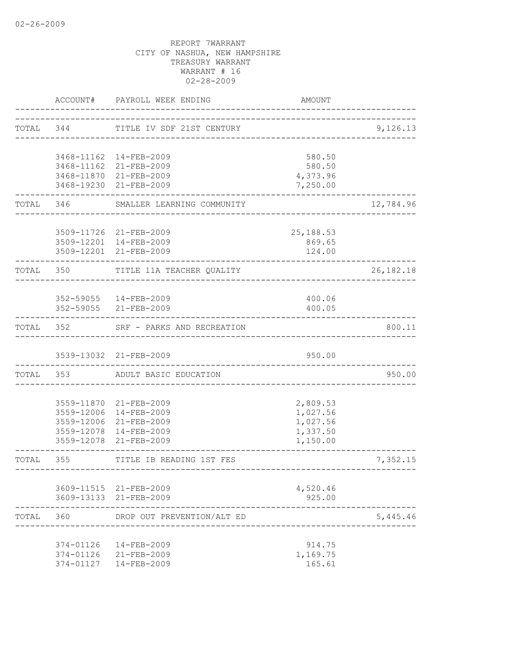|           |           | ACCOUNT# PAYROLL WEEK ENDING                     | AMOUNT                    |             |
|-----------|-----------|--------------------------------------------------|---------------------------|-------------|
|           | TOTAL 344 | TITLE IV SDF 21ST CENTURY                        |                           | 9,126.13    |
|           |           |                                                  |                           |             |
|           |           | 3468-11162  14-FEB-2009                          | 580.50                    |             |
|           |           | 3468-11162 21-FEB-2009                           | 580.50                    |             |
|           |           | 3468-11870 21-FEB-2009                           | 4,373.96                  |             |
|           |           | 3468-19230 21-FEB-2009                           | 7,250.00                  |             |
|           | TOTAL 346 | SMALLER LEARNING COMMUNITY                       |                           | 12,784.96   |
|           |           |                                                  |                           |             |
|           |           | 3509-11726 21-FEB-2009                           | 25, 188.53                |             |
|           |           | 3509-12201 14-FEB-2009<br>3509-12201 21-FEB-2009 | 869.65<br>124.00          |             |
|           |           |                                                  |                           |             |
|           | TOTAL 350 | TITLE 11A TEACHER QUALITY                        |                           | 26, 182. 18 |
|           |           |                                                  |                           |             |
|           |           | 352-59055  14-FEB-2009<br>352-59055 21-FEB-2009  | 400.06<br>400.05          |             |
|           | TOTAL 352 | SRF - PARKS AND RECREATION                       |                           | 800.11      |
|           |           |                                                  |                           |             |
|           |           | 3539-13032 21-FEB-2009                           | 950.00                    |             |
|           |           | TOTAL 353 ADULT BASIC EDUCATION                  |                           | 950.00      |
|           |           |                                                  |                           |             |
|           |           | 3559-11870 21-FEB-2009                           | 2,809.53                  |             |
|           |           | 3559-12006 14-FEB-2009<br>3559-12006 21-FEB-2009 | 1,027.56                  |             |
|           |           | 3559-12078 14-FEB-2009                           | 1,027.56<br>1,337.50      |             |
|           |           | 3559-12078 21-FEB-2009                           | 1,150.00                  |             |
| TOTAL     | 355       | TITLE IB READING 1ST FES                         |                           | 7,352.15    |
|           |           |                                                  | ------------------------- |             |
|           |           | 3609-11515 21-FEB-2009                           | 4,520.46                  |             |
|           |           | 3609-13133 21-FEB-2009                           | 925.00                    |             |
| TOTAL 360 |           | DROP OUT PREVENTION/ALT ED                       |                           | 5,445.46    |
|           |           | 374-01126  14-FEB-2009                           | 914.75                    |             |
|           |           | 374-01126 21-FEB-2009                            | 1,169.75                  |             |
|           |           | 374-01127  14-FEB-2009                           | 165.61                    |             |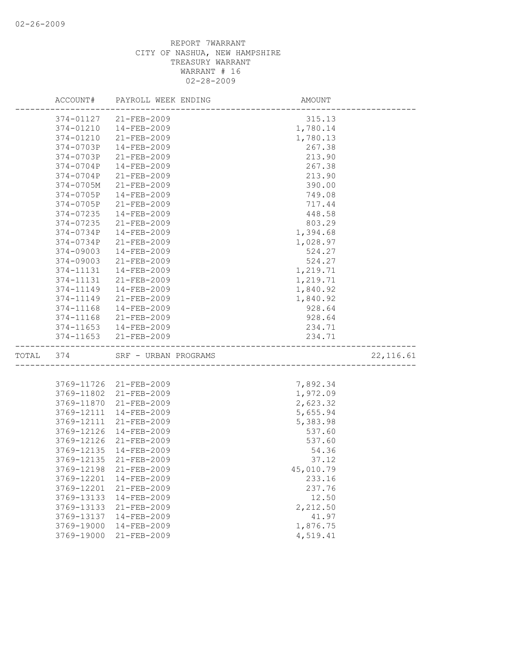|           | ACCOUNT#   | PAYROLL WEEK ENDING    | AMOUNT    |            |
|-----------|------------|------------------------|-----------|------------|
|           |            | 374-01127 21-FEB-2009  | 315.13    |            |
|           | 374-01210  | 14-FEB-2009            | 1,780.14  |            |
|           | 374-01210  | $21 - FEB - 2009$      | 1,780.13  |            |
|           | 374-0703P  | $14 - FEB - 2009$      | 267.38    |            |
|           | 374-0703P  | 21-FEB-2009            | 213.90    |            |
|           | 374-0704P  | $14 - FEB - 2009$      | 267.38    |            |
|           | 374-0704P  | 21-FEB-2009            | 213.90    |            |
|           | 374-0705M  | $21 - FEB - 2009$      | 390.00    |            |
|           | 374-0705P  | 14-FEB-2009            | 749.08    |            |
|           | 374-0705P  | 21-FEB-2009            | 717.44    |            |
|           | 374-07235  | 14-FEB-2009            | 448.58    |            |
|           | 374-07235  | 21-FEB-2009            | 803.29    |            |
|           | 374-0734P  | $14 - FEB - 2009$      | 1,394.68  |            |
|           | 374-0734P  | 21-FEB-2009            | 1,028.97  |            |
|           | 374-09003  | $14 - FEB - 2009$      | 524.27    |            |
|           | 374-09003  | 21-FEB-2009            | 524.27    |            |
|           | 374-11131  | $14 - FEB - 2009$      | 1,219.71  |            |
|           | 374-11131  | $21 - FEB - 2009$      | 1,219.71  |            |
|           | 374-11149  | $14 - FEB - 2009$      | 1,840.92  |            |
|           | 374-11149  | 21-FEB-2009            | 1,840.92  |            |
|           | 374-11168  | $14 - FEB - 2009$      | 928.64    |            |
|           | 374-11168  | 21-FEB-2009            | 928.64    |            |
|           | 374-11653  | 14-FEB-2009            | 234.71    |            |
|           | 374-11653  | 21-FEB-2009            | 234.71    |            |
| TOTAL 374 |            | SRF - URBAN PROGRAMS   |           | 22, 116.61 |
|           |            |                        |           |            |
|           |            | 3769-11726 21-FEB-2009 | 7,892.34  |            |
|           | 3769-11802 | 21-FEB-2009            | 1,972.09  |            |
|           | 3769-11870 | 21-FEB-2009            | 2,623.32  |            |
|           | 3769-12111 | 14-FEB-2009            | 5,655.94  |            |
|           | 3769-12111 | 21-FEB-2009            | 5,383.98  |            |
|           | 3769-12126 | 14-FEB-2009            | 537.60    |            |
|           | 3769-12126 | 21-FEB-2009            | 537.60    |            |
|           | 3769-12135 | 14-FEB-2009            | 54.36     |            |
|           | 3769-12135 | $21 - FEB - 2009$      | 37.12     |            |
|           |            | 3769-12198 21-FEB-2009 | 45,010.79 |            |
|           | 3769-12201 | 14-FEB-2009            | 233.16    |            |
|           | 3769-12201 | $21 - FEB - 2009$      | 237.76    |            |
|           | 3769-13133 | 14-FEB-2009            | 12.50     |            |
|           | 3769-13133 | $21 - FEB - 2009$      | 2,212.50  |            |
|           | 3769-13137 | 14-FEB-2009            | 41.97     |            |
|           | 3769-19000 | 14-FEB-2009            | 1,876.75  |            |
|           | 3769-19000 | 21-FEB-2009            | 4,519.41  |            |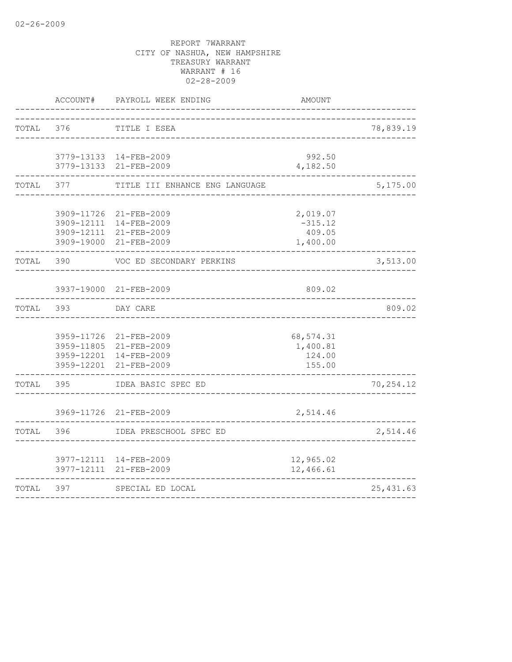|           | ACCOUNT#              | PAYROLL WEEK ENDING                              | AMOUNT                 |            |
|-----------|-----------------------|--------------------------------------------------|------------------------|------------|
| TOTAL     | 376                   | TITLE I ESEA                                     |                        | 78,839.19  |
|           |                       |                                                  |                        |            |
|           |                       | 3779-13133 14-FEB-2009                           | 992.50                 |            |
|           |                       | 3779-13133 21-FEB-2009                           | 4,182.50               |            |
| TOTAL 377 |                       | TITLE III ENHANCE ENG LANGUAGE                   |                        | 5,175.00   |
|           |                       | 3909-11726 21-FEB-2009                           | 2,019.07               |            |
|           |                       | 3909-12111 14-FEB-2009                           | $-315.12$              |            |
|           |                       | 3909-12111 21-FEB-2009<br>3909-19000 21-FEB-2009 | 409.05<br>1,400.00     |            |
| TOTAL 390 |                       | VOC ED SECONDARY PERKINS                         |                        | 3,513.00   |
|           |                       | 3937-19000 21-FEB-2009                           | 809.02                 |            |
| TOTAL     | 393                   | DAY CARE                                         |                        | 809.02     |
|           |                       |                                                  |                        |            |
|           |                       | 3959-11726 21-FEB-2009<br>3959-11805 21-FEB-2009 | 68,574.31<br>1,400.81  |            |
|           |                       | 3959-12201 14-FEB-2009                           | 124.00                 |            |
|           | 3959-12201            | $21 - FEB - 2009$                                | 155.00                 |            |
| TOTAL     | --------------<br>395 | IDEA BASIC SPEC ED                               |                        | 70, 254.12 |
|           |                       | 3969-11726 21-FEB-2009                           | 2,514.46               |            |
| TOTAL     | 396                   | IDEA PRESCHOOL SPEC ED                           |                        | 2,514.46   |
|           |                       |                                                  |                        |            |
|           |                       | 3977-12111 14-FEB-2009<br>3977-12111 21-FEB-2009 | 12,965.02<br>12,466.61 |            |
| TOTAL     | 397                   | SPECIAL ED LOCAL                                 |                        | 25, 431.63 |
|           |                       |                                                  |                        |            |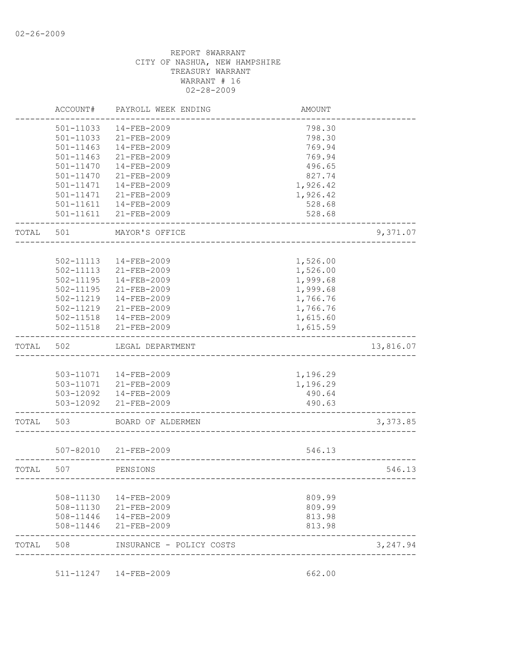|       | ACCOUNT#      | PAYROLL WEEK ENDING    | <b>AMOUNT</b> |           |
|-------|---------------|------------------------|---------------|-----------|
|       | 501-11033     | 14-FEB-2009            | 798.30        |           |
|       | 501-11033     | 21-FEB-2009            | 798.30        |           |
|       | $501 - 11463$ | 14-FEB-2009            | 769.94        |           |
|       | 501-11463     | 21-FEB-2009            | 769.94        |           |
|       | 501-11470     | 14-FEB-2009            | 496.65        |           |
|       | 501-11470     | 21-FEB-2009            | 827.74        |           |
|       | 501-11471     | 14-FEB-2009            | 1,926.42      |           |
|       | 501-11471     | $21 - FEB - 2009$      | 1,926.42      |           |
|       | $501 - 11611$ | 14-FEB-2009            | 528.68        |           |
|       |               | 501-11611 21-FEB-2009  | 528.68        |           |
| TOTAL | 501           | MAYOR'S OFFICE         |               | 9,371.07  |
|       |               |                        |               |           |
|       | 502-11113     | $14 - FEB - 2009$      | 1,526.00      |           |
|       | 502-11113     | 21-FEB-2009            | 1,526.00      |           |
|       | 502-11195     | $14 - FEB - 2009$      | 1,999.68      |           |
|       | 502-11195     | 21-FEB-2009            | 1,999.68      |           |
|       | 502-11219     | 14-FEB-2009            | 1,766.76      |           |
|       | 502-11219     | 21-FEB-2009            | 1,766.76      |           |
|       | 502-11518     | $14 - FEB - 2009$      | 1,615.60      |           |
|       | 502-11518     | 21-FEB-2009            | 1,615.59      |           |
| TOTAL | 502           | LEGAL DEPARTMENT       |               | 13,816.07 |
|       |               |                        |               |           |
|       |               | 503-11071  14-FEB-2009 | 1,196.29      |           |
|       |               | 503-11071 21-FEB-2009  | 1,196.29      |           |
|       |               | 503-12092  14-FEB-2009 | 490.64        |           |
|       | 503-12092     | 21-FEB-2009            | 490.63        |           |
| TOTAL | 503           | BOARD OF ALDERMEN      |               | 3,373.85  |
|       |               |                        |               |           |
|       |               |                        |               |           |
|       | 507-82010     | 21-FEB-2009            | 546.13        |           |
| TOTAL | 507           | PENSIONS               |               | 546.13    |
|       |               |                        |               |           |
|       | 508-11130     | 14-FEB-2009            | 809.99        |           |
|       | 508-11130     | 21-FEB-2009            | 809.99        |           |
|       | 508-11446     | 14-FEB-2009            | 813.98        |           |
|       | 508-11446     | $21 - FEB - 2009$      | 813.98        |           |

511-11247 14-FEB-2009 662.00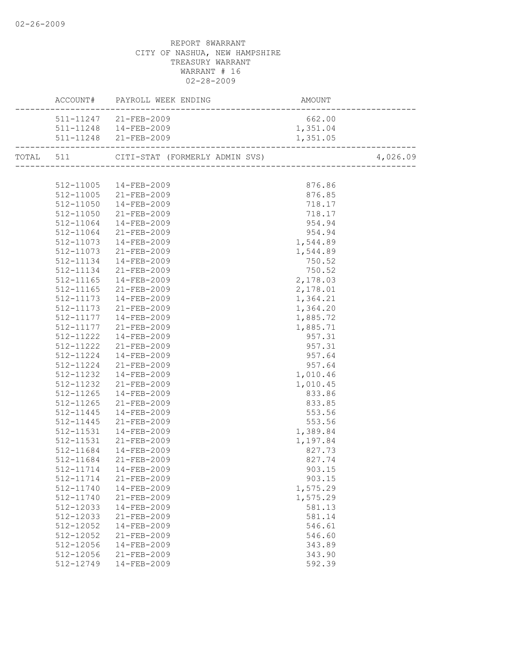|           | ACCOUNT# PAYROLL WEEK ENDING<br>AMOUNT<br>--------------------------<br>----------------------- |          |          |
|-----------|-------------------------------------------------------------------------------------------------|----------|----------|
|           | 511-11247 21-FEB-2009                                                                           | 662.00   |          |
|           | 511-11248  14-FEB-2009                                                                          | 1,351.04 |          |
|           | 511-11248 21-FEB-2009                                                                           | 1,351.05 |          |
|           | TOTAL 511 CITI-STAT (FORMERLY ADMIN SVS) 4,026                                                  |          | 4,026.09 |
|           |                                                                                                 |          |          |
|           | 512-11005 14-FEB-2009                                                                           | 876.86   |          |
|           | 512-11005 21-FEB-2009                                                                           | 876.85   |          |
|           | 512-11050  14-FEB-2009                                                                          | 718.17   |          |
|           | 512-11050 21-FEB-2009                                                                           | 718.17   |          |
|           | 512-11064  14-FEB-2009                                                                          | 954.94   |          |
|           | 512-11064 21-FEB-2009                                                                           | 954.94   |          |
|           | 512-11073 14-FEB-2009                                                                           | 1,544.89 |          |
| 512-11073 |                                                                                                 | 1,544.89 |          |
| 512-11134 | 21-FEB-2009<br>14-FEB-2009                                                                      | 750.52   |          |
| 512-11134 | 21-FEB-2009                                                                                     | 750.52   |          |
| 512-11165 | 14-FEB-2009                                                                                     | 2,178.03 |          |
|           | 512-11165 21-FEB-2009                                                                           | 2,178.01 |          |
|           | 512-11173  14-FEB-2009                                                                          | 1,364.21 |          |
|           | 512-11173 21-FEB-2009                                                                           | 1,364.20 |          |
|           | 512-11177  14-FEB-2009                                                                          | 1,885.72 |          |
|           | 512-11177 21-FEB-2009                                                                           | 1,885.71 |          |
|           |                                                                                                 | 957.31   |          |
|           | 512-11222  14-FEB-2009<br>512-11222  21-FEB-2009                                                | 957.31   |          |
|           | 512-11224  14-FEB-2009                                                                          | 957.64   |          |
|           | 512-11224 21-FEB-2009                                                                           | 957.64   |          |
|           | 512-11232  14-FEB-2009                                                                          | 1,010.46 |          |
|           | 512-11232 21-FEB-2009                                                                           | 1,010.45 |          |
| 512-11265 | 14-FEB-2009                                                                                     | 833.86   |          |
| 512-11265 | $21 - FEB - 2009$                                                                               | 833.85   |          |
| 512-11445 | $14 - FEB - 2009$                                                                               | 553.56   |          |
| 512-11445 | 21-FEB-2009                                                                                     | 553.56   |          |
| 512-11531 | 14-FEB-2009                                                                                     | 1,389.84 |          |
| 512-11531 | 21-FEB-2009                                                                                     | 1,197.84 |          |
|           | 512-11684  14-FEB-2009                                                                          | 827.73   |          |
|           | 512-11684 21-FEB-2009                                                                           | 827.74   |          |
|           | 512-11714  14-FEB-2009                                                                          | 903.15   |          |
| 512-11714 | $21 - FEB - 2009$                                                                               | 903.15   |          |
| 512-11740 | 14-FEB-2009                                                                                     | 1,575.29 |          |
| 512-11740 | 21-FEB-2009                                                                                     | 1,575.29 |          |
| 512-12033 | 14-FEB-2009                                                                                     | 581.13   |          |
| 512-12033 | 21-FEB-2009                                                                                     | 581.14   |          |
| 512-12052 | $14 - FEB - 2009$                                                                               | 546.61   |          |
| 512-12052 | $21 - FEB - 2009$                                                                               | 546.60   |          |
| 512-12056 | 14-FEB-2009                                                                                     | 343.89   |          |
| 512-12056 | 21-FEB-2009                                                                                     | 343.90   |          |
| 512-12749 | 14-FEB-2009                                                                                     | 592.39   |          |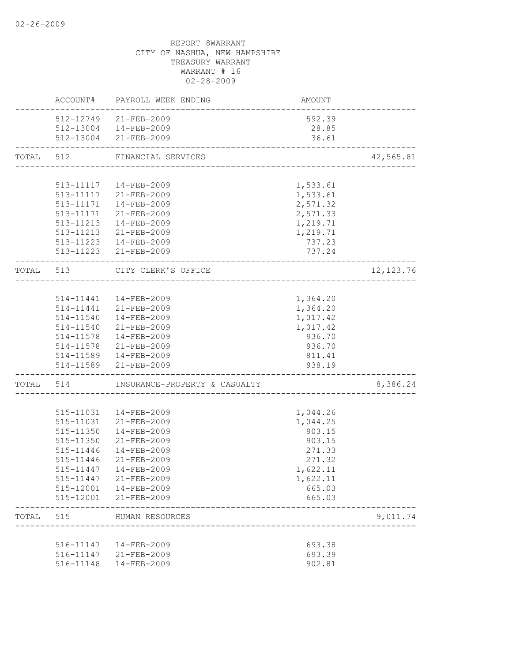|           |           | ACCOUNT# PAYROLL WEEK ENDING                                         | AMOUNT   |            |
|-----------|-----------|----------------------------------------------------------------------|----------|------------|
|           |           | 512-12749 21-FEB-2009                                                | 592.39   |            |
|           |           | 512-13004  14-FEB-2009                                               | 28.85    |            |
|           |           | 512-13004 21-FEB-2009<br>-----------------------                     | 36.61    |            |
| TOTAL 512 |           | FINANCIAL SERVICES                                                   |          | 42,565.81  |
|           |           |                                                                      |          |            |
|           |           | 513-11117  14-FEB-2009                                               | 1,533.61 |            |
|           |           | 513-11117 21-FEB-2009                                                | 1,533.61 |            |
|           |           | 513-11171  14-FEB-2009                                               | 2,571.32 |            |
|           |           | 513-11171 21-FEB-2009                                                | 2,571.33 |            |
|           |           | 513-11213  14-FEB-2009                                               | 1,219.71 |            |
|           |           | 513-11213 21-FEB-2009                                                | 1,219.71 |            |
|           |           | 513-11223  14-FEB-2009                                               | 737.23   |            |
|           |           | 513-11223 21-FEB-2009                                                | 737.24   |            |
|           |           | TOTAL 513 CITY CLERK'S OFFICE<br>----------------------------------- |          | 12, 123.76 |
|           |           |                                                                      |          |            |
|           |           | 514-11441  14-FEB-2009                                               | 1,364.20 |            |
|           |           | 514-11441 21-FEB-2009                                                | 1,364.20 |            |
|           |           | 514-11540  14-FEB-2009                                               | 1,017.42 |            |
|           |           | 514-11540 21-FEB-2009                                                | 1,017.42 |            |
|           |           | 514-11578  14-FEB-2009                                               | 936.70   |            |
|           |           | 514-11578 21-FEB-2009                                                | 936.70   |            |
|           |           | 514-11589  14-FEB-2009                                               | 811.41   |            |
|           |           | 514-11589 21-FEB-2009                                                | 938.19   |            |
|           |           | TOTAL 514 INSURANCE-PROPERTY & CASUALTY                              |          | 8,386.24   |
|           |           |                                                                      |          |            |
|           |           | 515-11031  14-FEB-2009                                               | 1,044.26 |            |
|           | 515-11031 | 21-FEB-2009                                                          | 1,044.25 |            |
|           | 515-11350 | 14-FEB-2009                                                          | 903.15   |            |
|           | 515-11350 | 21-FEB-2009                                                          | 903.15   |            |
|           | 515-11446 | 14-FEB-2009                                                          | 271.33   |            |
|           | 515-11446 | 21-FEB-2009                                                          | 271.32   |            |
|           | 515-11447 | 14-FEB-2009                                                          | 1,622.11 |            |
|           | 515-11447 | 21-FEB-2009                                                          | 1,622.11 |            |
|           | 515-12001 | 14-FEB-2009                                                          | 665.03   |            |
|           |           | 515-12001 21-FEB-2009                                                | 665.03   |            |
| TOTAL     | 515       | HUMAN RESOURCES                                                      |          | 9,011.74   |
|           |           |                                                                      |          |            |
|           | 516-11147 | 14-FEB-2009                                                          | 693.38   |            |
|           |           | 516-11147 21-FEB-2009                                                | 693.39   |            |
|           | 516-11148 | 14-FEB-2009                                                          | 902.81   |            |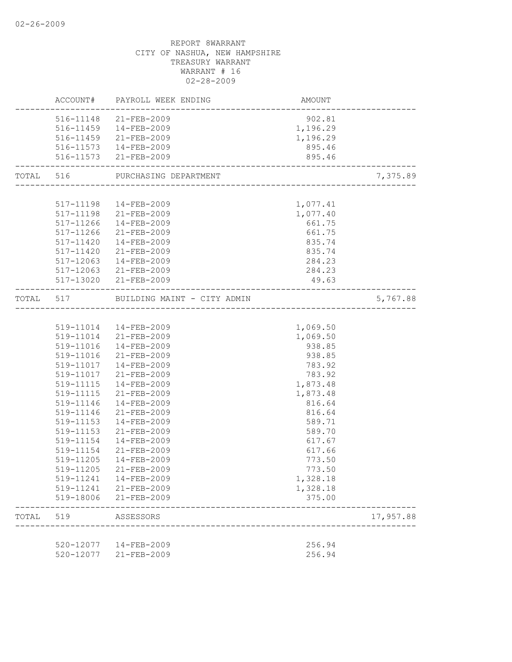|       |           | ACCOUNT# PAYROLL WEEK ENDING          | AMOUNT                                    |           |
|-------|-----------|---------------------------------------|-------------------------------------------|-----------|
|       |           | 516-11148 21-FEB-2009                 | 902.81                                    |           |
|       |           | 516-11459  14-FEB-2009                | 1,196.29                                  |           |
|       |           | 516-11459 21-FEB-2009                 | 1,196.29                                  |           |
|       |           | 516-11573  14-FEB-2009                | 895.46                                    |           |
|       |           | 516-11573 21-FEB-2009                 | 895.46<br>------------------------------- |           |
|       |           | TOTAL 516 PURCHASING DEPARTMENT       |                                           | 7,375.89  |
|       |           |                                       |                                           |           |
|       |           | 517-11198  14-FEB-2009                | 1,077.41                                  |           |
|       |           | 517-11198 21-FEB-2009                 | 1,077.40                                  |           |
|       |           | 517-11266 14-FEB-2009                 | 661.75                                    |           |
|       |           | 517-11266 21-FEB-2009                 | 661.75                                    |           |
|       |           | 517-11420  14-FEB-2009                | 835.74                                    |           |
|       |           | 517-11420 21-FEB-2009                 | 835.74                                    |           |
|       |           | 517-12063  14-FEB-2009                | 284.23                                    |           |
|       |           | 517-12063 21-FEB-2009                 | 284.23                                    |           |
|       |           | 517-13020 21-FEB-2009                 | 49.63                                     |           |
|       |           | TOTAL 517 BUILDING MAINT - CITY ADMIN |                                           | 5,767.88  |
|       |           |                                       |                                           |           |
|       |           | 519-11014  14-FEB-2009                | 1,069.50                                  |           |
|       |           | 519-11014 21-FEB-2009                 | 1,069.50                                  |           |
|       |           | 519-11016  14-FEB-2009                | 938.85                                    |           |
|       |           | 519-11016 21-FEB-2009                 | 938.85                                    |           |
|       |           | 519-11017  14-FEB-2009                | 783.92                                    |           |
|       |           | 519-11017 21-FEB-2009                 | 783.92                                    |           |
|       |           | 519-11115  14-FEB-2009                | 1,873.48                                  |           |
|       | 519-11115 | 21-FEB-2009                           | 1,873.48                                  |           |
|       | 519-11146 | 14-FEB-2009                           | 816.64                                    |           |
|       | 519-11146 | 21-FEB-2009                           | 816.64                                    |           |
|       | 519-11153 | $14 - FEB - 2009$                     | 589.71                                    |           |
|       | 519-11153 | 21-FEB-2009                           | 589.70                                    |           |
|       | 519-11154 | $14 - FEB - 2009$                     | 617.67                                    |           |
|       | 519-11154 | 21-FEB-2009                           | 617.66                                    |           |
|       | 519-11205 | 14-FEB-2009                           | 773.50                                    |           |
|       |           | 519-11205 21-FEB-2009                 | 773.50                                    |           |
|       | 519-11241 | 14-FEB-2009                           | 1,328.18                                  |           |
|       |           | 519-11241 21-FEB-2009                 | 1,328.18                                  |           |
|       | 519-18006 | 21-FEB-2009                           | 375.00                                    |           |
| TOTAL | 519       | ASSESSORS                             |                                           | 17,957.88 |
|       |           |                                       |                                           |           |
|       | 520-12077 | 14-FEB-2009                           | 256.94                                    |           |
|       | 520-12077 | $21 - FEB - 2009$                     | 256.94                                    |           |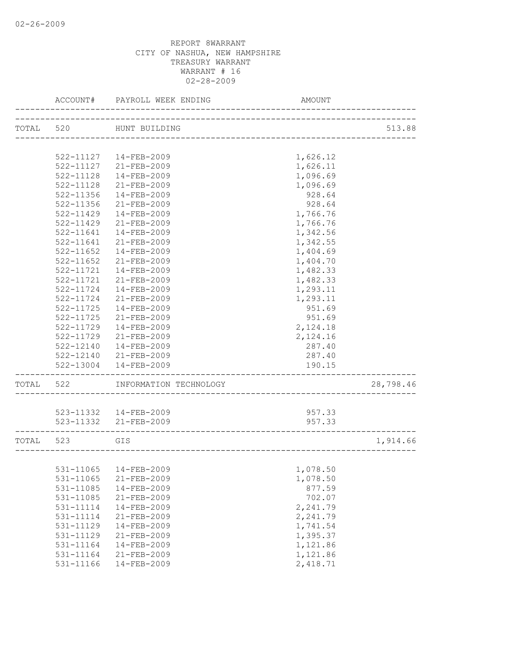|           | ACCOUNT#      | PAYROLL WEEK ENDING    | AMOUNT                       |           |
|-----------|---------------|------------------------|------------------------------|-----------|
| TOTAL 520 |               | HUNT BUILDING          |                              | 513.88    |
|           |               |                        | ____________________________ |           |
|           |               | 522-11127  14-FEB-2009 | 1,626.12                     |           |
|           | 522-11127     | 21-FEB-2009            | 1,626.11                     |           |
|           | $522 - 11128$ | 14-FEB-2009            |                              |           |
|           | 522-11128     | $21 - FEB - 2009$      | 1,096.69<br>1,096.69         |           |
|           | 522-11356     | $14 - FEB - 2009$      | 928.64                       |           |
|           | $522 - 11356$ | $21 - FEB - 2009$      | 928.64                       |           |
|           |               |                        |                              |           |
|           | $522 - 11429$ | $14 - FEB - 2009$      | 1,766.76                     |           |
|           | 522-11429     | $21 - FEB - 2009$      | 1,766.76                     |           |
|           | $522 - 11641$ | 14-FEB-2009            | 1,342.56                     |           |
|           | 522-11641     | 21-FEB-2009            | 1,342.55                     |           |
|           | 522-11652     | 14-FEB-2009            | 1,404.69                     |           |
|           | $522 - 11652$ | 21-FEB-2009            | 1,404.70                     |           |
|           | 522-11721     | $14 - FEB - 2009$      | 1,482.33                     |           |
|           | 522-11721     | 21-FEB-2009            | 1,482.33                     |           |
|           | 522-11724     | $14 - FEB - 2009$      | 1,293.11                     |           |
|           | $522 - 11724$ | $21 - FEB - 2009$      | 1,293.11                     |           |
|           | $522 - 11725$ | $14 - FEB - 2009$      | 951.69                       |           |
|           | 522-11725     | $21 - FEB - 2009$      | 951.69                       |           |
|           | 522-11729     | 14-FEB-2009            | 2,124.18                     |           |
|           | 522-11729     | 21-FEB-2009            | 2,124.16                     |           |
|           | 522-12140     | 14-FEB-2009            | 287.40                       |           |
|           | 522-12140     | 21-FEB-2009            | 287.40                       |           |
|           | 522-13004     | 14-FEB-2009            | 190.15                       |           |
| TOTAL 522 |               | INFORMATION TECHNOLOGY |                              | 28,798.46 |
|           |               | 523-11332  14-FEB-2009 | 957.33                       |           |
|           |               | 523-11332 21-FEB-2009  | 957.33                       |           |
|           |               |                        |                              |           |
| TOTAL 523 |               | GIS                    |                              | 1,914.66  |
|           |               |                        |                              |           |
|           |               | 531-11065 14-FEB-2009  | 1,078.50                     |           |
|           | 531-11065     | $21 - FEB - 2009$      | 1,078.50                     |           |
|           | 531-11085     | 14-FEB-2009            | 877.59                       |           |
|           | 531-11085     | 21-FEB-2009            | 702.07                       |           |
|           | 531-11114     | 14-FEB-2009            | 2,241.79                     |           |
|           | 531-11114     | 21-FEB-2009            | 2,241.79                     |           |
|           | 531-11129     | 14-FEB-2009            | 1,741.54                     |           |
|           | 531-11129     | 21-FEB-2009            | 1,395.37                     |           |
|           | 531-11164     | 14-FEB-2009            | 1,121.86                     |           |
|           | 531-11164     | $21 - FEB - 2009$      | 1,121.86                     |           |
|           | 531-11166     | $14 - FEB - 2009$      | 2,418.71                     |           |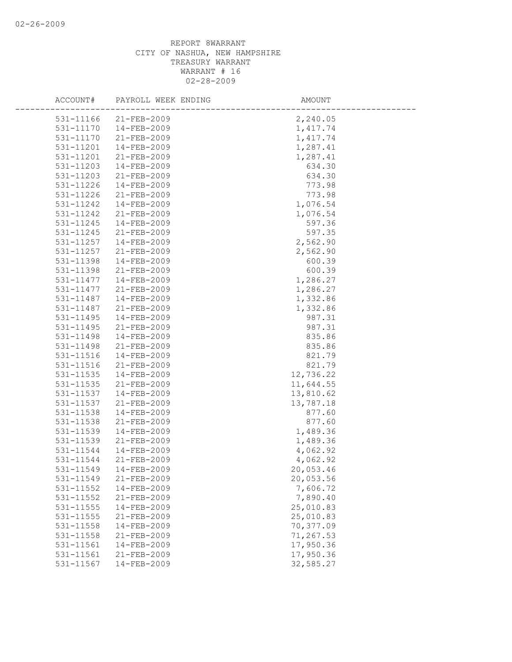| ACCOUNT#               | PAYROLL WEEK ENDING              | AMOUNT                |
|------------------------|----------------------------------|-----------------------|
| 531-11166              | $21 - FEB - 2009$                | 2,240.05              |
| 531-11170              | $14 - FEB - 2009$                | 1,417.74              |
| 531-11170              | 21-FEB-2009                      | 1, 417.74             |
| 531-11201              | $14 - FEB - 2009$                | 1,287.41              |
| 531-11201              | $21 - FEB - 2009$                | 1,287.41              |
| 531-11203              | 14-FEB-2009                      | 634.30                |
| 531-11203              | $21 - FEB - 2009$                | 634.30                |
| 531-11226              | $14 - FEB - 2009$                | 773.98                |
| 531-11226              | 21-FEB-2009                      | 773.98                |
| 531-11242              | 14-FEB-2009                      | 1,076.54              |
| 531-11242              | 21-FEB-2009                      | 1,076.54              |
| 531-11245              | 14-FEB-2009                      | 597.36                |
| 531-11245              | $21 - FEB - 2009$                | 597.35                |
| 531-11257              | $14 - FEB - 2009$                | 2,562.90              |
| 531-11257              | 21-FEB-2009                      | 2,562.90              |
| 531-11398              | 14-FEB-2009                      | 600.39                |
| 531-11398              | $21 - FEB - 2009$                | 600.39                |
| 531-11477              | $14 - FEB - 2009$                | 1,286.27              |
| 531-11477              | 21-FEB-2009                      | 1,286.27              |
| 531-11487              | 14-FEB-2009                      | 1,332.86              |
| 531-11487              | 21-FEB-2009                      | 1,332.86              |
| 531-11495              | $14 - FEB - 2009$                | 987.31                |
| 531-11495              | 21-FEB-2009                      | 987.31                |
| 531-11498              | 14-FEB-2009                      | 835.86                |
| 531-11498              | 21-FEB-2009                      | 835.86                |
| 531-11516              | $14 - FEB - 2009$                | 821.79                |
| 531-11516              | $21 - FEB - 2009$                | 821.79                |
| 531-11535              | $14 - FEB - 2009$                | 12,736.22             |
| 531-11535              | 21-FEB-2009                      | 11,644.55             |
| 531-11537              | 14-FEB-2009                      | 13,810.62             |
| 531-11537              | $21 - FEB - 2009$                | 13,787.18             |
| 531-11538              | $14 - FEB - 2009$                | 877.60                |
| 531-11538              | 21-FEB-2009                      | 877.60                |
| 531-11539              | 14-FEB-2009                      | 1,489.36              |
| 531-11539              | $21 - FEB - 2009$                | 1,489.36              |
| 531-11544              | 14-FEB-2009                      | 4,062.92              |
| 531-11544              | $21 - FEB - 2009$                | 4,062.92              |
| 531-11549              | 14-FEB-2009                      | 20,053.46             |
| 531-11549<br>531-11552 | 21-FEB-2009                      | 20,053.56             |
|                        | 14-FEB-2009                      | 7,606.72              |
| 531-11552<br>531-11555 | 21-FEB-2009<br>$14 - FEB - 2009$ | 7,890.40<br>25,010.83 |
| 531-11555              | 21-FEB-2009                      | 25,010.83             |
| 531-11558              | $14 - FEB - 2009$                | 70,377.09             |
| 531-11558              | $21 - FEB - 2009$                | 71,267.53             |
| 531-11561              | $14 - FEB - 2009$                | 17,950.36             |
| 531-11561              | 21-FEB-2009                      | 17,950.36             |
| 531-11567              | 14-FEB-2009                      | 32,585.27             |
|                        |                                  |                       |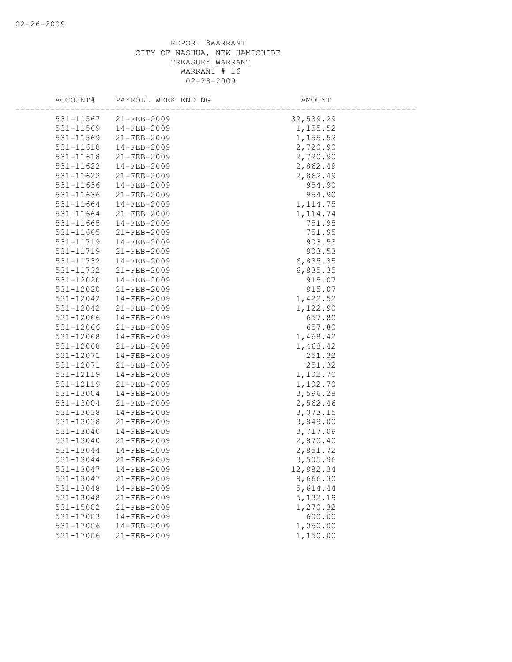| ACCOUNT#      | PAYROLL WEEK ENDING | AMOUNT    |  |
|---------------|---------------------|-----------|--|
| 531-11567     | $21 - FEB - 2009$   | 32,539.29 |  |
| 531-11569     | $14 - FEB - 2009$   | 1,155.52  |  |
| 531-11569     | 21-FEB-2009         | 1,155.52  |  |
| 531-11618     | 14-FEB-2009         | 2,720.90  |  |
| 531-11618     | 21-FEB-2009         | 2,720.90  |  |
| 531-11622     | 14-FEB-2009         | 2,862.49  |  |
| 531-11622     | $21 - FEB - 2009$   | 2,862.49  |  |
| 531-11636     | $14 - FEB - 2009$   | 954.90    |  |
| 531-11636     | 21-FEB-2009         | 954.90    |  |
| 531-11664     | 14-FEB-2009         | 1, 114.75 |  |
| 531-11664     | 21-FEB-2009         | 1, 114.74 |  |
| 531-11665     | $14 - FEB - 2009$   | 751.95    |  |
| 531-11665     | 21-FEB-2009         | 751.95    |  |
| 531-11719     | $14 - FEB - 2009$   | 903.53    |  |
| 531-11719     | 21-FEB-2009         | 903.53    |  |
| 531-11732     | 14-FEB-2009         | 6,835.35  |  |
| 531-11732     | $21 - FEB - 2009$   | 6,835.35  |  |
| 531-12020     | $14 - FEB - 2009$   | 915.07    |  |
| 531-12020     | 21-FEB-2009         | 915.07    |  |
| 531-12042     | 14-FEB-2009         | 1,422.52  |  |
| 531-12042     | 21-FEB-2009         | 1,122.90  |  |
| 531-12066     | $14 - FEB - 2009$   | 657.80    |  |
| 531-12066     | 21-FEB-2009         | 657.80    |  |
| 531-12068     | 14-FEB-2009         | 1,468.42  |  |
| 531-12068     | 21-FEB-2009         | 1,468.42  |  |
| 531-12071     | $14 - FEB - 2009$   | 251.32    |  |
| 531-12071     | $21 - FEB - 2009$   | 251.32    |  |
| 531-12119     | $14 - FEB - 2009$   | 1,102.70  |  |
| 531-12119     | 21-FEB-2009         | 1,102.70  |  |
| 531-13004     | 14-FEB-2009         | 3,596.28  |  |
| 531-13004     | $21 - FEB - 2009$   | 2,562.46  |  |
| 531-13038     | $14 - FEB - 2009$   | 3,073.15  |  |
| 531-13038     | 21-FEB-2009         | 3,849.00  |  |
| 531-13040     | 14-FEB-2009         | 3,717.09  |  |
| 531-13040     | $21 - FEB - 2009$   | 2,870.40  |  |
| 531-13044     | 14-FEB-2009         | 2,851.72  |  |
| 531-13044     | $21 - FEB - 2009$   | 3,505.96  |  |
| 531-13047     | 14-FEB-2009         | 12,982.34 |  |
| 531-13047     | 21-FEB-2009         | 8,666.30  |  |
| 531-13048     | 14-FEB-2009         | 5,614.44  |  |
| 531-13048     | 21-FEB-2009         | 5, 132.19 |  |
| $531 - 15002$ | 21-FEB-2009         | 1,270.32  |  |
| 531-17003     | 14-FEB-2009         | 600.00    |  |
| 531-17006     | $14 - FEB - 2009$   | 1,050.00  |  |
| 531-17006     | 21-FEB-2009         | 1,150.00  |  |
|               |                     |           |  |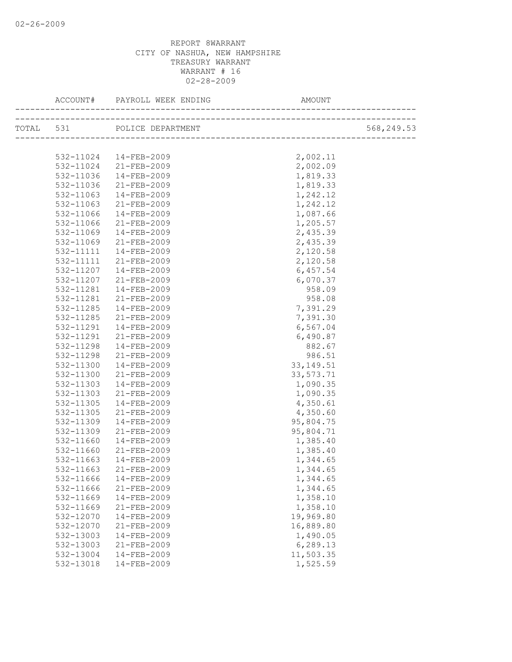| TOTAL 531 POLICE DEPARTMENT<br>2,002.11<br>532-11024  14-FEB-2009<br>2,002.09<br>532-11024 21-FEB-2009<br>14-FEB-2009<br>1,819.33<br>532-11036<br>21-FEB-2009<br>1,819.33<br>532-11036<br>14-FEB-2009<br>1,242.12<br>532-11063<br>532-11063<br>21-FEB-2009<br>1,242.12<br>532-11066<br>14-FEB-2009<br>1,087.66<br>21-FEB-2009<br>532-11066<br>1,205.57<br>2,435.39<br>532-11069<br>14-FEB-2009<br>532-11069<br>21-FEB-2009<br>2,435.39<br>532-11111<br>14-FEB-2009<br>2,120.58<br>2,120.58<br>532-11111<br>21-FEB-2009<br>6,457.54<br>532-11207<br>14-FEB-2009<br>6,070.37<br>532-11207<br>21-FEB-2009<br>958.09<br>532-11281<br>$14 - FEB - 2009$<br>21-FEB-2009<br>958.08<br>532-11281<br>14-FEB-2009<br>532-11285<br>7,391.29<br>532-11285<br>21-FEB-2009<br>7,391.30<br>6, 567.04<br>532-11291<br>14-FEB-2009<br>21-FEB-2009<br>6,490.87<br>532-11291<br>14-FEB-2009<br>882.67<br>532-11298<br>21-FEB-2009<br>986.51<br>532-11298<br>14-FEB-2009<br>532-11300<br>33, 149.51<br>21-FEB-2009<br>532-11300<br>33,573.71<br>532-11303<br>14-FEB-2009<br>1,090.35<br>21-FEB-2009<br>1,090.35<br>532-11303<br>4,350.61<br>532-11305<br>14-FEB-2009<br>4,350.60<br>532-11305<br>21-FEB-2009<br>95,804.75<br>532-11309<br>14-FEB-2009<br>532-11309<br>95,804.71<br>21-FEB-2009<br>1,385.40<br>532-11660<br>14-FEB-2009<br>21-FEB-2009<br>1,385.40<br>532-11660<br>532-11663<br>14-FEB-2009<br>1,344.65<br>532-11663 21-FEB-2009<br>1,344.65<br>532-11666<br>14-FEB-2009<br>1,344.65<br>21-FEB-2009<br>532-11666<br>1,344.65<br>1,358.10<br>532-11669<br>14-FEB-2009<br>21-FEB-2009<br>1,358.10<br>532-11669<br>19,969.80<br>532-12070<br>14-FEB-2009<br>532-12070<br>21-FEB-2009<br>16,889.80<br>1,490.05<br>532-13003<br>$14 - FEB - 2009$<br>6,289.13<br>532-13003<br>$21 - FEB - 2009$<br>14-FEB-2009<br>11,503.35<br>532-13004<br>532-13018<br>14-FEB-2009 |  |          |            |
|------------------------------------------------------------------------------------------------------------------------------------------------------------------------------------------------------------------------------------------------------------------------------------------------------------------------------------------------------------------------------------------------------------------------------------------------------------------------------------------------------------------------------------------------------------------------------------------------------------------------------------------------------------------------------------------------------------------------------------------------------------------------------------------------------------------------------------------------------------------------------------------------------------------------------------------------------------------------------------------------------------------------------------------------------------------------------------------------------------------------------------------------------------------------------------------------------------------------------------------------------------------------------------------------------------------------------------------------------------------------------------------------------------------------------------------------------------------------------------------------------------------------------------------------------------------------------------------------------------------------------------------------------------------------------------------------------------------------------------------------------------------------------------------------------------------------------------------------------------|--|----------|------------|
|                                                                                                                                                                                                                                                                                                                                                                                                                                                                                                                                                                                                                                                                                                                                                                                                                                                                                                                                                                                                                                                                                                                                                                                                                                                                                                                                                                                                                                                                                                                                                                                                                                                                                                                                                                                                                                                            |  |          | 568,249.53 |
|                                                                                                                                                                                                                                                                                                                                                                                                                                                                                                                                                                                                                                                                                                                                                                                                                                                                                                                                                                                                                                                                                                                                                                                                                                                                                                                                                                                                                                                                                                                                                                                                                                                                                                                                                                                                                                                            |  |          |            |
|                                                                                                                                                                                                                                                                                                                                                                                                                                                                                                                                                                                                                                                                                                                                                                                                                                                                                                                                                                                                                                                                                                                                                                                                                                                                                                                                                                                                                                                                                                                                                                                                                                                                                                                                                                                                                                                            |  |          |            |
|                                                                                                                                                                                                                                                                                                                                                                                                                                                                                                                                                                                                                                                                                                                                                                                                                                                                                                                                                                                                                                                                                                                                                                                                                                                                                                                                                                                                                                                                                                                                                                                                                                                                                                                                                                                                                                                            |  |          |            |
|                                                                                                                                                                                                                                                                                                                                                                                                                                                                                                                                                                                                                                                                                                                                                                                                                                                                                                                                                                                                                                                                                                                                                                                                                                                                                                                                                                                                                                                                                                                                                                                                                                                                                                                                                                                                                                                            |  |          |            |
|                                                                                                                                                                                                                                                                                                                                                                                                                                                                                                                                                                                                                                                                                                                                                                                                                                                                                                                                                                                                                                                                                                                                                                                                                                                                                                                                                                                                                                                                                                                                                                                                                                                                                                                                                                                                                                                            |  |          |            |
|                                                                                                                                                                                                                                                                                                                                                                                                                                                                                                                                                                                                                                                                                                                                                                                                                                                                                                                                                                                                                                                                                                                                                                                                                                                                                                                                                                                                                                                                                                                                                                                                                                                                                                                                                                                                                                                            |  |          |            |
|                                                                                                                                                                                                                                                                                                                                                                                                                                                                                                                                                                                                                                                                                                                                                                                                                                                                                                                                                                                                                                                                                                                                                                                                                                                                                                                                                                                                                                                                                                                                                                                                                                                                                                                                                                                                                                                            |  |          |            |
|                                                                                                                                                                                                                                                                                                                                                                                                                                                                                                                                                                                                                                                                                                                                                                                                                                                                                                                                                                                                                                                                                                                                                                                                                                                                                                                                                                                                                                                                                                                                                                                                                                                                                                                                                                                                                                                            |  |          |            |
|                                                                                                                                                                                                                                                                                                                                                                                                                                                                                                                                                                                                                                                                                                                                                                                                                                                                                                                                                                                                                                                                                                                                                                                                                                                                                                                                                                                                                                                                                                                                                                                                                                                                                                                                                                                                                                                            |  |          |            |
|                                                                                                                                                                                                                                                                                                                                                                                                                                                                                                                                                                                                                                                                                                                                                                                                                                                                                                                                                                                                                                                                                                                                                                                                                                                                                                                                                                                                                                                                                                                                                                                                                                                                                                                                                                                                                                                            |  |          |            |
|                                                                                                                                                                                                                                                                                                                                                                                                                                                                                                                                                                                                                                                                                                                                                                                                                                                                                                                                                                                                                                                                                                                                                                                                                                                                                                                                                                                                                                                                                                                                                                                                                                                                                                                                                                                                                                                            |  |          |            |
|                                                                                                                                                                                                                                                                                                                                                                                                                                                                                                                                                                                                                                                                                                                                                                                                                                                                                                                                                                                                                                                                                                                                                                                                                                                                                                                                                                                                                                                                                                                                                                                                                                                                                                                                                                                                                                                            |  |          |            |
|                                                                                                                                                                                                                                                                                                                                                                                                                                                                                                                                                                                                                                                                                                                                                                                                                                                                                                                                                                                                                                                                                                                                                                                                                                                                                                                                                                                                                                                                                                                                                                                                                                                                                                                                                                                                                                                            |  |          |            |
|                                                                                                                                                                                                                                                                                                                                                                                                                                                                                                                                                                                                                                                                                                                                                                                                                                                                                                                                                                                                                                                                                                                                                                                                                                                                                                                                                                                                                                                                                                                                                                                                                                                                                                                                                                                                                                                            |  |          |            |
|                                                                                                                                                                                                                                                                                                                                                                                                                                                                                                                                                                                                                                                                                                                                                                                                                                                                                                                                                                                                                                                                                                                                                                                                                                                                                                                                                                                                                                                                                                                                                                                                                                                                                                                                                                                                                                                            |  |          |            |
|                                                                                                                                                                                                                                                                                                                                                                                                                                                                                                                                                                                                                                                                                                                                                                                                                                                                                                                                                                                                                                                                                                                                                                                                                                                                                                                                                                                                                                                                                                                                                                                                                                                                                                                                                                                                                                                            |  |          |            |
|                                                                                                                                                                                                                                                                                                                                                                                                                                                                                                                                                                                                                                                                                                                                                                                                                                                                                                                                                                                                                                                                                                                                                                                                                                                                                                                                                                                                                                                                                                                                                                                                                                                                                                                                                                                                                                                            |  |          |            |
|                                                                                                                                                                                                                                                                                                                                                                                                                                                                                                                                                                                                                                                                                                                                                                                                                                                                                                                                                                                                                                                                                                                                                                                                                                                                                                                                                                                                                                                                                                                                                                                                                                                                                                                                                                                                                                                            |  |          |            |
|                                                                                                                                                                                                                                                                                                                                                                                                                                                                                                                                                                                                                                                                                                                                                                                                                                                                                                                                                                                                                                                                                                                                                                                                                                                                                                                                                                                                                                                                                                                                                                                                                                                                                                                                                                                                                                                            |  |          |            |
|                                                                                                                                                                                                                                                                                                                                                                                                                                                                                                                                                                                                                                                                                                                                                                                                                                                                                                                                                                                                                                                                                                                                                                                                                                                                                                                                                                                                                                                                                                                                                                                                                                                                                                                                                                                                                                                            |  |          |            |
|                                                                                                                                                                                                                                                                                                                                                                                                                                                                                                                                                                                                                                                                                                                                                                                                                                                                                                                                                                                                                                                                                                                                                                                                                                                                                                                                                                                                                                                                                                                                                                                                                                                                                                                                                                                                                                                            |  |          |            |
|                                                                                                                                                                                                                                                                                                                                                                                                                                                                                                                                                                                                                                                                                                                                                                                                                                                                                                                                                                                                                                                                                                                                                                                                                                                                                                                                                                                                                                                                                                                                                                                                                                                                                                                                                                                                                                                            |  |          |            |
|                                                                                                                                                                                                                                                                                                                                                                                                                                                                                                                                                                                                                                                                                                                                                                                                                                                                                                                                                                                                                                                                                                                                                                                                                                                                                                                                                                                                                                                                                                                                                                                                                                                                                                                                                                                                                                                            |  |          |            |
|                                                                                                                                                                                                                                                                                                                                                                                                                                                                                                                                                                                                                                                                                                                                                                                                                                                                                                                                                                                                                                                                                                                                                                                                                                                                                                                                                                                                                                                                                                                                                                                                                                                                                                                                                                                                                                                            |  |          |            |
|                                                                                                                                                                                                                                                                                                                                                                                                                                                                                                                                                                                                                                                                                                                                                                                                                                                                                                                                                                                                                                                                                                                                                                                                                                                                                                                                                                                                                                                                                                                                                                                                                                                                                                                                                                                                                                                            |  |          |            |
|                                                                                                                                                                                                                                                                                                                                                                                                                                                                                                                                                                                                                                                                                                                                                                                                                                                                                                                                                                                                                                                                                                                                                                                                                                                                                                                                                                                                                                                                                                                                                                                                                                                                                                                                                                                                                                                            |  |          |            |
|                                                                                                                                                                                                                                                                                                                                                                                                                                                                                                                                                                                                                                                                                                                                                                                                                                                                                                                                                                                                                                                                                                                                                                                                                                                                                                                                                                                                                                                                                                                                                                                                                                                                                                                                                                                                                                                            |  |          |            |
|                                                                                                                                                                                                                                                                                                                                                                                                                                                                                                                                                                                                                                                                                                                                                                                                                                                                                                                                                                                                                                                                                                                                                                                                                                                                                                                                                                                                                                                                                                                                                                                                                                                                                                                                                                                                                                                            |  |          |            |
|                                                                                                                                                                                                                                                                                                                                                                                                                                                                                                                                                                                                                                                                                                                                                                                                                                                                                                                                                                                                                                                                                                                                                                                                                                                                                                                                                                                                                                                                                                                                                                                                                                                                                                                                                                                                                                                            |  |          |            |
|                                                                                                                                                                                                                                                                                                                                                                                                                                                                                                                                                                                                                                                                                                                                                                                                                                                                                                                                                                                                                                                                                                                                                                                                                                                                                                                                                                                                                                                                                                                                                                                                                                                                                                                                                                                                                                                            |  |          |            |
|                                                                                                                                                                                                                                                                                                                                                                                                                                                                                                                                                                                                                                                                                                                                                                                                                                                                                                                                                                                                                                                                                                                                                                                                                                                                                                                                                                                                                                                                                                                                                                                                                                                                                                                                                                                                                                                            |  |          |            |
|                                                                                                                                                                                                                                                                                                                                                                                                                                                                                                                                                                                                                                                                                                                                                                                                                                                                                                                                                                                                                                                                                                                                                                                                                                                                                                                                                                                                                                                                                                                                                                                                                                                                                                                                                                                                                                                            |  |          |            |
|                                                                                                                                                                                                                                                                                                                                                                                                                                                                                                                                                                                                                                                                                                                                                                                                                                                                                                                                                                                                                                                                                                                                                                                                                                                                                                                                                                                                                                                                                                                                                                                                                                                                                                                                                                                                                                                            |  |          |            |
|                                                                                                                                                                                                                                                                                                                                                                                                                                                                                                                                                                                                                                                                                                                                                                                                                                                                                                                                                                                                                                                                                                                                                                                                                                                                                                                                                                                                                                                                                                                                                                                                                                                                                                                                                                                                                                                            |  |          |            |
|                                                                                                                                                                                                                                                                                                                                                                                                                                                                                                                                                                                                                                                                                                                                                                                                                                                                                                                                                                                                                                                                                                                                                                                                                                                                                                                                                                                                                                                                                                                                                                                                                                                                                                                                                                                                                                                            |  |          |            |
|                                                                                                                                                                                                                                                                                                                                                                                                                                                                                                                                                                                                                                                                                                                                                                                                                                                                                                                                                                                                                                                                                                                                                                                                                                                                                                                                                                                                                                                                                                                                                                                                                                                                                                                                                                                                                                                            |  |          |            |
|                                                                                                                                                                                                                                                                                                                                                                                                                                                                                                                                                                                                                                                                                                                                                                                                                                                                                                                                                                                                                                                                                                                                                                                                                                                                                                                                                                                                                                                                                                                                                                                                                                                                                                                                                                                                                                                            |  |          |            |
|                                                                                                                                                                                                                                                                                                                                                                                                                                                                                                                                                                                                                                                                                                                                                                                                                                                                                                                                                                                                                                                                                                                                                                                                                                                                                                                                                                                                                                                                                                                                                                                                                                                                                                                                                                                                                                                            |  |          |            |
|                                                                                                                                                                                                                                                                                                                                                                                                                                                                                                                                                                                                                                                                                                                                                                                                                                                                                                                                                                                                                                                                                                                                                                                                                                                                                                                                                                                                                                                                                                                                                                                                                                                                                                                                                                                                                                                            |  |          |            |
|                                                                                                                                                                                                                                                                                                                                                                                                                                                                                                                                                                                                                                                                                                                                                                                                                                                                                                                                                                                                                                                                                                                                                                                                                                                                                                                                                                                                                                                                                                                                                                                                                                                                                                                                                                                                                                                            |  |          |            |
|                                                                                                                                                                                                                                                                                                                                                                                                                                                                                                                                                                                                                                                                                                                                                                                                                                                                                                                                                                                                                                                                                                                                                                                                                                                                                                                                                                                                                                                                                                                                                                                                                                                                                                                                                                                                                                                            |  |          |            |
|                                                                                                                                                                                                                                                                                                                                                                                                                                                                                                                                                                                                                                                                                                                                                                                                                                                                                                                                                                                                                                                                                                                                                                                                                                                                                                                                                                                                                                                                                                                                                                                                                                                                                                                                                                                                                                                            |  |          |            |
|                                                                                                                                                                                                                                                                                                                                                                                                                                                                                                                                                                                                                                                                                                                                                                                                                                                                                                                                                                                                                                                                                                                                                                                                                                                                                                                                                                                                                                                                                                                                                                                                                                                                                                                                                                                                                                                            |  |          |            |
|                                                                                                                                                                                                                                                                                                                                                                                                                                                                                                                                                                                                                                                                                                                                                                                                                                                                                                                                                                                                                                                                                                                                                                                                                                                                                                                                                                                                                                                                                                                                                                                                                                                                                                                                                                                                                                                            |  |          |            |
|                                                                                                                                                                                                                                                                                                                                                                                                                                                                                                                                                                                                                                                                                                                                                                                                                                                                                                                                                                                                                                                                                                                                                                                                                                                                                                                                                                                                                                                                                                                                                                                                                                                                                                                                                                                                                                                            |  | 1,525.59 |            |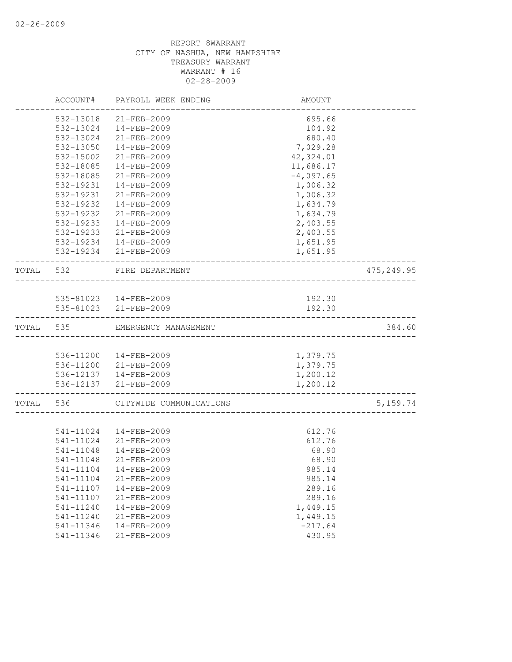|           | ACCOUNT#      | PAYROLL WEEK ENDING                    | AMOUNT      |            |
|-----------|---------------|----------------------------------------|-------------|------------|
|           | 532-13018     | $21 - FEB - 2009$                      | 695.66      |            |
|           | 532-13024     | 14-FEB-2009                            | 104.92      |            |
|           | 532-13024     | 21-FEB-2009                            | 680.40      |            |
|           | 532-13050     | $14 - FEB - 2009$                      | 7,029.28    |            |
|           | 532-15002     | 21-FEB-2009                            | 42,324.01   |            |
|           | 532-18085     | $14 - FEB - 2009$                      | 11,686.17   |            |
|           | 532-18085     | 21-FEB-2009                            | $-4,097.65$ |            |
|           | 532-19231     | $14 - FEB - 2009$                      | 1,006.32    |            |
|           | 532-19231     | $21 - FEB - 2009$                      | 1,006.32    |            |
|           | $532 - 19232$ | $14 - FEB - 2009$                      | 1,634.79    |            |
|           | 532-19232     | 21-FEB-2009                            | 1,634.79    |            |
|           | 532-19233     | 14-FEB-2009                            | 2,403.55    |            |
|           | 532-19233     | 21-FEB-2009                            | 2,403.55    |            |
|           | 532-19234     | 14-FEB-2009                            | 1,651.95    |            |
|           |               | 532-19234 21-FEB-2009                  | 1,651.95    |            |
|           |               |                                        |             |            |
| TOTAL 532 |               | FIRE DEPARTMENT<br>___________________ |             | 475,249.95 |
|           |               |                                        |             |            |
|           |               | 535-81023  14-FEB-2009                 | 192.30      |            |
|           |               | 535-81023 21-FEB-2009                  | 192.30      |            |
| TOTAL     | 535           | EMERGENCY MANAGEMENT                   |             | 384.60     |
|           |               |                                        |             |            |
|           |               | 536-11200  14-FEB-2009                 | 1,379.75    |            |
|           |               | 536-11200 21-FEB-2009                  | 1,379.75    |            |
|           |               | 536-12137  14-FEB-2009                 | 1,200.12    |            |
|           |               | 536-12137 21-FEB-2009                  | 1,200.12    |            |
| TOTAL     | 536           | CITYWIDE COMMUNICATIONS                |             | 5, 159.74  |
|           |               |                                        |             |            |
|           | 541-11024     | 14-FEB-2009                            | 612.76      |            |
|           | 541-11024     | 21-FEB-2009                            | 612.76      |            |
|           | 541-11048     | $14 - FEB - 2009$                      | 68.90       |            |
|           | 541-11048     | $21 - FEB - 2009$                      | 68.90       |            |
|           | 541-11104     | 14-FEB-2009                            | 985.14      |            |
|           | 541-11104     | 21-FEB-2009                            | 985.14      |            |
|           | 541-11107     | 14-FEB-2009                            | 289.16      |            |
|           | 541-11107     | 21-FEB-2009                            | 289.16      |            |
|           | 541-11240     | 14-FEB-2009                            | 1,449.15    |            |
|           | 541-11240     | 21-FEB-2009                            | 1,449.15    |            |
|           | 541-11346     | 14-FEB-2009                            | $-217.64$   |            |
|           | 541-11346     | 21-FEB-2009                            | 430.95      |            |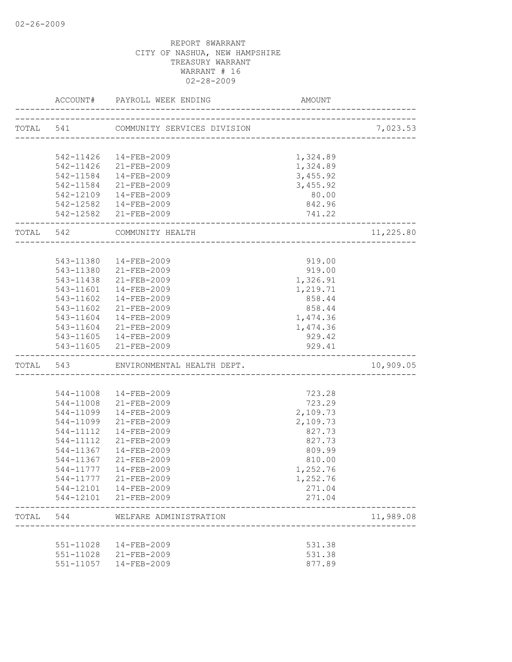|           |           | ACCOUNT# PAYROLL WEEK ENDING              | AMOUNT                              |           |
|-----------|-----------|-------------------------------------------|-------------------------------------|-----------|
| TOTAL 541 |           | COMMUNITY SERVICES DIVISION               |                                     | 7,023.53  |
|           |           |                                           | ----------------------------------- |           |
|           |           | 542-11426  14-FEB-2009                    | 1,324.89                            |           |
|           |           | 542-11426 21-FEB-2009                     | 1,324.89                            |           |
|           |           | 542-11584  14-FEB-2009                    | 3,455.92                            |           |
|           |           | 542-11584 21-FEB-2009                     | 3,455.92                            |           |
|           |           | 542-12109  14-FEB-2009                    | 80.00                               |           |
|           |           | 542-12582  14-FEB-2009                    | 842.96                              |           |
|           |           | 542-12582 21-FEB-2009                     | 741.22                              |           |
| TOTAL 542 |           | COMMUNITY HEALTH<br>_____________________ |                                     | 11,225.80 |
|           |           |                                           |                                     |           |
|           | 543-11380 | $14 - FEB - 2009$                         | 919.00                              |           |
|           | 543-11380 | 21-FEB-2009                               | 919.00                              |           |
|           | 543-11438 | 21-FEB-2009                               | 1,326.91                            |           |
|           |           | 543-11601  14-FEB-2009                    | 1,219.71                            |           |
|           |           | 543-11602  14-FEB-2009                    | 858.44                              |           |
|           |           | 543-11602 21-FEB-2009                     | 858.44                              |           |
|           |           | 543-11604  14-FEB-2009                    | 1,474.36                            |           |
|           |           | 543-11604 21-FEB-2009                     | 1,474.36                            |           |
|           |           | $543 - 11605$ $14 - FEB - 2009$           | 929.42                              |           |
|           |           | 543-11605 21-FEB-2009                     | 929.41                              |           |
|           |           | TOTAL 543 ENVIRONMENTAL HEALTH DEPT.      |                                     | 10,909.05 |
|           |           |                                           |                                     |           |
|           |           | 544-11008  14-FEB-2009                    | 723.28                              |           |
|           |           | 544-11008 21-FEB-2009                     | 723.29                              |           |
|           | 544-11099 | 14-FEB-2009                               | 2,109.73                            |           |
|           | 544-11099 | 21-FEB-2009                               | 2,109.73                            |           |
|           | 544-11112 | 14-FEB-2009                               | 827.73                              |           |
|           | 544-11112 | 21-FEB-2009                               | 827.73                              |           |
|           | 544-11367 | 14-FEB-2009                               | 809.99                              |           |
|           | 544-11367 | 21-FEB-2009                               | 810.00                              |           |
|           |           | 544-11777  14-FEB-2009                    | 1,252.76                            |           |
|           | 544-11777 | 21-FEB-2009                               | 1,252.76                            |           |
|           |           | 544-12101  14-FEB-2009                    | 271.04                              |           |
|           |           | 544-12101 21-FEB-2009                     | 271.04                              |           |
| TOTAL     | 544       | WELFARE ADMINISTRATION                    |                                     | 11,989.08 |
|           |           |                                           |                                     |           |
|           |           | 551-11028  14-FEB-2009                    | 531.38                              |           |
|           |           | 551-11028 21-FEB-2009                     | 531.38                              |           |
|           | 551-11057 | 14-FEB-2009                               | 877.89                              |           |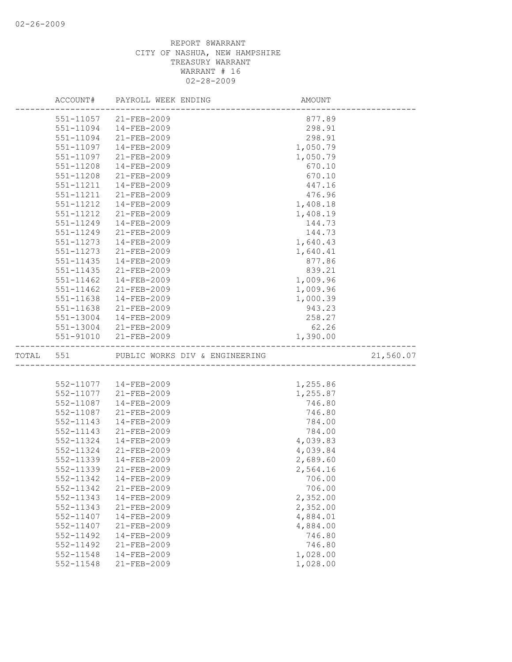|               | ACCOUNT# PAYROLL WEEK ENDING   | AMOUNT   |           |
|---------------|--------------------------------|----------|-----------|
|               | 551-11057 21-FEB-2009          | 877.89   |           |
| 551-11094     | 14-FEB-2009                    | 298.91   |           |
| 551-11094     | 21-FEB-2009                    | 298.91   |           |
| 551-11097     | $14 - FEB - 2009$              | 1,050.79 |           |
| 551-11097     | 21-FEB-2009                    | 1,050.79 |           |
| 551-11208     | $14 - FEB - 2009$              | 670.10   |           |
| 551-11208     | $21 - FEB - 2009$              | 670.10   |           |
| 551-11211     | $14 - FEB - 2009$              | 447.16   |           |
| 551-11211     | $21 - FEB - 2009$              | 476.96   |           |
| 551-11212     | $14 - FEB - 2009$              | 1,408.18 |           |
| 551-11212     | 21-FEB-2009                    | 1,408.19 |           |
| 551-11249     | 14-FEB-2009                    | 144.73   |           |
| 551-11249     | $21 - FEB - 2009$              | 144.73   |           |
| 551-11273     | 14-FEB-2009                    | 1,640.43 |           |
| 551-11273     | 21-FEB-2009                    | 1,640.41 |           |
| 551-11435     | 14-FEB-2009                    | 877.86   |           |
| $551 - 11435$ | $21 - FEB - 2009$              | 839.21   |           |
| $551 - 11462$ | $14 - FEB - 2009$              | 1,009.96 |           |
| 551-11462     | 21-FEB-2009                    | 1,009.96 |           |
| 551-11638     | $14 - FEB - 2009$              | 1,000.39 |           |
| 551-11638     | 21-FEB-2009                    | 943.23   |           |
| 551-13004     | 14-FEB-2009                    | 258.27   |           |
|               | 551-13004 21-FEB-2009          | 62.26    |           |
|               | 551-91010 21-FEB-2009          | 1,390.00 |           |
| TOTAL 551     | PUBLIC WORKS DIV & ENGINEERING |          | 21,560.07 |
|               |                                |          |           |
|               | 552-11077  14-FEB-2009         | 1,255.86 |           |
| 552-11077     | 21-FEB-2009                    | 1,255.87 |           |
| 552-11087     | 14-FEB-2009                    | 746.80   |           |
| 552-11087     | 21-FEB-2009                    | 746.80   |           |
| 552-11143     | 14-FEB-2009                    | 784.00   |           |
| 552-11143     | 21-FEB-2009                    | 784.00   |           |
| 552-11324     | $14 - FEB - 2009$              | 4,039.83 |           |
| 552-11324     | $21 - FEB - 2009$              | 4,039.84 |           |
| 552-11339     | $14 - FEB - 2009$              | 2,689.60 |           |
| 552-11339     | $21 - FEB - 2009$              | 2,564.16 |           |
| 552-11342     | 14-FEB-2009                    | 706.00   |           |
| 552-11342     | 21-FEB-2009                    | 706.00   |           |
| 552-11343     | 14-FEB-2009                    | 2,352.00 |           |
| 552-11343     | 21-FEB-2009                    | 2,352.00 |           |
| 552-11407     | 14-FEB-2009                    | 4,884.01 |           |
| 552-11407     | 21-FEB-2009                    | 4,884.00 |           |
| 552-11492     | $14 - FEB - 2009$              | 746.80   |           |
| 552-11492     | 21-FEB-2009                    | 746.80   |           |
| 552-11548     | 14-FEB-2009                    | 1,028.00 |           |
| 552-11548     | 21-FEB-2009                    | 1,028.00 |           |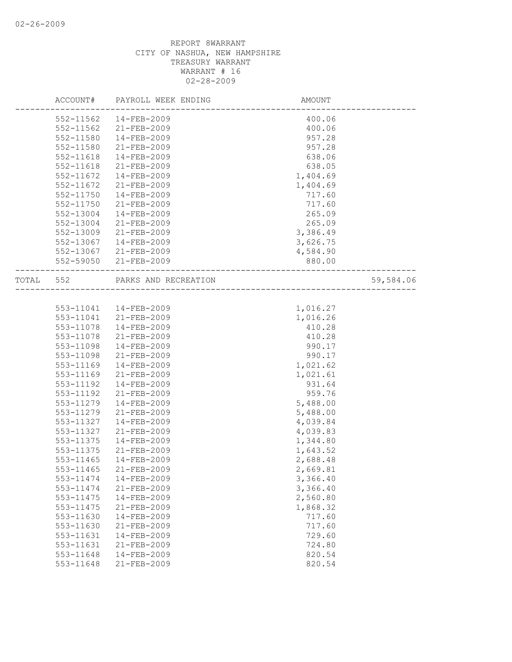|       | ACCOUNT#      | PAYROLL WEEK ENDING  | AMOUNT                 |           |
|-------|---------------|----------------------|------------------------|-----------|
|       | 552-11562     | $14 - FEB - 2009$    | 400.06                 |           |
|       | $552 - 11562$ | 21-FEB-2009          | 400.06                 |           |
|       | 552-11580     | $14 - FEB - 2009$    | 957.28                 |           |
|       | 552-11580     | $21 - FEB - 2009$    | 957.28                 |           |
|       | 552-11618     | 14-FEB-2009          | 638.06                 |           |
|       | 552-11618     | 21-FEB-2009          | 638.05                 |           |
|       | 552-11672     | $14 - FEB - 2009$    | 1,404.69               |           |
|       | 552-11672     | $21 - FEB - 2009$    | 1,404.69               |           |
|       | 552-11750     | $14 - FEB - 2009$    | 717.60                 |           |
|       | 552-11750     | 21-FEB-2009          | 717.60                 |           |
|       | 552-13004     | 14-FEB-2009          | 265.09                 |           |
|       | 552-13004     | $21 - FEB - 2009$    | 265.09                 |           |
|       | 552-13009     | $21 - FEB - 2009$    | 3,386.49               |           |
|       | 552-13067     | 14-FEB-2009          | 3,626.75               |           |
|       | 552-13067     | 21-FEB-2009          | 4,584.90               |           |
|       | 552-59050     | $21 - FEB - 2009$    | 880.00                 |           |
| TOTAL | 552           | PARKS AND RECREATION | ______________________ | 59,584.06 |
|       |               |                      |                        |           |
|       | 553-11041     | 14-FEB-2009          | 1,016.27               |           |
|       | 553-11041     | 21-FEB-2009          | 1,016.26               |           |
|       | 553-11078     | $14 - FEB - 2009$    | 410.28                 |           |
|       | 553-11078     | 21-FEB-2009          | 410.28                 |           |
|       | 553-11098     | $14 - FEB - 2009$    | 990.17                 |           |
|       | 553-11098     | $21 - FEB - 2009$    | 990.17                 |           |
|       | 553-11169     | $14 - FEB - 2009$    | 1,021.62               |           |
|       | 553-11169     | $21 - FEB - 2009$    | 1,021.61               |           |
|       | 553-11192     | 14-FEB-2009          | 931.64                 |           |
|       | 553-11192     | 21-FEB-2009          | 959.76                 |           |
|       | 553-11279     | $14 - FEB - 2009$    | 5,488.00               |           |
|       | 553-11279     | $21 - FEB - 2009$    | 5,488.00               |           |
|       | 553-11327     | 14-FEB-2009          | 4,039.84               |           |
|       | 553-11327     | 21-FEB-2009          | 4,039.83               |           |
|       | 553-11375     | $14 - FEB - 2009$    | 1,344.80               |           |
|       | 553-11375     | $21 - FEB - 2009$    | 1,643.52               |           |
|       | 553-11465     | $14 - FEB - 2009$    | 2,688.48               |           |
|       | 553-11465     | 21-FEB-2009          | 2,669.81               |           |
|       | 553-11474     | 14-FEB-2009          | 3,366.40               |           |
|       | 553-11474     | 21-FEB-2009          | 3,366.40               |           |
|       | 553-11475     | $14 - FEB - 2009$    | 2,560.80               |           |
|       | 553-11475     | 21-FEB-2009          | 1,868.32               |           |
|       | 553-11630     | 14-FEB-2009          | 717.60                 |           |
|       | 553-11630     | 21-FEB-2009          | 717.60                 |           |
|       | 553-11631     | $14 - FEB - 2009$    | 729.60                 |           |
|       | 553-11631     | $21 - FEB - 2009$    | 724.80                 |           |
|       | 553-11648     | $14 - FEB - 2009$    | 820.54                 |           |
|       | 553-11648     | 21-FEB-2009          | 820.54                 |           |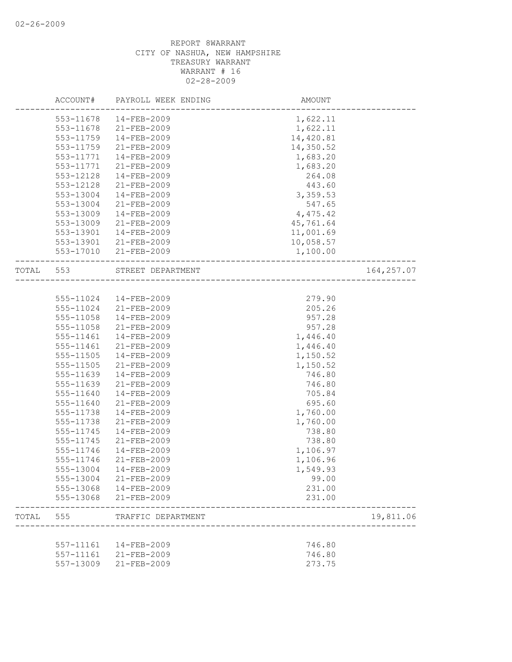|           | ACCOUNT#               | PAYROLL WEEK ENDING              | AMOUNT                                 |             |
|-----------|------------------------|----------------------------------|----------------------------------------|-------------|
|           | 553-11678              | $14 - FEB - 2009$                | 1,622.11                               |             |
|           | 553-11678              | 21-FEB-2009                      | 1,622.11                               |             |
|           | 553-11759              | 14-FEB-2009                      | 14,420.81                              |             |
|           | 553-11759              | $21 - FEB - 2009$                | 14,350.52                              |             |
|           | 553-11771              | 14-FEB-2009                      | 1,683.20                               |             |
|           | 553-11771              | 21-FEB-2009                      | 1,683.20                               |             |
|           | 553-12128              | 14-FEB-2009                      | 264.08                                 |             |
|           | 553-12128              | $21 - FEB - 2009$                | 443.60                                 |             |
|           | 553-13004              | $14 - FEB - 2009$                | 3,359.53                               |             |
|           | 553-13004              | 21-FEB-2009                      | 547.65                                 |             |
|           | 553-13009              | 14-FEB-2009                      | 4,475.42                               |             |
|           | 553-13009              | 21-FEB-2009                      | 45,761.64                              |             |
|           |                        |                                  |                                        |             |
|           | 553-13901              | 14-FEB-2009                      | 11,001.69                              |             |
|           | 553-13901              | 21-FEB-2009                      | 10,058.57                              |             |
|           | 553-17010              | 21-FEB-2009                      | 1,100.00                               |             |
| TOTAL 553 |                        | STREET DEPARTMENT                | ______________________________________ | 164, 257.07 |
|           |                        |                                  |                                        |             |
|           | 555-11024              | 14-FEB-2009                      | 279.90                                 |             |
|           | 555-11024              | 21-FEB-2009                      | 205.26                                 |             |
|           | 555-11058              | 14-FEB-2009                      | 957.28                                 |             |
|           | 555-11058              | 21-FEB-2009                      | 957.28                                 |             |
|           | 555-11461              | 14-FEB-2009                      | 1,446.40                               |             |
|           | 555-11461              | $21 - FEB - 2009$                | 1,446.40                               |             |
|           | 555-11505              | $14 - FEB - 2009$                | 1,150.52                               |             |
|           | 555-11505              | $21 - FEB - 2009$                | 1,150.52                               |             |
|           | 555-11639              | 14-FEB-2009                      | 746.80                                 |             |
|           | 555-11639              | 21-FEB-2009                      | 746.80                                 |             |
|           | 555-11640              | 14-FEB-2009                      | 705.84                                 |             |
|           | 555-11640              | 21-FEB-2009                      | 695.60                                 |             |
|           | 555-11738              | $14 - FEB - 2009$                | 1,760.00                               |             |
|           | 555-11738              | 21-FEB-2009                      | 1,760.00                               |             |
|           | 555-11745              | 14-FEB-2009                      | 738.80                                 |             |
|           | 555-11745              | 21-FEB-2009                      | 738.80                                 |             |
|           | 555-11746              | $14 - FEB - 2009$                | 1,106.97                               |             |
|           | 555-11746              | $21 - FEB - 2009$                | 1,106.96                               |             |
|           | 555-13004              | 14-FEB-2009                      | 1,549.93                               |             |
|           | 555-13004              | 21-FEB-2009                      | 99.00                                  |             |
|           |                        |                                  | 231.00                                 |             |
|           | 555-13068<br>555-13068 | 14-FEB-2009<br>$21 - FEB - 2009$ | 231.00                                 |             |
|           |                        |                                  |                                        |             |
| TOTAL     | 555                    | TRAFFIC DEPARTMENT               |                                        | 19,811.06   |
|           | 557-11161              | $14 - FEB - 2009$                | 746.80                                 |             |
|           | 557-11161              | 21-FEB-2009                      | 746.80                                 |             |
|           | 557-13009              | 21-FEB-2009                      | 273.75                                 |             |
|           |                        |                                  |                                        |             |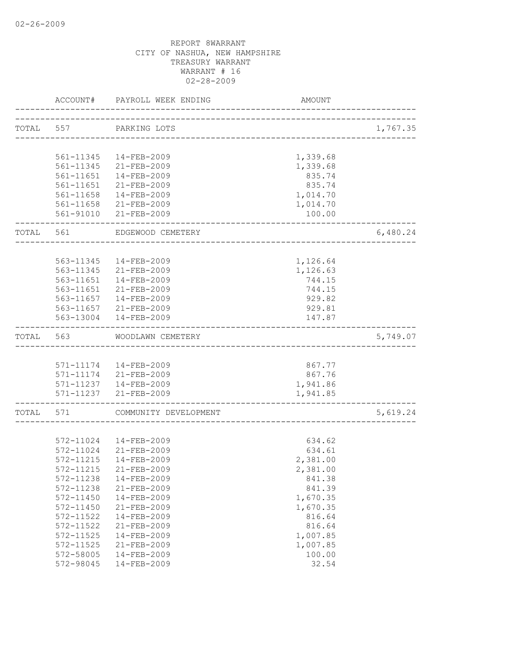|       | ACCOUNT#  | PAYROLL WEEK ENDING    | AMOUNT                         |          |
|-------|-----------|------------------------|--------------------------------|----------|
| TOTAL | 557       | PARKING LOTS           |                                | 1,767.35 |
|       |           |                        | ------------------------------ |          |
|       | 561-11345 | 14-FEB-2009            | 1,339.68                       |          |
|       | 561-11345 | 21-FEB-2009            | 1,339.68                       |          |
|       | 561-11651 | 14-FEB-2009            | 835.74                         |          |
|       | 561-11651 | 21-FEB-2009            | 835.74                         |          |
|       | 561-11658 | 14-FEB-2009            | 1,014.70                       |          |
|       |           | 561-11658 21-FEB-2009  | 1,014.70                       |          |
|       |           | 561-91010 21-FEB-2009  | 100.00                         |          |
| TOTAL | 561       | EDGEWOOD CEMETERY      |                                | 6,480.24 |
|       |           |                        |                                |          |
|       | 563-11345 | $14 - FEB - 2009$      | 1,126.64                       |          |
|       | 563-11345 | 21-FEB-2009            | 1,126.63                       |          |
|       | 563-11651 | 14-FEB-2009            | 744.15                         |          |
|       | 563-11651 | 21-FEB-2009            | 744.15                         |          |
|       | 563-11657 | 14-FEB-2009            | 929.82                         |          |
|       |           | 563-11657 21-FEB-2009  | 929.81                         |          |
|       | 563-13004 | 14-FEB-2009            | 147.87                         |          |
| TOTAL | 563       | WOODLAWN CEMETERY      |                                | 5,749.07 |
|       |           |                        |                                |          |
|       |           | 571-11174  14-FEB-2009 | 867.77                         |          |
|       |           | 571-11174 21-FEB-2009  | 867.76                         |          |
|       |           | 571-11237  14-FEB-2009 | 1,941.86                       |          |
|       |           | 571-11237 21-FEB-2009  | 1,941.85                       |          |
| TOTAL | 571       | COMMUNITY DEVELOPMENT  |                                | 5,619.24 |
|       |           |                        |                                |          |
|       | 572-11024 | 14-FEB-2009            | 634.62                         |          |
|       | 572-11024 | 21-FEB-2009            | 634.61                         |          |
|       | 572-11215 | $14 - FEB - 2009$      | 2,381.00                       |          |
|       | 572-11215 | $21 - FEB - 2009$      | 2,381.00                       |          |
|       | 572-11238 | 14-FEB-2009            | 841.38                         |          |
|       | 572-11238 | 21-FEB-2009            | 841.39                         |          |
|       | 572-11450 | 14-FEB-2009            | 1,670.35                       |          |
|       | 572-11450 | $21 - FEB - 2009$      | 1,670.35                       |          |
|       | 572-11522 | $14 - FEB - 2009$      | 816.64                         |          |
|       | 572-11522 | 21-FEB-2009            | 816.64                         |          |
|       | 572-11525 | $14 - FEB - 2009$      | 1,007.85                       |          |
|       | 572-11525 | 21-FEB-2009            | 1,007.85                       |          |
|       | 572-58005 | $14 - FEB - 2009$      | 100.00                         |          |
|       | 572-98045 | 14-FEB-2009            | 32.54                          |          |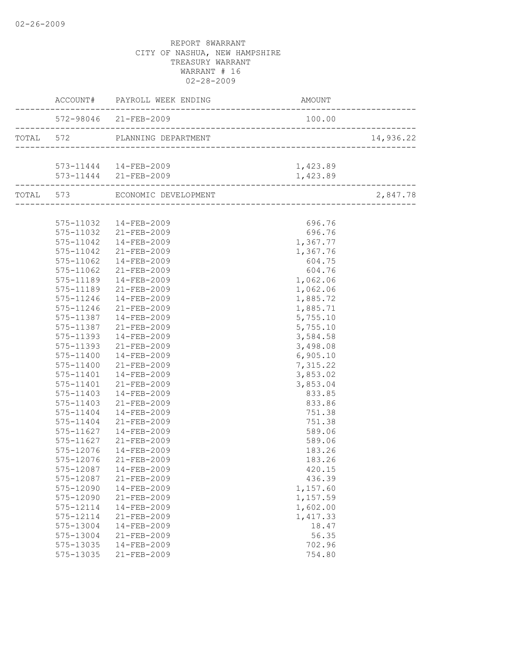|                            | 572-98046 21-FEB-2009                           | 100.00   |           |
|----------------------------|-------------------------------------------------|----------|-----------|
|                            |                                                 |          | 14,936.22 |
|                            |                                                 |          |           |
|                            | 573-11444  14-FEB-2009<br>573-11444 21-FEB-2009 | 1,423.89 |           |
| -------------------------- |                                                 | 1,423.89 |           |
|                            | TOTAL 573 ECONOMIC DEVELOPMENT                  |          | 2,847.78  |
|                            |                                                 |          |           |
|                            | 575-11032  14-FEB-2009                          | 696.76   |           |
|                            | 575-11032 21-FEB-2009                           | 696.76   |           |
|                            | 575-11042  14-FEB-2009                          | 1,367.77 |           |
|                            | 575-11042 21-FEB-2009                           | 1,367.76 |           |
| 575-11062                  | 14-FEB-2009                                     | 604.75   |           |
| 575-11062                  | 21-FEB-2009                                     | 604.76   |           |
| 575-11189                  | 14-FEB-2009                                     | 1,062.06 |           |
| 575-11189                  | 21-FEB-2009                                     | 1,062.06 |           |
|                            | 575-11246  14-FEB-2009                          | 1,885.72 |           |
| 575-11246                  | 21-FEB-2009                                     | 1,885.71 |           |
|                            | 575-11387  14-FEB-2009                          | 5,755.10 |           |
|                            | 575-11387 21-FEB-2009                           | 5,755.10 |           |
| 575-11393                  | 14-FEB-2009                                     | 3,584.58 |           |
| 575-11393                  | 21-FEB-2009                                     | 3,498.08 |           |
| 575-11400                  | 14-FEB-2009                                     | 6,905.10 |           |
| 575-11400                  | 21-FEB-2009                                     | 7,315.22 |           |
|                            | 575-11401  14-FEB-2009                          | 3,853.02 |           |
|                            | 575-11401 21-FEB-2009                           | 3,853.04 |           |
| 575-11403                  | 14-FEB-2009                                     | 833.85   |           |
| 575-11403                  | 21-FEB-2009                                     | 833.86   |           |
| 575-11404                  | 14-FEB-2009                                     | 751.38   |           |
| 575-11404                  | 21-FEB-2009                                     | 751.38   |           |
| 575-11627                  | 14-FEB-2009                                     | 589.06   |           |
| 575-11627                  | 21-FEB-2009                                     | 589.06   |           |
| 575-12076                  | 14-FEB-2009                                     | 183.26   |           |
|                            | 575-12076 21-FEB-2009                           | 183.26   |           |
|                            | 575-12087  14-FEB-2009                          | 420.15   |           |
| 575-12087                  | 21-FEB-2009                                     | 436.39   |           |
| 575-12090                  | 14-FEB-2009                                     | 1,157.60 |           |
| 575-12090                  | 21-FEB-2009                                     | 1,157.59 |           |
| 575-12114                  | 14-FEB-2009                                     | 1,602.00 |           |
| 575-12114                  | 21-FEB-2009                                     | 1,417.33 |           |
| 575-13004                  | 14-FEB-2009                                     | 18.47    |           |
| 575-13004                  | 21-FEB-2009                                     | 56.35    |           |
| 575-13035                  | 14-FEB-2009                                     | 702.96   |           |
| 575-13035                  | 21-FEB-2009                                     | 754.80   |           |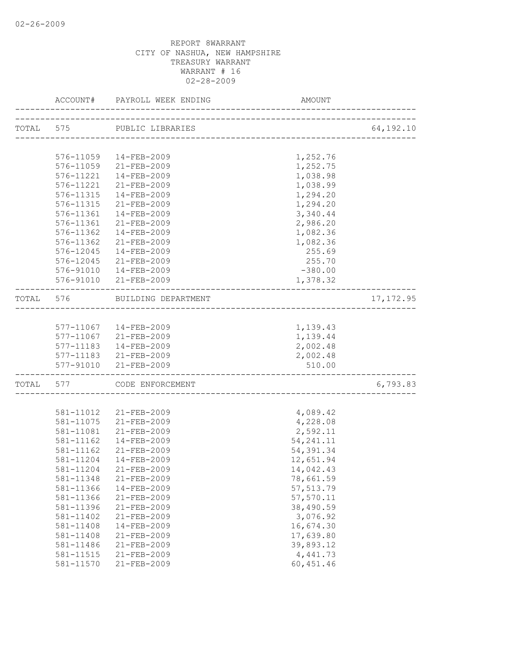|                        | ACCOUNT# PAYROLL WEEK ENDING  | AMOUNT                                 |            |
|------------------------|-------------------------------|----------------------------------------|------------|
|                        | TOTAL 575 PUBLIC LIBRARIES    | ______________________________________ | 64,192.10  |
|                        |                               |                                        |            |
|                        | 576-11059  14-FEB-2009        | 1,252.76                               |            |
|                        | 576-11059 21-FEB-2009         | 1,252.75                               |            |
| 576-11221              | 14-FEB-2009                   | 1,038.98                               |            |
| 576-11221              | 21-FEB-2009                   | 1,038.99                               |            |
| 576-11315              | 14-FEB-2009                   | 1,294.20                               |            |
| 576-11315              | 21-FEB-2009                   | 1,294.20                               |            |
| 576-11361              | 14-FEB-2009                   | 3,340.44                               |            |
| 576-11361              | 21-FEB-2009                   | 2,986.20                               |            |
| 576-11362              | 14-FEB-2009                   | 1,082.36                               |            |
| 576-11362              | 21-FEB-2009                   | 1,082.36                               |            |
| 576-12045              | 14-FEB-2009                   | 255.69                                 |            |
|                        | 576-12045 21-FEB-2009         | 255.70                                 |            |
|                        | 576-91010  14-FEB-2009        | $-380.00$                              |            |
|                        | 576-91010 21-FEB-2009         | 1,378.32                               |            |
|                        | TOTAL 576 BUILDING DEPARTMENT |                                        | 17, 172.95 |
|                        |                               |                                        |            |
|                        | 577-11067  14-FEB-2009        | 1,139.43                               |            |
|                        | 577-11067 21-FEB-2009         | 1,139.44                               |            |
|                        | 577-11183  14-FEB-2009        | 2,002.48                               |            |
|                        | 577-11183 21-FEB-2009         | 2,002.48                               |            |
|                        | 577-91010 21-FEB-2009         | 510.00<br>________________________     |            |
|                        | TOTAL 577 CODE ENFORCEMENT    |                                        | 6,793.83   |
|                        |                               |                                        |            |
|                        | 581-11012 21-FEB-2009         | 4,089.42                               |            |
|                        | 581-11075 21-FEB-2009         | 4,228.08                               |            |
|                        | 581-11081 21-FEB-2009         | 2,592.11                               |            |
| 581-11162              | 14-FEB-2009                   | 54, 241.11                             |            |
| 581-11162              | 21-FEB-2009                   | 54, 391.34                             |            |
| 581-11204              | 14-FEB-2009                   | 12,651.94                              |            |
|                        | 581-11204 21-FEB-2009         | 14,042.43                              |            |
| 581-11348              | $21 - FEB - 2009$             | 78,661.59                              |            |
| 581-11366              | 14-FEB-2009                   | 57, 513.79                             |            |
| 581-11366              | 21-FEB-2009                   | 57,570.11                              |            |
| 581-11396              | 21-FEB-2009                   | 38,490.59                              |            |
| 581-11402              | 21-FEB-2009                   | 3,076.92                               |            |
| 581-11408              | 14-FEB-2009                   | 16,674.30                              |            |
| 581-11408              | 21-FEB-2009                   | 17,639.80                              |            |
| 581-11486              | 21-FEB-2009                   | 39,893.12                              |            |
| 581-11515<br>581-11570 | 21-FEB-2009<br>21-FEB-2009    | 4,441.73                               |            |
|                        |                               | 60, 451.46                             |            |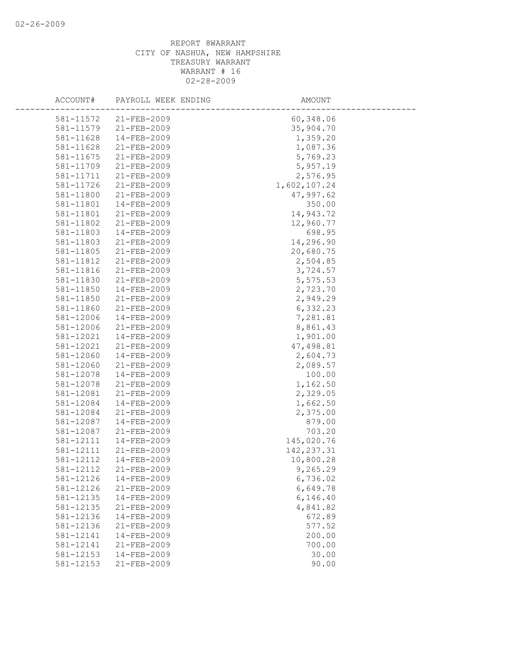| ACCOUNT#  | PAYROLL WEEK ENDING | AMOUNT       |
|-----------|---------------------|--------------|
| 581-11572 | $21 - FEB - 2009$   | 60,348.06    |
| 581-11579 | $21 - FEB - 2009$   | 35,904.70    |
| 581-11628 | $14 - FEB - 2009$   | 1,359.20     |
| 581-11628 | 21-FEB-2009         | 1,087.36     |
| 581-11675 | 21-FEB-2009         | 5,769.23     |
| 581-11709 | 21-FEB-2009         | 5,957.19     |
| 581-11711 | $21 - FEB - 2009$   | 2,576.95     |
| 581-11726 | $21 - FEB - 2009$   | 1,602,107.24 |
| 581-11800 | 21-FEB-2009         | 47,997.62    |
| 581-11801 | $14 - FEB - 2009$   | 350.00       |
| 581-11801 | 21-FEB-2009         | 14,943.72    |
| 581-11802 | $21 - FEB - 2009$   | 12,960.77    |
| 581-11803 | 14-FEB-2009         | 698.95       |
| 581-11803 | 21-FEB-2009         | 14,296.90    |
| 581-11805 | 21-FEB-2009         | 20,680.75    |
| 581-11812 | $21 - FEB - 2009$   | 2,504.85     |
| 581-11816 | $21 - FEB - 2009$   | 3,724.57     |
| 581-11830 | 21-FEB-2009         | 5,575.53     |
| 581-11850 | $14 - FEB - 2009$   | 2,723.70     |
| 581-11850 | 21-FEB-2009         | 2,949.29     |
| 581-11860 | $21 - FEB - 2009$   | 6,332.23     |
| 581-12006 | 14-FEB-2009         | 7,281.81     |
| 581-12006 | 21-FEB-2009         | 8,861.43     |
| 581-12021 | $14 - FEB - 2009$   | 1,901.00     |
| 581-12021 | $21 - FEB - 2009$   | 47,498.81    |
| 581-12060 | $14 - FEB - 2009$   | 2,604.73     |
| 581-12060 | 21-FEB-2009         | 2,089.57     |
| 581-12078 | 14-FEB-2009         | 100.00       |
| 581-12078 | 21-FEB-2009         | 1,162.50     |
| 581-12081 | 21-FEB-2009         | 2,329.05     |
| 581-12084 | 14-FEB-2009         | 1,662.50     |
| 581-12084 | 21-FEB-2009         | 2,375.00     |
| 581-12087 | 14-FEB-2009         | 879.00       |
| 581-12087 | 21-FEB-2009         | 703.20       |
| 581-12111 | $14 - FEB - 2009$   | 145,020.76   |
| 581-12111 | 21-FEB-2009         | 142, 237.31  |
| 581-12112 | $14 - FEB - 2009$   | 10,800.28    |
| 581-12112 | 21-FEB-2009         | 9,265.29     |
| 581-12126 | 14-FEB-2009         | 6,736.02     |
| 581-12126 | 21-FEB-2009         | 6,649.78     |
| 581-12135 | $14 - FEB - 2009$   | 6,146.40     |
| 581-12135 | 21-FEB-2009         | 4,841.82     |
| 581-12136 | $14 - FEB - 2009$   | 672.89       |
| 581-12136 | 21-FEB-2009         | 577.52       |
| 581-12141 | $14 - FEB - 2009$   | 200.00       |
| 581-12141 | 21-FEB-2009         | 700.00       |
| 581-12153 | $14 - FEB - 2009$   | 30.00        |
| 581-12153 | 21-FEB-2009         | 90.00        |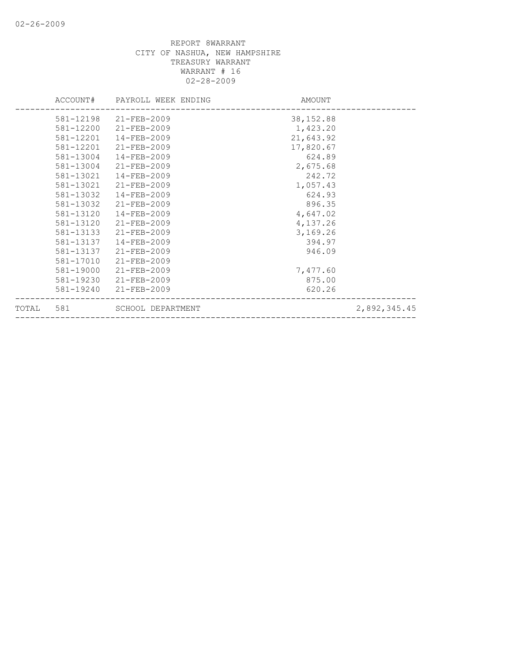|           |           | ACCOUNT# PAYROLL WEEK ENDING | AMOUNT    |              |
|-----------|-----------|------------------------------|-----------|--------------|
|           |           | 581-12198 21-FEB-2009        | 38,152.88 |              |
|           | 581-12200 | 21-FEB-2009                  | 1,423.20  |              |
|           | 581-12201 | 14-FEB-2009                  | 21,643.92 |              |
|           | 581-12201 | 21-FEB-2009                  | 17,820.67 |              |
|           | 581-13004 | $14 - FEB - 2009$            | 624.89    |              |
|           | 581-13004 | 21-FEB-2009                  | 2,675.68  |              |
|           | 581-13021 | $14 - FEB - 2009$            | 242.72    |              |
|           | 581-13021 | 21-FEB-2009                  | 1,057.43  |              |
|           | 581-13032 | $14 - FEB - 2009$            | 624.93    |              |
|           | 581-13032 | 21-FEB-2009                  | 896.35    |              |
|           | 581-13120 | 14-FEB-2009                  | 4,647.02  |              |
|           | 581-13120 | $21 - FEB - 2009$            | 4,137.26  |              |
|           | 581-13133 | 21-FEB-2009                  | 3,169.26  |              |
|           | 581-13137 | 14-FEB-2009                  | 394.97    |              |
|           | 581-13137 | 21-FEB-2009                  | 946.09    |              |
|           | 581-17010 | 21-FEB-2009                  |           |              |
|           | 581-19000 | 21-FEB-2009                  | 7,477.60  |              |
|           | 581-19230 | 21-FEB-2009                  | 875.00    |              |
|           | 581-19240 | 21-FEB-2009                  | 620.26    |              |
| TOTAL 581 |           | SCHOOL DEPARTMENT            |           | 2,892,345.45 |
|           |           |                              |           |              |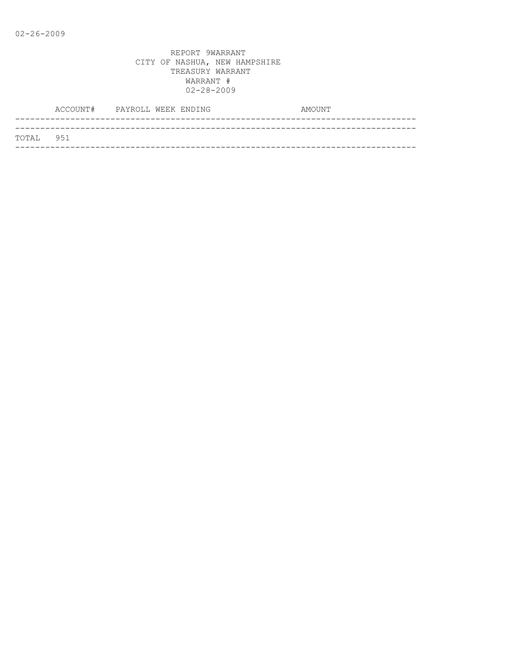|           | ACCOUNT# PAYROLL WEEK ENDING |  |  | AMOUNT |  |
|-----------|------------------------------|--|--|--------|--|
|           |                              |  |  |        |  |
| TOTAL 951 |                              |  |  |        |  |
|           |                              |  |  |        |  |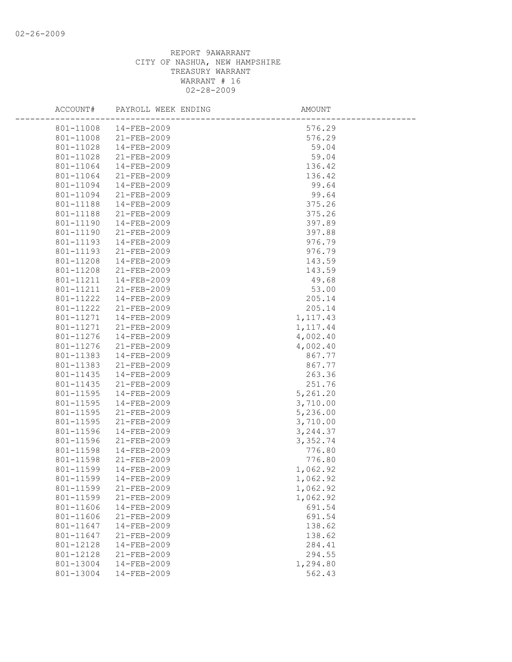| ACCOUNT#               | PAYROLL WEEK ENDING              | AMOUNT               |  |
|------------------------|----------------------------------|----------------------|--|
| 801-11008              | 14-FEB-2009                      | 576.29               |  |
| 801-11008              | 21-FEB-2009                      | 576.29               |  |
| 801-11028              | 14-FEB-2009                      | 59.04                |  |
| 801-11028              | 21-FEB-2009                      | 59.04                |  |
| 801-11064              | 14-FEB-2009                      | 136.42               |  |
| 801-11064              | 21-FEB-2009                      | 136.42               |  |
| 801-11094              | 14-FEB-2009                      | 99.64                |  |
| 801-11094              | 21-FEB-2009                      | 99.64                |  |
| 801-11188              | 14-FEB-2009                      | 375.26               |  |
| 801-11188              | 21-FEB-2009                      | 375.26               |  |
| 801-11190              | 14-FEB-2009                      | 397.89               |  |
| 801-11190              | 21-FEB-2009                      | 397.88               |  |
| 801-11193              | 14-FEB-2009                      | 976.79               |  |
| 801-11193              | $21 - FEB - 2009$                | 976.79               |  |
| 801-11208              | 14-FEB-2009                      | 143.59               |  |
| 801-11208              | 21-FEB-2009                      | 143.59               |  |
| 801-11211              | 14-FEB-2009                      | 49.68                |  |
| 801-11211              | $21 - FEB - 2009$                | 53.00                |  |
| 801-11222              | 14-FEB-2009                      | 205.14               |  |
| 801-11222              | 21-FEB-2009                      | 205.14               |  |
| 801-11271              | 14-FEB-2009                      | 1, 117.43            |  |
| 801-11271              | 21-FEB-2009                      | 1, 117.44            |  |
| 801-11276              | $14 - FEB - 2009$                | 4,002.40             |  |
| 801-11276              | 21-FEB-2009                      | 4,002.40             |  |
| 801-11383              | 14-FEB-2009                      | 867.77               |  |
| 801-11383              | 21-FEB-2009                      | 867.77               |  |
| 801-11435              | 14-FEB-2009                      | 263.36               |  |
| 801-11435              | 21-FEB-2009                      | 251.76               |  |
| 801-11595              | 14-FEB-2009                      | 5,261.20             |  |
| 801-11595              | 14-FEB-2009                      | 3,710.00             |  |
| 801-11595              | 21-FEB-2009                      | 5,236.00             |  |
| 801-11595              | 21-FEB-2009                      | 3,710.00             |  |
| 801-11596              | 14-FEB-2009                      | 3, 244.37            |  |
| 801-11596              | 21-FEB-2009                      | 3,352.74             |  |
| 801-11598              | 14-FEB-2009                      | 776.80               |  |
| 801-11598<br>801-11599 | 21-FEB-2009<br>$14 - FEB - 2009$ | 776.80               |  |
|                        | $14 - FEB - 2009$                | 1,062.92<br>1,062.92 |  |
| 801-11599              | 21-FEB-2009                      |                      |  |
| 801-11599<br>801-11599 | 21-FEB-2009                      | 1,062.92<br>1,062.92 |  |
| 801-11606              | 14-FEB-2009                      | 691.54               |  |
| 801-11606              | 21-FEB-2009                      | 691.54               |  |
| 801-11647              | 14-FEB-2009                      | 138.62               |  |
| 801-11647              | $21 - FEB - 2009$                | 138.62               |  |
| 801-12128              | $14 - FEB - 2009$                | 284.41               |  |
| 801-12128              | $21 - FEB - 2009$                | 294.55               |  |
| 801-13004              | 14-FEB-2009                      | 1,294.80             |  |
| 801-13004              | 14-FEB-2009                      | 562.43               |  |
|                        |                                  |                      |  |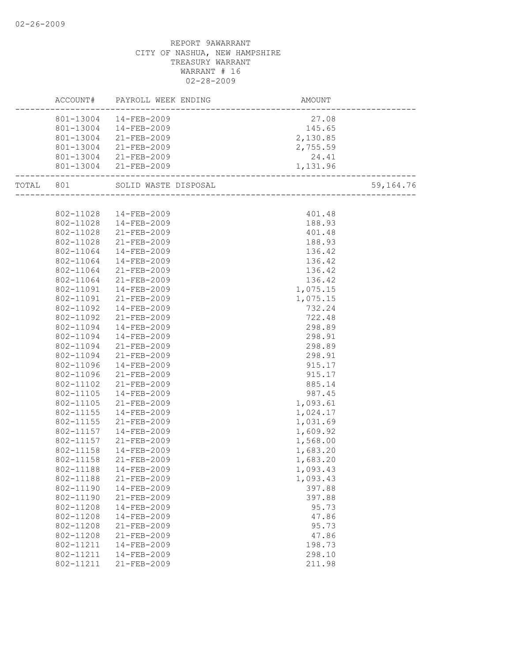|           |           | ACCOUNT# PAYROLL WEEK ENDING | AMOUNT               |           |
|-----------|-----------|------------------------------|----------------------|-----------|
|           |           | 801-13004  14-FEB-2009       | 27.08                |           |
|           |           | 801-13004  14-FEB-2009       |                      |           |
|           |           | 801-13004 21-FEB-2009        | $145.65$<br>2,130.85 |           |
|           |           | 801-13004 21-FEB-2009        | 2,755.59             |           |
|           |           | 801-13004 21-FEB-2009        | 24.41                |           |
|           |           | 801-13004 21-FEB-2009        | 1,131.96             |           |
|           |           |                              |                      |           |
| TOTAL 801 |           | SOLID WASTE DISPOSAL         |                      | 59,164.76 |
|           |           |                              |                      |           |
|           |           | 802-11028  14-FEB-2009       | 401.48               |           |
|           |           | 802-11028  14-FEB-2009       | 188.93               |           |
|           |           | 802-11028 21-FEB-2009        | 401.48               |           |
|           | 802-11028 | 21-FEB-2009                  | 188.93               |           |
|           | 802-11064 | 14-FEB-2009                  | 136.42               |           |
|           | 802-11064 | 14-FEB-2009                  | 136.42               |           |
|           | 802-11064 | 21-FEB-2009                  | 136.42               |           |
|           | 802-11064 | 21-FEB-2009                  | 136.42               |           |
|           | 802-11091 | $14 - FEB - 2009$            | 1,075.15             |           |
|           | 802-11091 | 21-FEB-2009                  | 1,075.15             |           |
|           | 802-11092 | 14-FEB-2009                  | 732.24               |           |
|           | 802-11092 | 21-FEB-2009                  | 722.48               |           |
|           | 802-11094 | 14-FEB-2009                  | 298.89               |           |
|           | 802-11094 | 14-FEB-2009                  | 298.91               |           |
|           | 802-11094 | 21-FEB-2009                  | 298.89               |           |
|           | 802-11094 | 21-FEB-2009                  | 298.91               |           |
|           | 802-11096 | 14-FEB-2009                  | 915.17               |           |
|           | 802-11096 | 21-FEB-2009                  | 915.17               |           |
|           | 802-11102 | 21-FEB-2009                  | 885.14               |           |
|           | 802-11105 | 14-FEB-2009                  | 987.45               |           |
|           | 802-11105 | 21-FEB-2009                  | 1,093.61             |           |
|           | 802-11155 | 14-FEB-2009                  | 1,024.17             |           |
|           | 802-11155 | 21-FEB-2009                  | 1,031.69             |           |
|           | 802-11157 | 14-FEB-2009                  | 1,609.92             |           |
|           | 802-11157 | 21-FEB-2009                  | 1,568.00             |           |
|           | 802-11158 | 14-FEB-2009                  | 1,683.20             |           |
|           | 802-11158 | 21-FEB-2009                  | 1,683.20             |           |
|           |           | 802-11188  14-FEB-2009       | 1,093.43             |           |
|           | 802-11188 | $21 - FEB - 2009$            | 1,093.43             |           |
|           | 802-11190 | 14-FEB-2009                  | 397.88               |           |
|           | 802-11190 | 21-FEB-2009                  | 397.88               |           |
|           | 802-11208 | 14-FEB-2009                  | 95.73                |           |
|           | 802-11208 | 14-FEB-2009                  | 47.86                |           |
|           | 802-11208 | $21 - FEB - 2009$            | 95.73                |           |
|           | 802-11208 | 21-FEB-2009                  | 47.86                |           |
|           | 802-11211 | 14-FEB-2009                  | 198.73               |           |
|           | 802-11211 | 14-FEB-2009                  | 298.10               |           |
|           | 802-11211 | 21-FEB-2009                  | 211.98               |           |